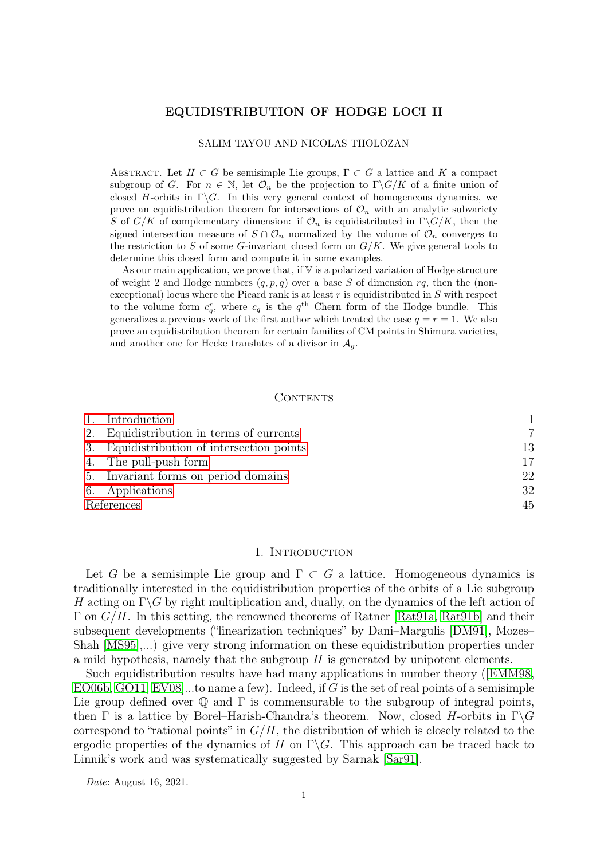## EQUIDISTRIBUTION OF HODGE LOCI II

#### SALIM TAYOU AND NICOLAS THOLOZAN

ABSTRACT. Let  $H \subset G$  be semisimple Lie groups,  $\Gamma \subset G$  a lattice and K a compact subgroup of G. For  $n \in \mathbb{N}$ , let  $\mathcal{O}_n$  be the projection to  $\Gamma \backslash G/K$  of a finite union of closed H-orbits in  $\Gamma\backslash G$ . In this very general context of homogeneous dynamics, we prove an equidistribution theorem for intersections of  $\mathcal{O}_n$  with an analytic subvariety S of  $G/K$  of complementary dimension: if  $\mathcal{O}_n$  is equidistributed in  $\Gamma \backslash G/K$ , then the signed intersection measure of  $S \cap \mathcal{O}_n$  normalized by the volume of  $\mathcal{O}_n$  converges to the restriction to S of some G-invariant closed form on  $G/K$ . We give general tools to determine this closed form and compute it in some examples.

As our main application, we prove that, if  $V$  is a polarized variation of Hodge structure of weight 2 and Hodge numbers  $(q, p, q)$  over a base S of dimension rq, then the (nonexceptional) locus where the Picard rank is at least  $r$  is equidistributed in  $S$  with respect to the volume form  $c_q^r$ , where  $c_q$  is the  $q^{\text{th}}$  Chern form of the Hodge bundle. This generalizes a previous work of the first author which treated the case  $q = r = 1$ . We also prove an equidistribution theorem for certain families of CM points in Shimura varieties, and another one for Hecke translates of a divisor in  $\mathcal{A}_q$ .

#### CONTENTS

|            | 1. Introduction                            |    |
|------------|--------------------------------------------|----|
|            | 2. Equidistribution in terms of currents   |    |
|            | 3. Equidistribution of intersection points | 13 |
|            | 4. The pull-push form                      | 17 |
|            | 5. Invariant forms on period domains       | 22 |
|            | 6. Applications                            | 32 |
| References |                                            | 45 |

## 1. INTRODUCTION

<span id="page-0-0"></span>Let G be a semisimple Lie group and  $\Gamma \subset G$  a lattice. Homogeneous dynamics is traditionally interested in the equidistribution properties of the orbits of a Lie subgroup H acting on  $\Gamma \backslash G$  by right multiplication and, dually, on the dynamics of the left action of  $\Gamma$  on  $G/H$ . In this setting, the renowned theorems of Ratner [\[Rat91a,](#page-46-0) [Rat91b\]](#page-46-1) and their subsequent developments ("linearization techniques" by Dani–Margulis [\[DM91\]](#page-45-0), Mozes– Shah [\[MS95\]](#page-46-2),...) give very strong information on these equidistribution properties under a mild hypothesis, namely that the subgroup  $H$  is generated by unipotent elements.

Such equidistribution results have had many applications in number theory ([\[EMM98,](#page-45-1) [EO06b,](#page-45-2) [GO11,](#page-45-3) EV08, to name a few). Indeed, if G is the set of real points of a semisimple Lie group defined over  $\mathbb Q$  and  $\Gamma$  is commensurable to the subgroup of integral points, then  $\Gamma$  is a lattice by Borel–Harish-Chandra's theorem. Now, closed H-orbits in  $\Gamma \backslash G$ correspond to "rational points" in  $G/H$ , the distribution of which is closely related to the ergodic properties of the dynamics of H on  $\Gamma \backslash G$ . This approach can be traced back to Linnik's work and was systematically suggested by Sarnak [\[Sar91\]](#page-46-3).

Date: August 16, 2021.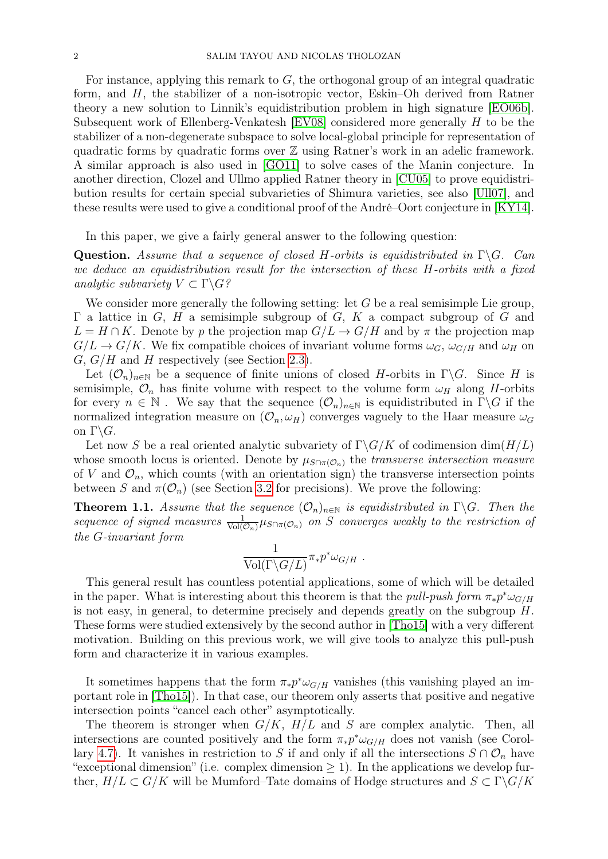For instance, applying this remark to  $G$ , the orthogonal group of an integral quadratic form, and H, the stabilizer of a non-isotropic vector, Eskin–Oh derived from Ratner theory a new solution to Linnik's equidistribution problem in high signature [[EO06b\]](#page-45-2). Subsequent work of Ellenberg-Venkatesh [\[EV08\]](#page-45-4) considered more generally H to be the stabilizer of a non-degenerate subspace to solve local-global principle for representation of quadratic forms by quadratic forms over  $\mathbb Z$  using Ratner's work in an adelic framework. A similar approach is also used in [\[GO11\]](#page-45-3) to solve cases of the Manin conjecture. In another direction, Clozel and Ullmo applied Ratner theory in [\[CU05\]](#page-45-5) to prove equidistribution results for certain special subvarieties of Shimura varieties, see also [\[Ull07\]](#page-46-4), and these results were used to give a conditional proof of the André–Oort conjecture in [\[KY14\]](#page-45-6).

In this paper, we give a fairly general answer to the following question:

**Question.** Assume that a sequence of closed H-orbits is equidistributed in  $\Gamma \backslash G$ . Can we deduce an equidistribution result for the intersection of these H-orbits with a fixed analytic subvariety  $V \subset \Gamma \backslash G$ ?

We consider more generally the following setting: let  $G$  be a real semisimple Lie group,  $\Gamma$  a lattice in G, H a semisimple subgroup of G, K a compact subgroup of G and  $L = H \cap K$ . Denote by p the projection map  $G/L \to G/H$  and by  $\pi$  the projection map  $G/L \to G/K$ . We fix compatible choices of invariant volume forms  $\omega_G$ ,  $\omega_{G/H}$  and  $\omega_H$  on  $G, G/H$  and H respectively (see Section [2.3\)](#page-8-0).

Let  $(\mathcal{O}_n)_{n\in\mathbb{N}}$  be a sequence of finite unions of closed H-orbits in  $\Gamma\backslash G$ . Since H is semisimple,  $\mathcal{O}_n$  has finite volume with respect to the volume form  $\omega_H$  along H-orbits for every  $n \in \mathbb{N}$ . We say that the sequence  $(\mathcal{O}_n)_{n \in \mathbb{N}}$  is equidistributed in  $\Gamma \backslash G$  if the normalized integration measure on  $(\mathcal{O}_n, \omega_H)$  converges vaguely to the Haar measure  $\omega_G$ on  $\Gamma \backslash G$ .

Let now S be a real oriented analytic subvariety of  $\Gamma \backslash G/K$  of codimension dim $(H/L)$ whose smooth locus is oriented. Denote by  $\mu_{S\cap \pi(\mathcal{O}_n)}$  the transverse intersection measure of V and  $\mathcal{O}_n$ , which counts (with an orientation sign) the transverse intersection points between S and  $\pi(\mathcal{O}_n)$  (see Section [3.2](#page-14-0) for precisions). We prove the following:

<span id="page-1-0"></span>**Theorem 1.1.** Assume that the sequence  $(\mathcal{O}_n)_{n\in\mathbb{N}}$  is equidistributed in  $\Gamma\backslash G$ . Then the sequence of signed measures  $\frac{1}{\text{Vol}(\mathcal{O}_n)}\mu_{S\cap \pi(\mathcal{O}_n)}$  on S converges weakly to the restriction of the G-invariant form

$$
\frac{1}{\text{Vol}(\Gamma \backslash G/L)} \pi_* p^* \omega_{G/H} \ .
$$

This general result has countless potential applications, some of which will be detailed in the paper. What is interesting about this theorem is that the *pull-push form*  $\pi_* p^* \omega_{G/H}$ is not easy, in general, to determine precisely and depends greatly on the subgroup H. These forms were studied extensively by the second author in [\[Tho15\]](#page-46-5) with a very different motivation. Building on this previous work, we will give tools to analyze this pull-push form and characterize it in various examples.

It sometimes happens that the form  $\pi_* p^* \omega_{G/H}$  vanishes (this vanishing played an important role in [\[Tho15\]](#page-46-5)). In that case, our theorem only asserts that positive and negative intersection points "cancel each other" asymptotically.

The theorem is stronger when  $G/K$ ,  $H/L$  and S are complex analytic. Then, all intersections are counted positively and the form  $\pi_* p^* \omega_{G/H}$  does not vanish (see Corol-lary [4.7\)](#page-18-0). It vanishes in restriction to S if and only if all the intersections  $S \cap \mathcal{O}_n$  have "exceptional dimension" (i.e. complex dimension  $\geq$  1). In the applications we develop further,  $H/L \subset G/K$  will be Mumford–Tate domains of Hodge structures and  $S \subset \Gamma \backslash G/K$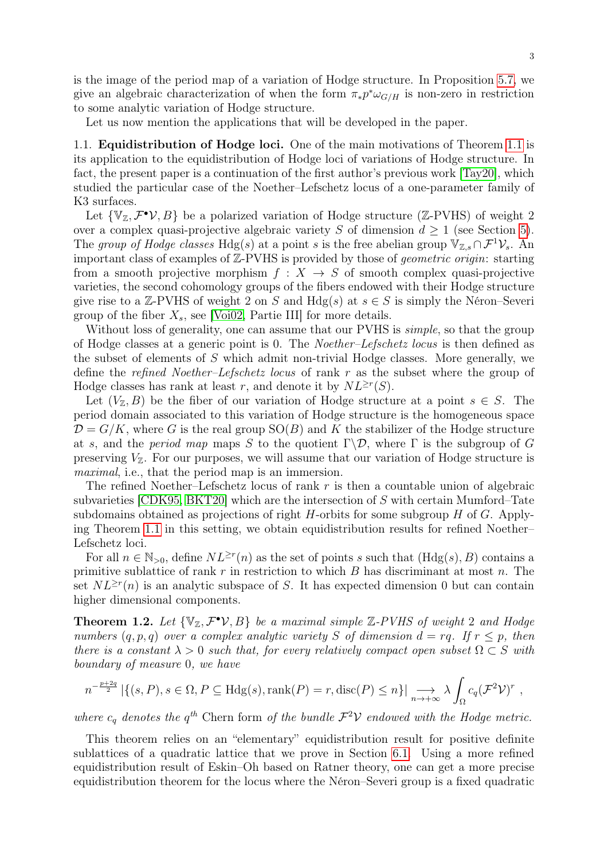is the image of the period map of a variation of Hodge structure. In Proposition [5.7,](#page-24-0) we give an algebraic characterization of when the form  $\pi_* p^* \omega_{G/H}$  is non-zero in restriction to some analytic variation of Hodge structure.

Let us now mention the applications that will be developed in the paper.

<span id="page-2-1"></span>1.1. Equidistribution of Hodge loci. One of the main motivations of Theorem [1.1](#page-1-0) is its application to the equidistribution of Hodge loci of variations of Hodge structure. In fact, the present paper is a continuation of the first author's previous work [\[Tay20\]](#page-46-6), which studied the particular case of the Noether–Lefschetz locus of a one-parameter family of K3 surfaces.

Let  $\{V_{\mathbb{Z}}, \mathcal{F}^{\bullet} \mathcal{V}, B\}$  be a polarized variation of Hodge structure (Z-PVHS) of weight 2 over a complex quasi-projective algebraic variety S of dimension  $d \geq 1$  (see Section [5\)](#page-21-0). The group of Hodge classes Hdg(s) at a point s is the free abelian group  $\mathbb{V}_{\mathbb{Z},s} \cap \mathcal{F}^1 \mathcal{V}_s$ . An important class of examples of Z-PVHS is provided by those of *geometric origin*: starting from a smooth projective morphism  $f: X \rightarrow S$  of smooth complex quasi-projective varieties, the second cohomology groups of the fibers endowed with their Hodge structure give rise to a Z-PVHS of weight 2 on S and  $Hdg(s)$  at  $s \in S$  is simply the Néron–Severi group of the fiber  $X_s$ , see [\[Voi02,](#page-46-7) Partie III] for more details.

Without loss of generality, one can assume that our PVHS is *simple*, so that the group of Hodge classes at a generic point is 0. The Noether–Lefschetz locus is then defined as the subset of elements of S which admit non-trivial Hodge classes. More generally, we define the refined Noether–Lefschetz locus of rank r as the subset where the group of Hodge classes has rank at least r, and denote it by  $NL^{\geq r}(S)$ .

Let  $(V_{\mathbb{Z}}, B)$  be the fiber of our variation of Hodge structure at a point  $s \in S$ . The period domain associated to this variation of Hodge structure is the homogeneous space  $\mathcal{D} = G/K$ , where G is the real group  $SO(B)$  and K the stabilizer of the Hodge structure at s, and the *period map* maps S to the quotient  $\Gamma \backslash \mathcal{D}$ , where  $\Gamma$  is the subgroup of G preserving  $V_{\mathbb{Z}}$ . For our purposes, we will assume that our variation of Hodge structure is maximal, i.e., that the period map is an immersion.

The refined Noether–Lefschetz locus of rank  $r$  is then a countable union of algebraic subvarieties  $\sim$  CDK95, BKT20 which are the intersection of S with certain Mumford–Tate subdomains obtained as projections of right  $H$ -orbits for some subgroup  $H$  of  $G$ . Applying Theorem [1.1](#page-1-0) in this setting, we obtain equidistribution results for refined Noether– Lefschetz loci.

For all  $n \in \mathbb{N}_{>0}$ , define  $NL^{\geq r}(n)$  as the set of points s such that  $(Hdg(s), B)$  contains a primitive sublattice of rank  $r$  in restriction to which  $B$  has discriminant at most  $n$ . The set  $NL^{\geq r}(n)$  is an analytic subspace of S. It has expected dimension 0 but can contain higher dimensional components.

<span id="page-2-0"></span>**Theorem 1.2.** Let  $\{V_{\mathbb{Z}}, \mathcal{F}^{\bullet}V, B\}$  be a maximal simple  $\mathbb{Z}$ -PVHS of weight 2 and Hodge numbers  $(q, p, q)$  over a complex analytic variety S of dimension  $d = rq$ . If  $r \leq p$ , then there is a constant  $\lambda > 0$  such that, for every relatively compact open subset  $\Omega \subset S$  with boundary of measure 0, we have

$$
n^{-\frac{p+2q}{2}} |\{(s,P), s \in \Omega, P \subseteq Hdg(s), \text{rank}(P) = r, \text{disc}(P) \leq n\}| \longrightarrow_{n \to +\infty} \lambda \int_{\Omega} c_q (\mathcal{F}^2 \mathcal{V})^r,
$$

where  $c_q$  denotes the  $q^{th}$  Chern form of the bundle  $\mathcal{F}^2 \mathcal{V}$  endowed with the Hodge metric.

This theorem relies on an "elementary" equidistribution result for positive definite sublattices of a quadratic lattice that we prove in Section [6.1.](#page-31-1) Using a more refined equidistribution result of Eskin–Oh based on Ratner theory, one can get a more precise equidistribution theorem for the locus where the Néron–Severi group is a fixed quadratic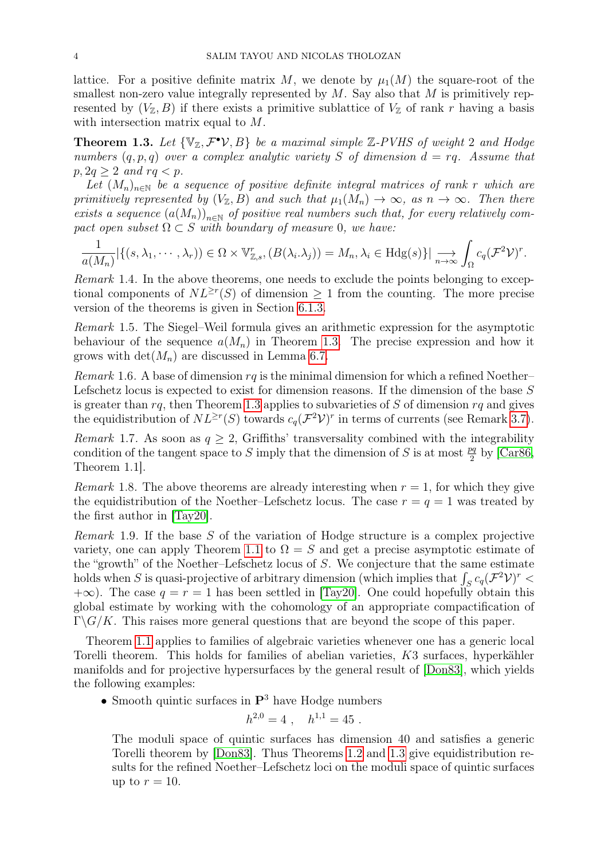lattice. For a positive definite matrix M, we denote by  $\mu_1(M)$  the square-root of the smallest non-zero value integrally represented by  $M$ . Say also that  $M$  is primitively represented by  $(V_{\mathbb{Z}}, B)$  if there exists a primitive sublattice of  $V_{\mathbb{Z}}$  of rank r having a basis with intersection matrix equal to  $M$ .

<span id="page-3-0"></span>**Theorem 1.3.** Let  $\{V_{\mathbb{Z}}, \mathcal{F}^{\bullet}V, B\}$  be a maximal simple  $\mathbb{Z}$ -PVHS of weight 2 and Hodge numbers  $(q, p, q)$  over a complex analytic variety S of dimension  $d = rq$ . Assume that  $p, 2q \geq 2$  and  $rq < p$ .

Let  $(M_n)_{n\in\mathbb{N}}$  be a sequence of positive definite integral matrices of rank r which are primitively represented by  $(V_{\mathbb{Z}}, B)$  and such that  $\mu_1(M_n) \to \infty$ , as  $n \to \infty$ . Then there exists a sequence  $(a(M_n))_{n\in\mathbb{N}}$  of positive real numbers such that, for every relatively compact open subset  $\Omega \subset S$  with boundary of measure 0, we have:

$$
\frac{1}{a(M_n)}\left|\{(s,\lambda_1,\dots,\lambda_r)\}\in\Omega\times\mathbb{V}_{\mathbb{Z},s}^r, (B(\lambda_i.\lambda_j))=M_n,\lambda_i\in\mathrm{Hdg}(s)\}\right|\underset{n\to\infty}{\longrightarrow}\int_{\Omega}c_q(\mathcal{F}^2\mathcal{V})^r.
$$

Remark 1.4. In the above theorems, one needs to exclude the points belonging to exceptional components of  $NL^{\geq r}(S)$  of dimension  $\geq 1$  from the counting. The more precise version of the theorems is given in Section [6.1.3.](#page-38-0)

Remark 1.5. The Siegel–Weil formula gives an arithmetic expression for the asymptotic behaviour of the sequence  $a(M_n)$  in Theorem [1.3.](#page-3-0) The precise expression and how it grows with  $\det(M_n)$  are discussed in Lemma [6.7.](#page-36-0)

*Remark* 1.6. A base of dimension  $rq$  is the minimal dimension for which a refined Noether– Lefschetz locus is expected to exist for dimension reasons. If the dimension of the base S is greater than  $rq$ , then Theorem [1.3](#page-3-0) applies to subvarieties of S of dimension  $rq$  and gives the equidistribution of  $NL^{\geq r}(S)$  towards  $c_q(\mathcal{F}^2\mathcal{V})^r$  in terms of currents (see Remark [3.7\)](#page-16-1).

*Remark* 1.7. As soon as  $q \geq 2$ , Griffiths' transversality combined with the integrability condition of the tangent space to S imply that the dimension of S is at most  $\frac{pq}{2}$  by [\[Car86,](#page-44-3) Theorem 1.1].

Remark 1.8. The above theorems are already interesting when  $r = 1$ , for which they give the equidistribution of the Noether–Lefschetz locus. The case  $r = q = 1$  was treated by the first author in [\[Tay20\]](#page-46-6).

Remark 1.9. If the base S of the variation of Hodge structure is a complex projective variety, one can apply Theorem [1.1](#page-1-0) to  $\Omega = S$  and get a precise asymptotic estimate of the "growth" of the Noether–Lefschetz locus of S. We conjecture that the same estimate holds when S is quasi-projective of arbitrary dimension (which implies that  $\int_S c_q(\mathcal{F}^2 \mathcal{V})^r$ )  $+\infty$ ). The case  $q = r = 1$  has been settled in [\[Tay20\]](#page-46-6). One could hopefully obtain this global estimate by working with the cohomology of an appropriate compactification of  $\Gamma \backslash G/K$ . This raises more general questions that are beyond the scope of this paper.

Theorem [1.1](#page-1-0) applies to families of algebraic varieties whenever one has a generic local Torelli theorem. This holds for families of abelian varieties, K3 surfaces, hyperkähler manifolds and for projective hypersurfaces by the general result of [\[Don83\]](#page-45-7), which yields the following examples:

• Smooth quintic surfaces in  $\mathbf{P}^3$  have Hodge numbers

$$
h^{2,0} = 4 \ , \quad h^{1,1} = 45 \ .
$$

The moduli space of quintic surfaces has dimension 40 and satisfies a generic Torelli theorem by [\[Don83\]](#page-45-7). Thus Theorems [1.2](#page-2-0) and [1.3](#page-3-0) give equidistribution results for the refined Noether–Lefschetz loci on the moduli space of quintic surfaces up to  $r = 10$ .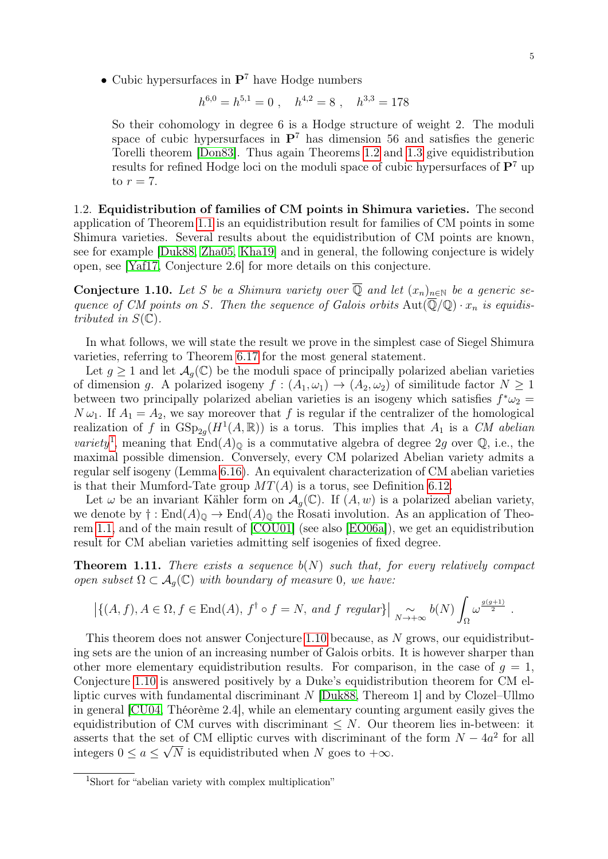• Cubic hypersurfaces in  $\mathbf{P}^7$  have Hodge numbers

$$
h^{6,0} = h^{5,1} = 0 \ , \quad h^{4,2} = 8 \ , \quad h^{3,3} = 178
$$

So their cohomology in degree 6 is a Hodge structure of weight 2. The moduli space of cubic hypersurfaces in  $\mathbf{P}^7$  has dimension 56 and satisfies the generic Torelli theorem [\[Don83\]](#page-45-7). Thus again Theorems [1.2](#page-2-0) and [1.3](#page-3-0) give equidistribution results for refined Hodge loci on the moduli space of cubic hypersurfaces of  $\mathbf{P}^7$  up to  $r = 7$ .

1.2. Equidistribution of families of CM points in Shimura varieties. The second application of Theorem [1.1](#page-1-0) is an equidistribution result for families of CM points in some Shimura varieties. Several results about the equidistribution of CM points are known, see for example [\[Duk88,](#page-45-8) [Zha05,](#page-46-8) [Kha19\]](#page-45-9) and in general, the following conjecture is widely open, see [\[Yaf17,](#page-46-9) Conjecture 2.6] for more details on this conjecture.

<span id="page-4-1"></span>**Conjecture 1.10.** Let S be a Shimura variety over  $\overline{Q}$  and let  $(x_n)_{n\in\mathbb{N}}$  be a generic sequence of CM points on S. Then the sequence of Galois orbits  $Aut(\overline{\mathbb{Q}}/\mathbb{Q}) \cdot x_n$  is equidistributed in  $S(\mathbb{C})$ .

In what follows, we will state the result we prove in the simplest case of Siegel Shimura varieties, referring to Theorem [6.17](#page-41-0) for the most general statement.

Let  $g \geq 1$  and let  $\mathcal{A}_g(\mathbb{C})$  be the moduli space of principally polarized abelian varieties of dimension g. A polarized isogeny  $f : (A_1, \omega_1) \to (A_2, \omega_2)$  of similitude factor  $N \ge 1$ between two principally polarized abelian varieties is an isogeny which satisfies  $f^*\omega_2 =$  $N \omega_1$ . If  $A_1 = A_2$ , we say moreover that f is regular if the centralizer of the homological realization of f in  $GSp_{2g}(H^1(A,\mathbb{R}))$  is a torus. This implies that  $A_1$  is a CM abelian variety<sup>[1](#page-4-0)</sup>, meaning that  $\text{End}(A)_{\mathbb{Q}}$  is a commutative algebra of degree 2g over  $\mathbb{Q}$ , i.e., the maximal possible dimension. Conversely, every CM polarized Abelian variety admits a regular self isogeny (Lemma [6.16\)](#page-41-1). An equivalent characterization of CM abelian varieties is that their Mumford-Tate group  $MT(A)$  is a torus, see Definition [6.12.](#page-40-0)

Let  $\omega$  be an invariant Kähler form on  $\mathcal{A}_{g}(\mathbb{C})$ . If  $(A, w)$  is a polarized abelian variety, we denote by  $\dagger : \text{End}(A)_{\mathbb{Q}} \to \text{End}(A)_{\mathbb{Q}}$  the Rosati involution. As an application of Theorem [1.1,](#page-1-0) and of the main result of [\[COU01\]](#page-45-10) (see also [\[EO06a\]](#page-45-11)), we get an equidistribution result for CM abelian varieties admitting self isogenies of fixed degree.

<span id="page-4-2"></span>**Theorem 1.11.** There exists a sequence  $b(N)$  such that, for every relatively compact open subset  $\Omega \subset A_o(\mathbb{C})$  with boundary of measure 0, we have:

$$
|\{(A, f), A \in \Omega, f \in \text{End}(A), f^{\dagger} \circ f = N, \text{ and } f \text{ regular}\}\|_{N \to +\infty} b(N) \int_{\Omega} \omega^{\frac{g(g+1)}{2}}.
$$

This theorem does not answer Conjecture [1.10](#page-4-1) because, as N grows, our equidistributing sets are the union of an increasing number of Galois orbits. It is however sharper than other more elementary equidistribution results. For comparison, in the case of  $g = 1$ , Conjecture [1.10](#page-4-1) is answered positively by a Duke's equidistribution theorem for CM elliptic curves with fundamental discriminant N [\[Duk88,](#page-45-8) Thereom 1] and by Clozel–Ullmo in general [\[CU04,](#page-45-12) Théorème 2.4], while an elementary counting argument easily gives the equidistribution of CM curves with discriminant  $\leq N$ . Our theorem lies in-between: it asserts that the set of CM elliptic curves with discriminant of the form  $N - 4a^2$  for all integers  $0 \le a \le \sqrt{N}$  is equidistributed when N goes to  $+\infty$ .

<span id="page-4-0"></span><sup>1</sup>Short for "abelian variety with complex multiplication"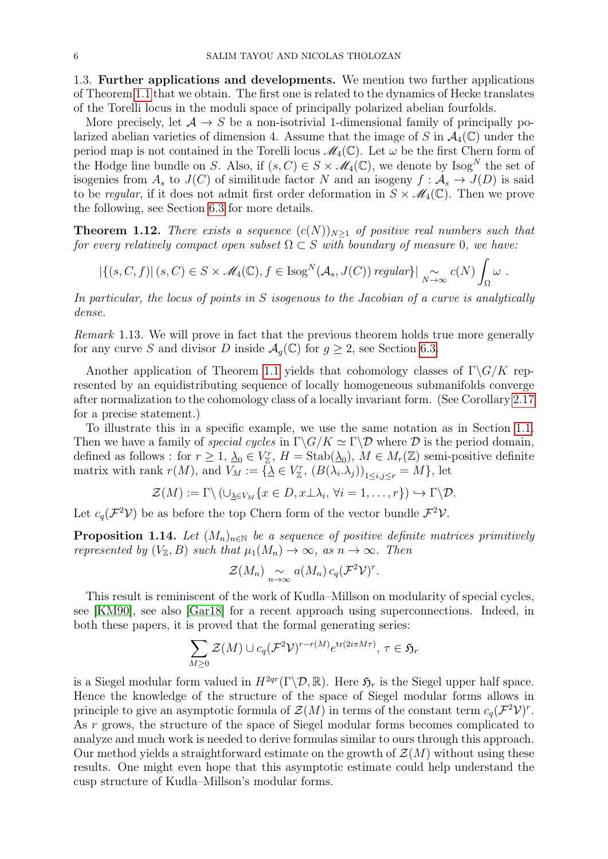1.3. Further applications and developments. We mention two further applications of Theorem [1.1](#page-1-0) that we obtain. The first one is related to the dynamics of Hecke translates of the Torelli locus in the moduli space of principally polarized abelian fourfolds.

More precisely, let  $A \rightarrow S$  be a non-isotrivial 1-dimensional family of principally polarized abelian varieties of dimension 4. Assume that the image of S in  $\mathcal{A}_4(\mathbb{C})$  under the period map is not contained in the Torelli locus  $\mathcal{M}_4(\mathbb{C})$ . Let  $\omega$  be the first Chern form of the Hodge line bundle on S. Also, if  $(s, C) \in S \times \mathcal{M}_4(\mathbb{C})$ , we denote by  $\text{Isog}^N$  the set of isogenies from  $A_s$  to  $J(C)$  of similitude factor N and an isogeny  $f : \mathcal{A}_s \to J(D)$  is said to be regular, if it does not admit first order deformation in  $S \times \mathcal{M}_4(\mathbb{C})$ . Then we prove the following, see Section [6.3](#page-43-0) for more details.

<span id="page-5-0"></span>**Theorem 1.12.** There exists a sequence  $(c(N))_{N>1}$  of positive real numbers such that for every relatively compact open subset  $\Omega \subset S$  with boundary of measure 0, we have:

$$
|\{(s, C, f) | (s, C) \in S \times \mathcal{M}_4(\mathbb{C}), f \in \text{Isog}^N(\mathcal{A}_s, J(C)) \text{ regular}\}\|_{N \to \infty} c(N) \int_{\Omega} \omega.
$$

In particular, the locus of points in S isogenous to the Jacobian of a curve is analytically dense.

Remark 1.13. We will prove in fact that the previous theorem holds true more generally for any curve S and divisor D inside  $\mathcal{A}_g(\mathbb{C})$  for  $g \geq 2$ , see Section [6.3.](#page-43-0)

Another application of Theorem [1.1](#page-1-0) yields that cohomology classes of  $\Gamma \backslash G/K$  represented by an equidistributing sequence of locally homogeneous submanifolds converge after normalization to the cohomology class of a locally invariant form. (See Corollary [2.17](#page-12-1) for a precise statement.)

To illustrate this in a specific example, we use the same notation as in Section [1.1.](#page-2-1) Then we have a family of *special cycles* in  $\Gamma \backslash G/K \simeq \Gamma \backslash \mathcal{D}$  where  $\mathcal D$  is the period domain, defined as follows : for  $r \geq 1$ ,  $\lambda_0 \in V_{\mathbb{Z}}^r$ ,  $H = \text{Stab}(\lambda_0)$ ,  $M \in M_r(\mathbb{Z})$  semi-positive definite matrix with rank  $r(M)$ , and  $V_M := {\{\underline{\lambda} \in V_{\mathbb{Z}}^r, (B(\lambda_i, \lambda_j))_{1 \le i,j \le r} = M\}}$ , let

$$
\mathcal{Z}(M) := \Gamma \setminus (\cup_{\underline{\lambda} \in V_M} \{x \in D, x \perp \lambda_i, \forall i = 1, \ldots, r\}) \hookrightarrow \Gamma \setminus \mathcal{D}.
$$

Let  $c_q(\mathcal{F}^2 \mathcal{V})$  be as before the top Chern form of the vector bundle  $\mathcal{F}^2 \mathcal{V}$ .

<span id="page-5-1"></span>**Proposition 1.14.** Let  $(M_n)_{n\in\mathbb{N}}$  be a sequence of positive definite matrices primitively represented by  $(V_{\mathbb{Z}}, B)$  such that  $\mu_1(M_n) \to \infty$ , as  $n \to \infty$ . Then

$$
\mathcal{Z}(M_n) \underset{n\to\infty}{\sim} a(M_n) c_q(\mathcal{F}^2 \mathcal{V})^r.
$$

This result is reminiscent of the work of Kudla–Millson on modularity of special cycles, see [\[KM90\]](#page-45-13), see also [\[Gar18\]](#page-45-14) for a recent approach using superconnections. Indeed, in both these papers, it is proved that the formal generating series:

$$
\sum_{M\geq 0} \mathcal{Z}(M) \cup c_q(\mathcal{F}^2 \mathcal{V})^{r-r(M)} e^{\text{tr}(2i\pi M\tau)}, \tau \in \mathfrak{H}_r
$$

is a Siegel modular form valued in  $H^{2qr}(\Gamma \backslash \mathcal{D}, \mathbb{R})$ . Here  $\mathfrak{H}_r$  is the Siegel upper half space. Hence the knowledge of the structure of the space of Siegel modular forms allows in principle to give an asymptotic formula of  $\mathcal{Z}(M)$  in terms of the constant term  $c_q(\mathcal{F}^2 \mathcal{V})^r$ . As r grows, the structure of the space of Siegel modular forms becomes complicated to analyze and much work is needed to derive formulas similar to ours through this approach. Our method yields a straightforward estimate on the growth of  $\mathcal{Z}(M)$  without using these results. One might even hope that this asymptotic estimate could help understand the cusp structure of Kudla–Millson's modular forms.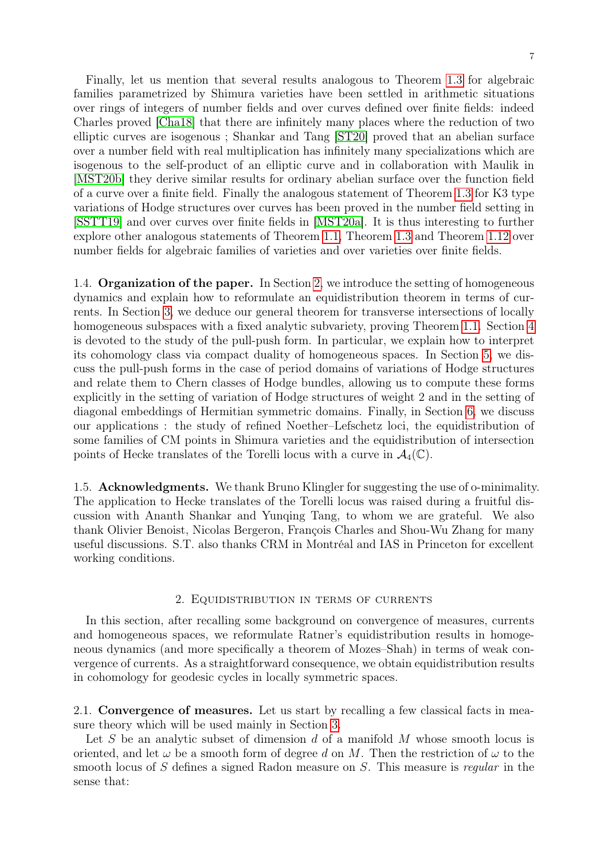Finally, let us mention that several results analogous to Theorem [1.3](#page-3-0) for algebraic families parametrized by Shimura varieties have been settled in arithmetic situations over rings of integers of number fields and over curves defined over finite fields: indeed Charles proved [\[Cha18\]](#page-44-4) that there are infinitely many places where the reduction of two elliptic curves are isogenous ; Shankar and Tang [\[ST20\]](#page-46-10) proved that an abelian surface over a number field with real multiplication has infinitely many specializations which are isogenous to the self-product of an elliptic curve and in collaboration with Maulik in [\[MST20b\]](#page-46-11) they derive similar results for ordinary abelian surface over the function field of a curve over a finite field. Finally the analogous statement of Theorem [1.3](#page-3-0) for K3 type variations of Hodge structures over curves has been proved in the number field setting in [\[SSTT19\]](#page-46-12) and over curves over finite fields in [\[MST20a\]](#page-46-13). It is thus interesting to further explore other analogous statements of Theorem [1.1,](#page-1-0) Theorem [1.3](#page-3-0) and Theorem [1.12](#page-5-0) over number fields for algebraic families of varieties and over varieties over finite fields.

1.4. Organization of the paper. In Section [2,](#page-6-0) we introduce the setting of homogeneous dynamics and explain how to reformulate an equidistribution theorem in terms of currents. In Section [3,](#page-12-0) we deduce our general theorem for transverse intersections of locally homogeneous subspaces with a fixed analytic subvariety, proving Theorem [1.1.](#page-1-0) Section [4](#page-16-0) is devoted to the study of the pull-push form. In particular, we explain how to interpret its cohomology class via compact duality of homogeneous spaces. In Section [5,](#page-21-0) we discuss the pull-push forms in the case of period domains of variations of Hodge structures and relate them to Chern classes of Hodge bundles, allowing us to compute these forms explicitly in the setting of variation of Hodge structures of weight 2 and in the setting of diagonal embeddings of Hermitian symmetric domains. Finally, in Section [6,](#page-31-0) we discuss our applications : the study of refined Noether–Lefschetz loci, the equidistribution of some families of CM points in Shimura varieties and the equidistribution of intersection points of Hecke translates of the Torelli locus with a curve in  $\mathcal{A}_4(\mathbb{C})$ .

1.5. Acknowledgments. We thank Bruno Klingler for suggesting the use of o-minimality. The application to Hecke translates of the Torelli locus was raised during a fruitful discussion with Ananth Shankar and Yunqing Tang, to whom we are grateful. We also thank Olivier Benoist, Nicolas Bergeron, François Charles and Shou-Wu Zhang for many useful discussions. S.T. also thanks CRM in Montréal and IAS in Princeton for excellent working conditions.

#### 2. Equidistribution in terms of currents

<span id="page-6-0"></span>In this section, after recalling some background on convergence of measures, currents and homogeneous spaces, we reformulate Ratner's equidistribution results in homogeneous dynamics (and more specifically a theorem of Mozes–Shah) in terms of weak convergence of currents. As a straightforward consequence, we obtain equidistribution results in cohomology for geodesic cycles in locally symmetric spaces.

2.1. Convergence of measures. Let us start by recalling a few classical facts in measure theory which will be used mainly in Section [3.](#page-12-0)

Let S be an analytic subset of dimension d of a manifold  $M$  whose smooth locus is oriented, and let  $\omega$  be a smooth form of degree d on M. Then the restriction of  $\omega$  to the smooth locus of S defines a signed Radon measure on S. This measure is regular in the sense that: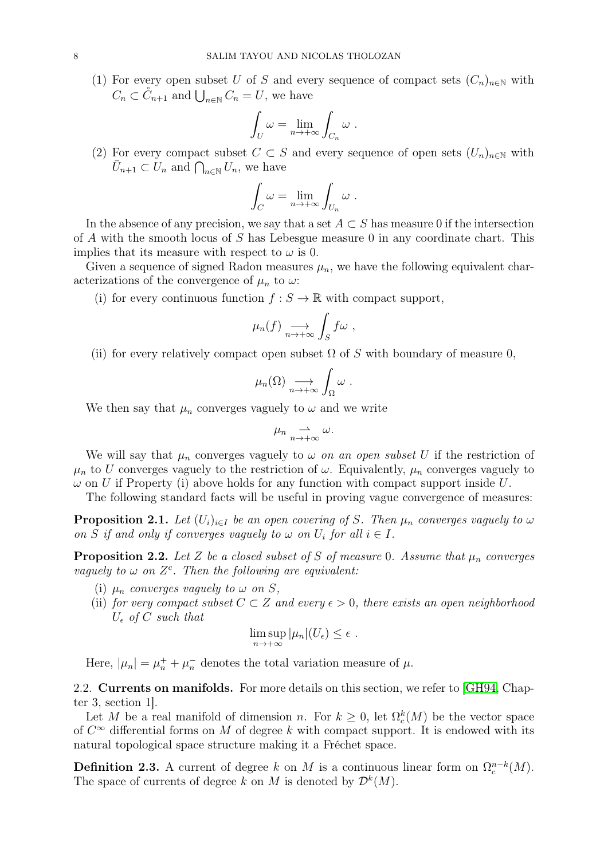(1) For every open subset U of S and every sequence of compact sets  $(C_n)_{n\in\mathbb{N}}$  with  $C_n \subset \overset{\circ}{C}_{n+1}$  and  $\bigcup_{n\in\mathbb{N}} C_n = U$ , we have

$$
\int_U \omega = \lim_{n \to +\infty} \int_{C_n} \omega \; .
$$

(2) For every compact subset  $C \subset S$  and every sequence of open sets  $(U_n)_{n\in\mathbb{N}}$  with  $\bar{U}_{n+1} \subset \tilde{U}_n$  and  $\bigcap_{n \in \mathbb{N}} U_n$ , we have

$$
\int_C \omega = \lim_{n \to +\infty} \int_{U_n} \omega \; .
$$

In the absence of any precision, we say that a set  $A \subset S$  has measure 0 if the intersection of A with the smooth locus of S has Lebesgue measure 0 in any coordinate chart. This implies that its measure with respect to  $\omega$  is 0.

Given a sequence of signed Radon measures  $\mu_n$ , we have the following equivalent characterizations of the convergence of  $\mu_n$  to  $\omega$ :

(i) for every continuous function  $f : S \to \mathbb{R}$  with compact support,

$$
\mu_n(f) \underset{n \to +\infty}{\longrightarrow} \int_S f \omega ,
$$

(ii) for every relatively compact open subset  $\Omega$  of S with boundary of measure 0,

$$
\mu_n(\Omega) \underset{n \to +\infty}{\longrightarrow} \int_{\Omega} \omega .
$$

We then say that  $\mu_n$  converges vaguely to  $\omega$  and we write

$$
\mu_n \underset{n \to +\infty}{\rightharpoonup} \omega.
$$

We will say that  $\mu_n$  converges vaguely to  $\omega$  on an open subset U if the restriction of  $\mu_n$  to U converges vaguely to the restriction of  $\omega$ . Equivalently,  $\mu_n$  converges vaguely to  $\omega$  on U if Property (i) above holds for any function with compact support inside U.

The following standard facts will be useful in proving vague convergence of measures:

<span id="page-7-0"></span>**Proposition 2.1.** Let  $(U_i)_{i\in I}$  be an open covering of S. Then  $\mu_n$  converges vaguely to  $\omega$ on S if and only if converges vaguely to  $\omega$  on  $U_i$  for all  $i \in I$ .

<span id="page-7-1"></span>**Proposition 2.2.** Let Z be a closed subset of S of measure 0. Assume that  $\mu_n$  converges vaguely to  $\omega$  on  $Z<sup>c</sup>$ . Then the following are equivalent:

- (i)  $\mu_n$  converges vaguely to  $\omega$  on S,
- (ii) for very compact subset  $C \subset Z$  and every  $\epsilon > 0$ , there exists an open neighborhood  $U_{\epsilon}$  of C such that

$$
\limsup_{n\to+\infty}|\mu_n|(U_{\epsilon})\leq\epsilon.
$$

Here,  $|\mu_n| = \mu_n^+ + \mu_n^-$  denotes the total variation measure of  $\mu$ .

2.2. **Currents on manifolds.** For more details on this section, we refer to [\[GH94,](#page-45-15) Chapter 3, section 1].

Let M be a real manifold of dimension n. For  $k \geq 0$ , let  $\Omega_c^k(M)$  be the vector space of  $C^{\infty}$  differential forms on M of degree k with compact support. It is endowed with its natural topological space structure making it a Fréchet space.

**Definition 2.3.** A current of degree k on M is a continuous linear form on  $\Omega_c^{n-k}(M)$ . The space of currents of degree k on M is denoted by  $\mathcal{D}^k(M)$ .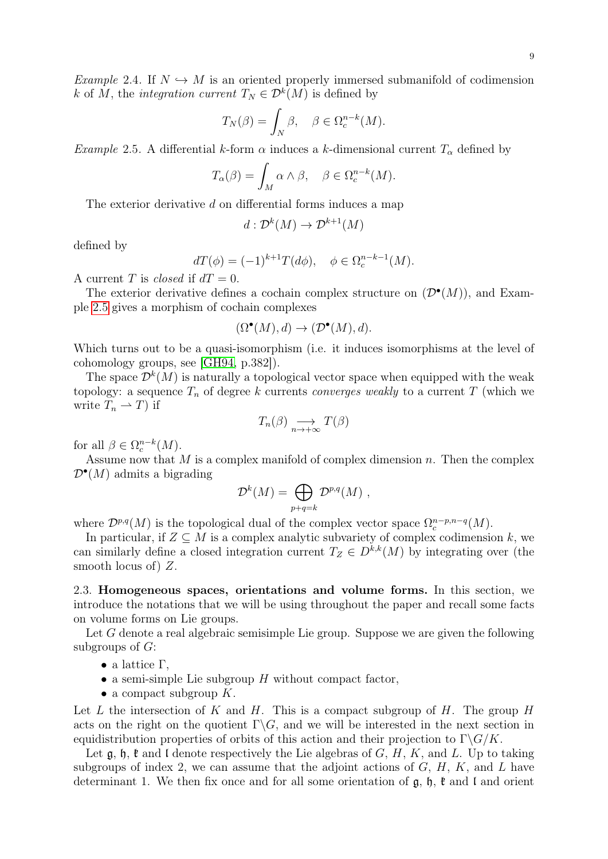9

Example 2.4. If  $N \hookrightarrow M$  is an oriented properly immersed submanifold of codimension k of M, the integration current  $T_N \in \mathcal{D}^k(M)$  is defined by

$$
T_N(\beta) = \int_N \beta, \quad \beta \in \Omega_c^{n-k}(M).
$$

<span id="page-8-1"></span>Example 2.5. A differential k-form  $\alpha$  induces a k-dimensional current  $T_{\alpha}$  defined by

$$
T_{\alpha}(\beta) = \int_M \alpha \wedge \beta, \quad \beta \in \Omega_c^{n-k}(M).
$$

The exterior derivative d on differential forms induces a map

$$
d: \mathcal{D}^k(M) \to \mathcal{D}^{k+1}(M)
$$

defined by

$$
dT(\phi) = (-1)^{k+1} T(d\phi), \quad \phi \in \Omega_c^{n-k-1}(M).
$$

A current T is *closed* if  $dT = 0$ .

The exterior derivative defines a cochain complex structure on  $(\mathcal{D}^{\bullet}(M))$ , and Example [2.5](#page-8-1) gives a morphism of cochain complexes

$$
(\Omega^{\bullet}(M), d) \to (\mathcal{D}^{\bullet}(M), d).
$$

Which turns out to be a quasi-isomorphism (i.e. it induces isomorphisms at the level of cohomology groups, see [\[GH94,](#page-45-15) p.382]).

The space  $\mathcal{D}^{k}(M)$  is naturally a topological vector space when equipped with the weak topology: a sequence  $T_n$  of degree k currents *converges weakly* to a current T (which we write  $T_n \rightharpoonup T$ ) if

$$
T_n(\beta) \underset{n \to +\infty}{\longrightarrow} T(\beta)
$$

for all  $\beta \in \Omega_c^{n-k}(M)$ .

Assume now that  $M$  is a complex manifold of complex dimension  $n$ . Then the complex  $\mathcal{D}^{\bullet}(M)$  admits a bigrading

$$
\mathcal{D}^k(M) = \bigoplus_{p+q=k} \mathcal{D}^{p,q}(M) ,
$$

where  $\mathcal{D}^{p,q}(M)$  is the topological dual of the complex vector space  $\Omega_c^{n-p,n-q}(M)$ .

In particular, if  $Z \subseteq M$  is a complex analytic subvariety of complex codimension k, we can similarly define a closed integration current  $T_Z \in D^{k,k}(M)$  by integrating over (the smooth locus of) Z.

<span id="page-8-0"></span>2.3. Homogeneous spaces, orientations and volume forms. In this section, we introduce the notations that we will be using throughout the paper and recall some facts on volume forms on Lie groups.

Let G denote a real algebraic semisimple Lie group. Suppose we are given the following subgroups of  $G$ :

- a lattice  $\Gamma$ ,
- a semi-simple Lie subgroup  $H$  without compact factor,
- a compact subgroup  $K$ .

Let L the intersection of K and H. This is a compact subgroup of H. The group H acts on the right on the quotient  $\Gamma \backslash G$ , and we will be interested in the next section in equidistribution properties of orbits of this action and their projection to  $\Gamma \backslash G/K$ .

Let  $\mathfrak{g}, \mathfrak{h}, \mathfrak{k}$  and I denote respectively the Lie algebras of  $G, H, K$ , and L. Up to taking subgroups of index 2, we can assume that the adjoint actions of  $G, H, K$ , and  $L$  have determinant 1. We then fix once and for all some orientation of  $\mathfrak{g}$ ,  $\mathfrak{h}$ ,  $\mathfrak{k}$  and  $\mathfrak{l}$  and orient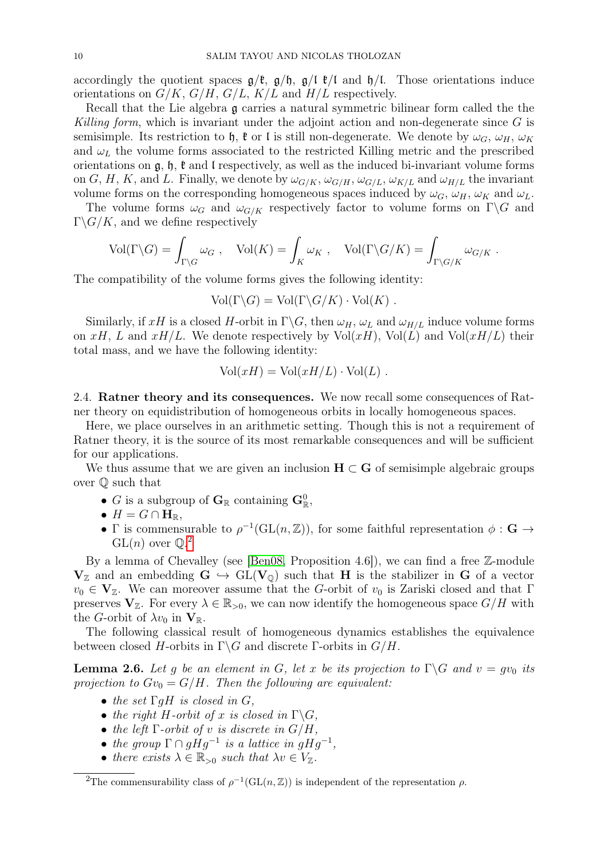accordingly the quotient spaces  $g/\ell$ ,  $g/\ell$ ,  $g/\ell$ ,  $g/\ell$  and  $h/\ell$ . Those orientations induce orientations on  $G/K$ ,  $G/H$ ,  $G/L$ ,  $K/L$  and  $H/L$  respectively.

Recall that the Lie algebra g carries a natural symmetric bilinear form called the the Killing form, which is invariant under the adjoint action and non-degenerate since  $G$  is semisimple. Its restriction to h,  $\mathfrak{k}$  or l is still non-degenerate. We denote by  $\omega_G$ ,  $\omega_H$ ,  $\omega_K$ and  $\omega_L$  the volume forms associated to the restricted Killing metric and the prescribed orientations on  $\mathfrak{g}, \mathfrak{h}, \mathfrak{k}$  and l respectively, as well as the induced bi-invariant volume forms on G, H, K, and L. Finally, we denote by  $\omega_{G/K}$ ,  $\omega_{G/H}$ ,  $\omega_{G/L}$ ,  $\omega_{K/L}$  and  $\omega_{H/L}$  the invariant volume forms on the corresponding homogeneous spaces induced by  $\omega_G$ ,  $\omega_H$ ,  $\omega_K$  and  $\omega_L$ .

The volume forms  $\omega_G$  and  $\omega_{G/K}$  respectively factor to volume forms on  $\Gamma \backslash G$  and  $\Gamma \backslash G/K$ , and we define respectively

$$
\text{Vol}(\Gamma \backslash G) = \int_{\Gamma \backslash G} \omega_G , \quad \text{Vol}(K) = \int_K \omega_K , \quad \text{Vol}(\Gamma \backslash G/K) = \int_{\Gamma \backslash G/K} \omega_{G/K} .
$$

The compatibility of the volume forms gives the following identity:

$$
Vol(\Gamma \backslash G) = Vol(\Gamma \backslash G / K) \cdot Vol(K) .
$$

Similarly, if xH is a closed H-orbit in  $\Gamma \backslash G$ , then  $\omega_H$ ,  $\omega_L$  and  $\omega_{H/L}$  induce volume forms on xH, L and xH/L. We denote respectively by  $Vol(xH)$ ,  $Vol(L)$  and  $Vol(xH/L)$  their total mass, and we have the following identity:

$$
Vol(xH) = Vol(xH/L) \cdot Vol(L) .
$$

<span id="page-9-1"></span>2.4. Ratner theory and its consequences. We now recall some consequences of Ratner theory on equidistribution of homogeneous orbits in locally homogeneous spaces.

Here, we place ourselves in an arithmetic setting. Though this is not a requirement of Ratner theory, it is the source of its most remarkable consequences and will be sufficient for our applications.

We thus assume that we are given an inclusion  $H \subset G$  of semisimple algebraic groups over Q such that

- G is a subgroup of  $\mathbf{G}_{\mathbb{R}}$  containing  $\mathbf{G}_{\mathbb{R}}^0$ ,
- $H = G \cap \mathbf{H}_{\mathbb{R}}$
- Γ is commensurable to  $\rho^{-1}(GL(n,\mathbb{Z}))$ , for some faithful representation  $\phi : \mathbf{G} \to$  $GL(n)$  over  $\mathbb{Q}^2$  $\mathbb{Q}^2$ .

By a lemma of Chevalley (see [\[Ben08,](#page-44-5) Proposition 4.6]), we can find a free  $\mathbb{Z}$ -module  $V_{\mathbb{Z}}$  and an embedding  $G \hookrightarrow GL(V_{\mathbb{Q}})$  such that H is the stabilizer in G of a vector  $v_0 \in V_{\mathbb{Z}}$ . We can moreover assume that the G-orbit of  $v_0$  is Zariski closed and that Γ preserves  $V_{\mathbb{Z}}$ . For every  $\lambda \in \mathbb{R}_{>0}$ , we can now identify the homogeneous space  $G/H$  with the G-orbit of  $\lambda v_0$  in  $\mathbf{V}_{\mathbb{R}}$ .

The following classical result of homogeneous dynamics establishes the equivalence between closed H-orbits in  $\Gamma \backslash G$  and discrete  $\Gamma$ -orbits in  $G/H$ .

**Lemma 2.6.** Let g be an element in G, let x be its projection to  $\Gamma \backslash G$  and  $v = gv_0$  its projection to  $Gv_0 = G/H$ . Then the following are equivalent:

- the set  $\Gamma$ qH is closed in G,
- the right H-orbit of x is closed in  $\Gamma \backslash G$ ,
- the left  $\Gamma$ -orbit of v is discrete in  $G/H$ ,
- the group  $\Gamma \cap gHg^{-1}$  is a lattice in  $gHg^{-1}$ ,
- there exists  $\lambda \in \mathbb{R}_{>0}$  such that  $\lambda v \in V_{\mathbb{Z}}$ .

<span id="page-9-0"></span><sup>&</sup>lt;sup>2</sup>The commensurability class of  $\rho^{-1}(GL(n,\mathbb{Z}))$  is independent of the representation  $\rho$ .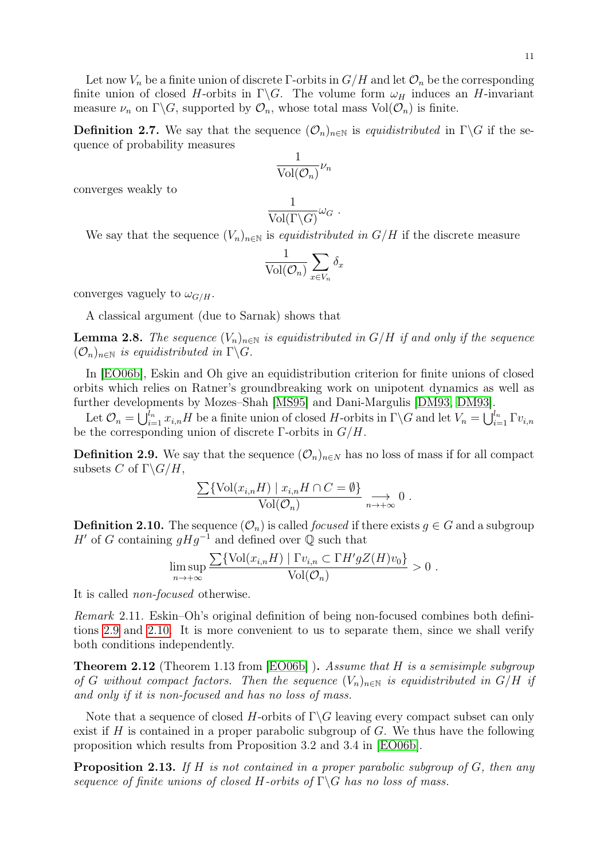Let now  $V_n$  be a finite union of discrete Γ-orbits in  $G/H$  and let  $\mathcal{O}_n$  be the corresponding finite union of closed H-orbits in  $\Gamma \backslash G$ . The volume form  $\omega_H$  induces an H-invariant measure  $\nu_n$  on  $\Gamma \backslash G$ , supported by  $\mathcal{O}_n$ , whose total mass  $\text{Vol}(\mathcal{O}_n)$  is finite.

**Definition 2.7.** We say that the sequence  $(\mathcal{O}_n)_{n\in\mathbb{N}}$  is *equidistributed* in  $\Gamma\backslash G$  if the sequence of probability measures

$$
\frac{1}{\text{Vol}(\mathcal{O}_n)}\nu_n
$$

converges weakly to

$$
\frac{1}{\text{Vol}(\Gamma \backslash G)} \omega_G.
$$

We say that the sequence  $(V_n)_{n\in\mathbb{N}}$  is *equidistributed in G/H* if the discrete measure

$$
\frac{1}{\text{Vol}(\mathcal{O}_n)}\sum_{x\in V_n}\delta_x
$$

converges vaguely to  $\omega_{G/H}$ .

A classical argument (due to Sarnak) shows that

<span id="page-10-3"></span>**Lemma 2.8.** The sequence  $(V_n)_{n\in\mathbb{N}}$  is equidistributed in  $G/H$  if and only if the sequence  $(\mathcal{O}_n)_{n\in\mathbb{N}}$  is equidistributed in  $\Gamma\backslash G$ .

In [\[EO06b\]](#page-45-2), Eskin and Oh give an equidistribution criterion for finite unions of closed orbits which relies on Ratner's groundbreaking work on unipotent dynamics as well as further developments by Mozes–Shah [\[MS95\]](#page-46-2) and Dani-Margulis [\[DM93, DM93\]](#page-45-16).

Let  $\mathcal{O}_n = \bigcup_{i=1}^{l_n} x_{i,n}H$  be a finite union of closed H-orbits in  $\Gamma \backslash G$  and let  $V_n = \bigcup_{i=1}^{l_n} \Gamma v_{i,n}$ be the corresponding union of discrete  $\Gamma$ -orbits in  $G/H$ .

<span id="page-10-0"></span>**Definition 2.9.** We say that the sequence  $(\mathcal{O}_n)_{n\in\mathbb{N}}$  has no loss of mass if for all compact subsets C of  $\Gamma \backslash G/H$ ,

$$
\frac{\sum \{ \text{Vol}(x_{i,n}H) \mid x_{i,n}H \cap C = \emptyset \}}{\text{Vol}(\mathcal{O}_n)} \underset{n \to +\infty}{\longrightarrow} 0.
$$

<span id="page-10-1"></span>**Definition 2.10.** The sequence  $(\mathcal{O}_n)$  is called *focused* if there exists  $g \in G$  and a subgroup H' of G containing  $gHg^{-1}$  and defined over Q such that

$$
\limsup_{n\to+\infty}\frac{\sum\{\text{Vol}(x_{i,n}H) \mid \Gamma v_{i,n}\subset \Gamma H'gZ(H)v_0\}}{\text{Vol}(\mathcal{O}_n)} > 0.
$$

It is called non-focused otherwise.

Remark 2.11. Eskin–Oh's original definition of being non-focused combines both definitions [2.9](#page-10-0) and [2.10.](#page-10-1) It is more convenient to us to separate them, since we shall verify both conditions independently.

<span id="page-10-2"></span>**Theorem 2.12** (Theorem 1.13 from [\[EO06b\]](#page-45-2)). Assume that H is a semisimple subgroup of G without compact factors. Then the sequence  $(V_n)_{n\in\mathbb{N}}$  is equidistributed in  $G/H$  if and only if it is non-focused and has no loss of mass.

Note that a sequence of closed H-orbits of  $\Gamma \backslash G$  leaving every compact subset can only exist if  $H$  is contained in a proper parabolic subgroup of  $G$ . We thus have the following proposition which results from Proposition 3.2 and 3.4 in [\[EO06b\]](#page-45-2).

**Proposition 2.13.** If H is not contained in a proper parabolic subgroup of  $G$ , then any sequence of finite unions of closed H-orbits of  $\Gamma \backslash G$  has no loss of mass.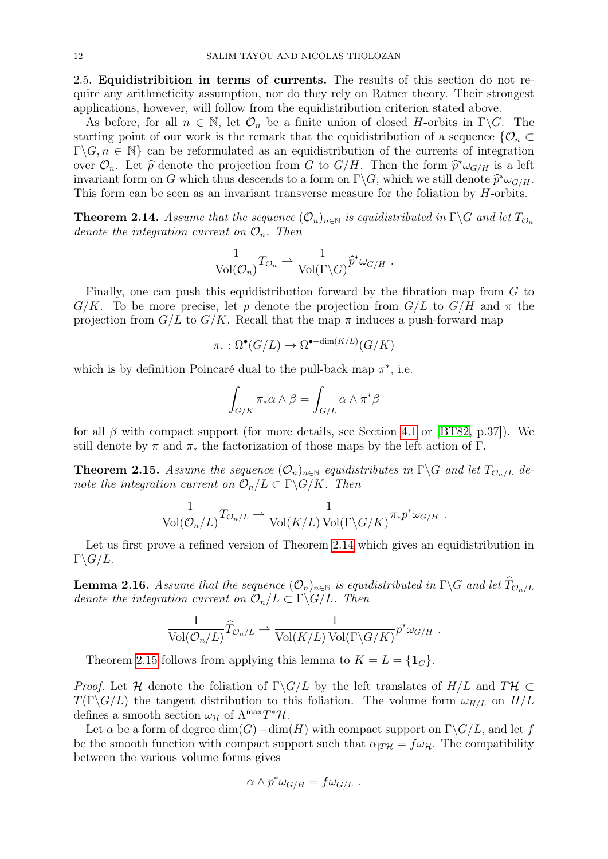<span id="page-11-3"></span>2.5. Equidistribition in terms of currents. The results of this section do not require any arithmeticity assumption, nor do they rely on Ratner theory. Their strongest applications, however, will follow from the equidistribution criterion stated above.

As before, for all  $n \in \mathbb{N}$ , let  $\mathcal{O}_n$  be a finite union of closed H-orbits in  $\Gamma \backslash G$ . The starting point of our work is the remark that the equidistribution of a sequence  $\{\mathcal{O}_n\subset$  $\Gamma \backslash G, n \in \mathbb{N}$  can be reformulated as an equidistribution of the currents of integration over  $\mathcal{O}_n$ . Let  $\hat{p}$  denote the projection from G to  $G/H$ . Then the form  $\hat{p}^*\omega_{G/H}$  is a left<br>invariant form on G which thus descends to a form on  $\Gamma \backslash G$  which we still denote  $\hat{p}^*\omega_{G/H}$ invariant form on G which thus descends to a form on  $\Gamma \backslash G$ , which we still denote  $\hat{p}^* \omega_{G/H}$ .<br>This form can be seen as an invariant transverse measure for the foliation by H-orbits This form can be seen as an invariant transverse measure for the foliation by  $H$ -orbits.

<span id="page-11-0"></span>**Theorem 2.14.** Assume that the sequence  $(\mathcal{O}_n)_{n\in\mathbb{N}}$  is equidistributed in  $\Gamma\backslash G$  and let  $T_{\mathcal{O}_n}$ denote the integration current on  $\mathcal{O}_n$ . Then

$$
\frac{1}{\text{Vol}(\mathcal{O}_n)} T_{\mathcal{O}_n} \rightharpoonup \frac{1}{\text{Vol}(\Gamma \backslash G)} \widehat{p}^* \omega_{G/H}.
$$

Finally, one can push this equidistribution forward by the fibration map from G to  $G/K$ . To be more precise, let p denote the projection from  $G/L$  to  $G/H$  and  $\pi$  the projection from  $G/L$  to  $G/K$ . Recall that the map  $\pi$  induces a push-forward map

$$
\pi_*: \Omega^{\bullet}(G/L) \to \Omega^{\bullet - \dim(K/L)}(G/K)
$$

which is by definition Poincaré dual to the pull-back map  $\pi^*$ , i.e.

$$
\int_{G/K} \pi_*\alpha \wedge \beta = \int_{G/L} \alpha \wedge \pi^* \beta
$$

for all  $\beta$  with compact support (for more details, see Section [4.1](#page-16-2) or [\[BT82,](#page-44-6) p.37]). We still denote by  $\pi$  and  $\pi_*$  the factorization of those maps by the left action of Γ.

<span id="page-11-1"></span>**Theorem 2.15.** Assume the sequence  $(\mathcal{O}_n)_{n\in\mathbb{N}}$  equidistributes in  $\Gamma\backslash G$  and let  $T_{\mathcal{O}_n/L}$  denote the integration current on  $\mathcal{O}_n/L \subset \Gamma \backslash G/K$ . Then

$$
\frac{1}{\text{Vol}(\mathcal{O}_n/L)} T_{\mathcal{O}_n/L} \rightharpoonup \frac{1}{\text{Vol}(K/L) \text{Vol}(\Gamma \backslash G/K)} \pi_* p^* \omega_{G/H}.
$$

Let us first prove a refined version of Theorem [2.14](#page-11-0) which gives an equidistribution in  $\Gamma \backslash G/L$ .

<span id="page-11-2"></span>**Lemma 2.16.** Assume that the sequence  $(\mathcal{O}_n)_{n\in\mathbb{N}}$  is equidistributed in  $\Gamma\backslash G$  and let  $\widehat{T}_{\mathcal{O}_n/L}$ denote the integration current on  $\mathcal{O}_n/L \subset \Gamma \backslash G/L$ . Then

$$
\frac{1}{\text{Vol}(\mathcal{O}_n/L)}\widehat{T}_{\mathcal{O}_n/L} \rightharpoonup \frac{1}{\text{Vol}(K/L)\,\text{Vol}(\Gamma\backslash G/K)}p^*\omega_{G/H}.
$$

Theorem [2.15](#page-11-1) follows from applying this lemma to  $K = L = \{1_G\}.$ 

*Proof.* Let H denote the foliation of  $\Gamma \backslash G/L$  by the left translates of  $H/L$  and  $T\mathcal{H} \subset$  $T(\Gamma \backslash G/L)$  the tangent distribution to this foliation. The volume form  $\omega_{H/L}$  on  $H/L$ defines a smooth section  $\omega_{\mathcal{H}}$  of  $\Lambda^{\max}T^*\mathcal{H}$ .

Let  $\alpha$  be a form of degree  $\dim(G) - \dim(H)$  with compact support on  $\Gamma \backslash G/L$ , and let f be the smooth function with compact support such that  $\alpha_{TT} = f \omega_{\mathcal{H}}$ . The compatibility between the various volume forms gives

$$
\alpha \wedge p^* \omega_{G/H} = f \omega_{G/L} .
$$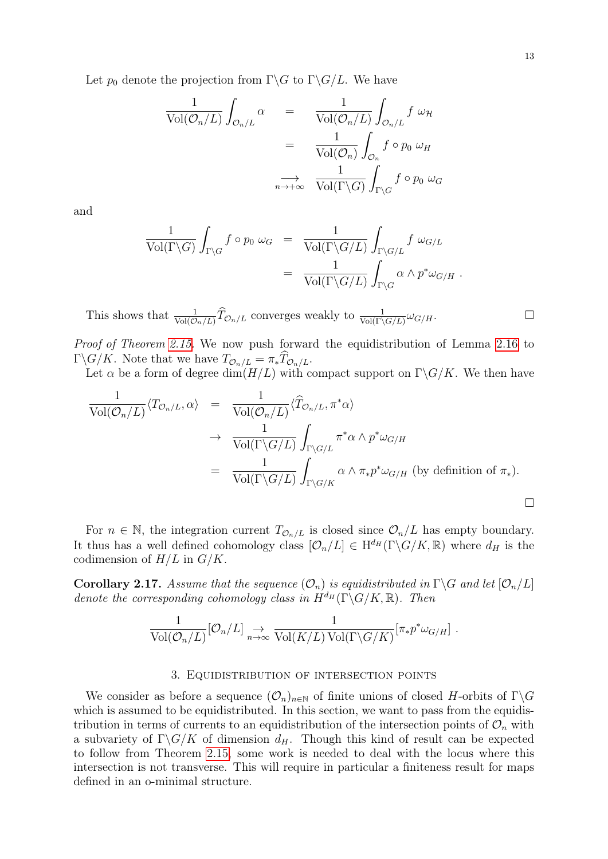Let  $p_0$  denote the projection from  $\Gamma \backslash G$  to  $\Gamma \backslash G/L$ . We have

$$
\frac{1}{\text{Vol}(\mathcal{O}_n/L)} \int_{\mathcal{O}_n/L} \alpha = \frac{1}{\text{Vol}(\mathcal{O}_n/L)} \int_{\mathcal{O}_n/L} f \omega_{\mathcal{H}}
$$

$$
= \frac{1}{\text{Vol}(\mathcal{O}_n)} \int_{\mathcal{O}_n} f \circ p_0 \omega_H
$$

$$
\xrightarrow[n \to +\infty]{} \frac{1}{\text{Vol}(\Gamma \backslash G)} \int_{\Gamma \backslash G} f \circ p_0 \omega_G
$$

and

$$
\frac{1}{\text{Vol}(\Gamma \backslash G)} \int_{\Gamma \backslash G} f \circ p_0 \, \omega_G = \frac{1}{\text{Vol}(\Gamma \backslash G/L)} \int_{\Gamma \backslash G/L} f \, \omega_{G/L}
$$
\n
$$
= \frac{1}{\text{Vol}(\Gamma \backslash G/L)} \int_{\Gamma \backslash G} \alpha \wedge p^* \omega_{G/H} .
$$

This shows that  $\frac{1}{\text{Vol}(\mathcal{O}_n/L)} \widehat{T}_{\mathcal{O}_n/L}$  converges weakly to  $\frac{1}{\text{Vol}(\Gamma\backslash G/L)} \omega_{G/H}$ .

Proof of Theorem [2.15.](#page-11-1) We now push forward the equidistribution of Lemma [2.16](#page-11-2) to  $\Gamma \backslash G/K$ . Note that we have  $T_{\mathcal{O}_n/L} = \pi_* T_{\mathcal{O}_n/L}$ .

Let  $\alpha$  be a form of degree dim( $H/L$ ) with compact support on  $\Gamma \backslash G/K$ . We then have

$$
\frac{1}{\text{Vol}(\mathcal{O}_n/L)} \langle T_{\mathcal{O}_n/L}, \alpha \rangle = \frac{1}{\text{Vol}(\mathcal{O}_n/L)} \langle \widehat{T}_{\mathcal{O}_n/L}, \pi^* \alpha \rangle
$$
  
\n
$$
\rightarrow \frac{1}{\text{Vol}(\Gamma \backslash G/L)} \int_{\Gamma \backslash G/L} \pi^* \alpha \wedge p^* \omega_{G/H}
$$
  
\n
$$
= \frac{1}{\text{Vol}(\Gamma \backslash G/L)} \int_{\Gamma \backslash G/K} \alpha \wedge \pi_* p^* \omega_{G/H} \text{ (by definition of } \pi_*).
$$

For  $n \in \mathbb{N}$ , the integration current  $T_{\mathcal{O}_n/L}$  is closed since  $\mathcal{O}_n/L$  has empty boundary. It thus has a well defined cohomology class  $[\mathcal{O}_n/L] \in H^{d_H}(\Gamma \backslash G/K, \mathbb{R})$  where  $d_H$  is the codimension of  $H/L$  in  $G/K$ .

<span id="page-12-1"></span>**Corollary 2.17.** Assume that the sequence  $(\mathcal{O}_n)$  is equidistributed in  $\Gamma \backslash G$  and let  $[\mathcal{O}_n/L]$ denote the corresponding cohomology class in  $H^{d_H}(\Gamma \backslash G/K, \mathbb{R})$ . Then

$$
\frac{1}{\text{Vol}(\mathcal{O}_n/L)}[\mathcal{O}_n/L] \underset{n \to \infty}{\to} \frac{1}{\text{Vol}(K/L)\text{Vol}(\Gamma \backslash G/K)}[\pi_* p^* \omega_{G/H}].
$$

### 3. Equidistribution of intersection points

<span id="page-12-0"></span>We consider as before a sequence  $(\mathcal{O}_n)_{n\in\mathbb{N}}$  of finite unions of closed H-orbits of  $\Gamma\backslash G$ which is assumed to be equidistributed. In this section, we want to pass from the equidistribution in terms of currents to an equidistribution of the intersection points of  $\mathcal{O}_n$  with a subvariety of  $\Gamma \backslash G/K$  of dimension  $d_H$ . Though this kind of result can be expected to follow from Theorem [2.15,](#page-11-1) some work is needed to deal with the locus where this intersection is not transverse. This will require in particular a finiteness result for maps defined in an o-minimal structure.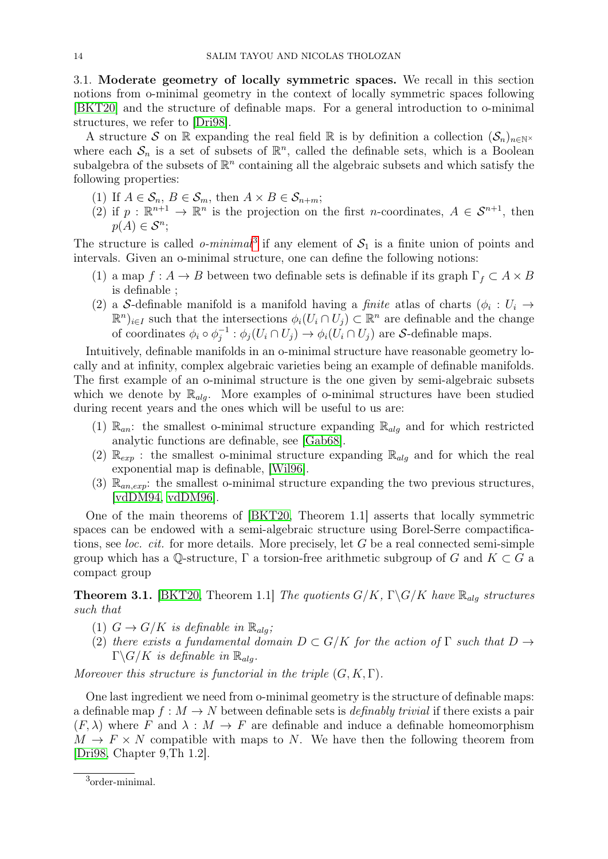3.1. Moderate geometry of locally symmetric spaces. We recall in this section notions from o-minimal geometry in the context of locally symmetric spaces following [\[BKT20\]](#page-44-2) and the structure of definable maps. For a general introduction to o-minimal structures, we refer to [\[Dri98\]](#page-45-17).

A structure S on R expanding the real field R is by definition a collection  $(S_n)_{n\in\mathbb{N}^\times}$ where each  $S_n$  is a set of subsets of  $\mathbb{R}^n$ , called the definable sets, which is a Boolean subalgebra of the subsets of  $\mathbb{R}^n$  containing all the algebraic subsets and which satisfy the following properties:

- (1) If  $A \in \mathcal{S}_n$ ,  $B \in \mathcal{S}_m$ , then  $A \times B \in \mathcal{S}_{n+m}$ ;
- (2) if  $p : \mathbb{R}^{n+1} \to \mathbb{R}^n$  is the projection on the first n-coordinates,  $A \in \mathcal{S}^{n+1}$ , then  $p(A) \in \mathcal{S}^n$ ;

The structure is called *o-minimal*<sup>[3](#page-13-0)</sup> if any element of  $S_1$  is a finite union of points and intervals. Given an o-minimal structure, one can define the following notions:

- (1) a map  $f: A \to B$  between two definable sets is definable if its graph  $\Gamma_f \subset A \times B$ is definable ;
- (2) a S-definable manifold is a manifold having a *finite* atlas of charts  $(\phi_i : U_i \rightarrow$  $(\mathbb{R}^n)_{i\in I}$  such that the intersections  $\phi_i(U_i \cap U_j) \subset \mathbb{R}^n$  are definable and the change of coordinates  $\phi_i \circ \phi_i^{-1}$  $j_j^{-1}$ :  $\phi_j(U_i \cap U_j) \to \phi_i(U_i \cap U_j)$  are S-definable maps.

Intuitively, definable manifolds in an o-minimal structure have reasonable geometry locally and at infinity, complex algebraic varieties being an example of definable manifolds. The first example of an o-minimal structure is the one given by semi-algebraic subsets which we denote by  $\mathbb{R}_{alg}$ . More examples of o-minimal structures have been studied during recent years and the ones which will be useful to us are:

- (1)  $\mathbb{R}_{an}$ : the smallest o-minimal structure expanding  $\mathbb{R}_{alg}$  and for which restricted analytic functions are definable, see [\[Gab68\]](#page-45-18).
- (2)  $\mathbb{R}_{exp}$ : the smallest o-minimal structure expanding  $\mathbb{R}_{alg}$  and for which the real exponential map is definable, [\[Wil96\]](#page-46-14).
- (3)  $\mathbb{R}_{an,exp}$ : the smallest o-minimal structure expanding the two previous structures, [\[vdDM94,](#page-46-15) [vdDM96\]](#page-46-16).

One of the main theorems of [\[BKT20,](#page-44-2) Theorem 1.1] asserts that locally symmetric spaces can be endowed with a semi-algebraic structure using Borel-Serre compactifications, see *loc. cit.* for more details. More precisely, let  $G$  be a real connected semi-simple group which has a Q-structure,  $\Gamma$  a torsion-free arithmetic subgroup of G and  $K \subset G$  a compact group

**Theorem 3.1.** [\[BKT20,](#page-44-2) Theorem 1.1] The quotients  $G/K$ ,  $\Gamma \backslash G/K$  have  $\mathbb{R}_{alg}$  structures such that

- (1)  $G \to G/K$  is definable in  $\mathbb{R}_{alg}$ ;
- (2) there exists a fundamental domain  $D \subset G/K$  for the action of  $\Gamma$  such that  $D \to$  $\Gamma \backslash G/K$  is definable in  $\mathbb{R}_{alg}$ .

Moreover this structure is functorial in the triple  $(G, K, \Gamma)$ .

One last ingredient we need from o-minimal geometry is the structure of definable maps: a definable map  $f : M \to N$  between definable sets is *definably trivial* if there exists a pair  $(F, \lambda)$  where F and  $\lambda : M \to F$  are definable and induce a definable homeomorphism  $M \to F \times N$  compatible with maps to N. We have then the following theorem from [\[Dri98,](#page-45-17) Chapter 9,Th 1.2].

<span id="page-13-1"></span><span id="page-13-0"></span><sup>3</sup> order-minimal.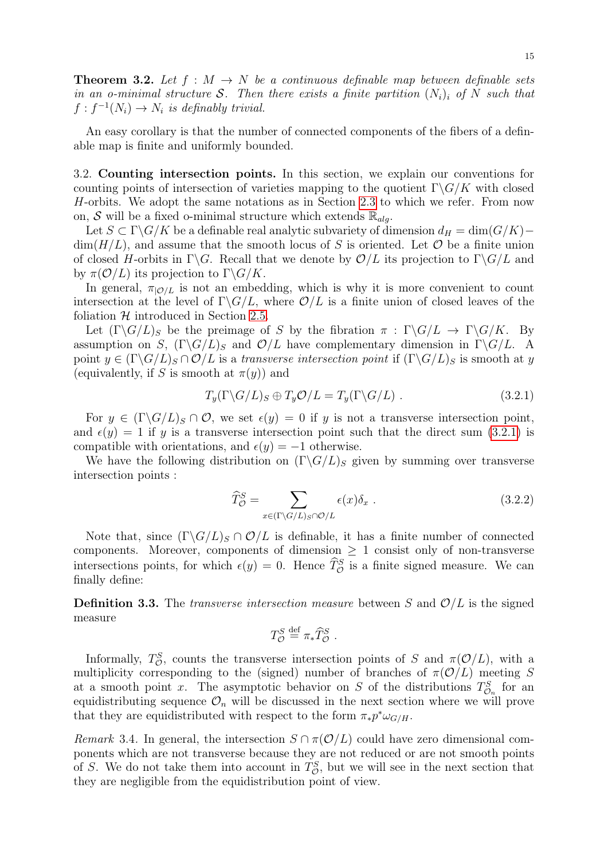**Theorem 3.2.** Let  $f : M \to N$  be a continuous definable map between definable sets in an o-minimal structure S. Then there exists a finite partition  $(N_i)_i$  of N such that  $f: f^{-1}(N_i) \to N_i$  is definably trivial.

An easy corollary is that the number of connected components of the fibers of a definable map is finite and uniformly bounded.

<span id="page-14-0"></span>3.2. Counting intersection points. In this section, we explain our conventions for counting points of intersection of varieties mapping to the quotient  $\Gamma \backslash G/K$  with closed H-orbits. We adopt the same notations as in Section [2.3](#page-8-0) to which we refer. From now on, S will be a fixed o-minimal structure which extends  $\mathbb{R}_{\text{ala}}$ .

Let  $S \subset \Gamma \backslash G/K$  be a definable real analytic subvariety of dimension  $d_H = \dim(G/K)$ −  $\dim(H/L)$ , and assume that the smooth locus of S is oriented. Let O be a finite union of closed H-orbits in  $\Gamma \backslash G$ . Recall that we denote by  $\mathcal{O}/L$  its projection to  $\Gamma \backslash G/L$  and by  $\pi(\mathcal{O}/L)$  its projection to  $\Gamma \backslash G/K$ .

In general,  $\pi_{\mathcal{O}/L}$  is not an embedding, which is why it is more convenient to count intersection at the level of  $\Gamma \backslash G/L$ , where  $\mathcal{O}/L$  is a finite union of closed leaves of the foliation  $H$  introduced in Section [2.5.](#page-11-3)

Let  $(\Gamma \backslash G/L)_S$  be the preimage of S by the fibration  $\pi : \Gamma \backslash G/L \to \Gamma \backslash G/K$ . By assumption on S,  $(\Gamma \backslash G/L)_S$  and  $\mathcal{O}/L$  have complementary dimension in  $\Gamma \backslash G/L$ . A point  $y \in (\Gamma \backslash G/L)_S \cap \mathcal{O}/L$  is a transverse intersection point if  $(\Gamma \backslash G/L)_S$  is smooth at y (equivalently, if S is smooth at  $\pi(y)$ ) and

<span id="page-14-1"></span>
$$
T_y(\Gamma \backslash G/L)_S \oplus T_y \mathcal{O}/L = T_y(\Gamma \backslash G/L) \ . \tag{3.2.1}
$$

For  $y \in (\Gamma \backslash G/L)_S \cap \mathcal{O}$ , we set  $\epsilon(y) = 0$  if y is not a transverse intersection point, and  $\epsilon(y) = 1$  if y is a transverse intersection point such that the direct sum [\(3.2.1\)](#page-14-1) is compatible with orientations, and  $\epsilon(y) = -1$  otherwise.

We have the following distribution on  $(\Gamma \backslash G/L)$ <sub>S</sub> given by summing over transverse intersection points :

$$
\widehat{T}^{S}_{\mathcal{O}} = \sum_{x \in (\Gamma \backslash G/L)_{S} \cap \mathcal{O}/L} \epsilon(x) \delta_{x} . \tag{3.2.2}
$$

Note that, since  $(\Gamma \backslash G/L)_S \cap \mathcal{O}/L$  is definable, it has a finite number of connected components. Moreover, components of dimension  $\geq 1$  consist only of non-transverse intersections points, for which  $\epsilon(y) = 0$ . Hence  $\hat{T}_{\mathcal{O}}^S$  is a finite signed measure. We can finally define:

**Definition 3.3.** The *transverse intersection measure* between S and  $\mathcal{O}/L$  is the signed measure

$$
T_{\mathcal{O}}^S \stackrel{\text{def}}{=} \pi_* \widehat{T}_{\mathcal{O}}^S.
$$

Informally,  $T_{\mathcal{O}}^S$ , counts the transverse intersection points of S and  $\pi(\mathcal{O}/L)$ , with a multiplicity corresponding to the (signed) number of branches of  $\pi(\mathcal{O}/L)$  meeting S at a smooth point x. The asymptotic behavior on S of the distributions  $T_{\mathcal{O}_n}^S$  for an equidistributing sequence  $\mathcal{O}_n$  will be discussed in the next section where we will prove that they are equidistributed with respect to the form  $\pi_* p^* \omega_{G/H}$ .

Remark 3.4. In general, the intersection  $S \cap \pi(\mathcal{O}/L)$  could have zero dimensional components which are not transverse because they are not reduced or are not smooth points of S. We do not take them into account in  $T_{\mathcal{O}}^{S}$ , but we will see in the next section that they are negligible from the equidistribution point of view.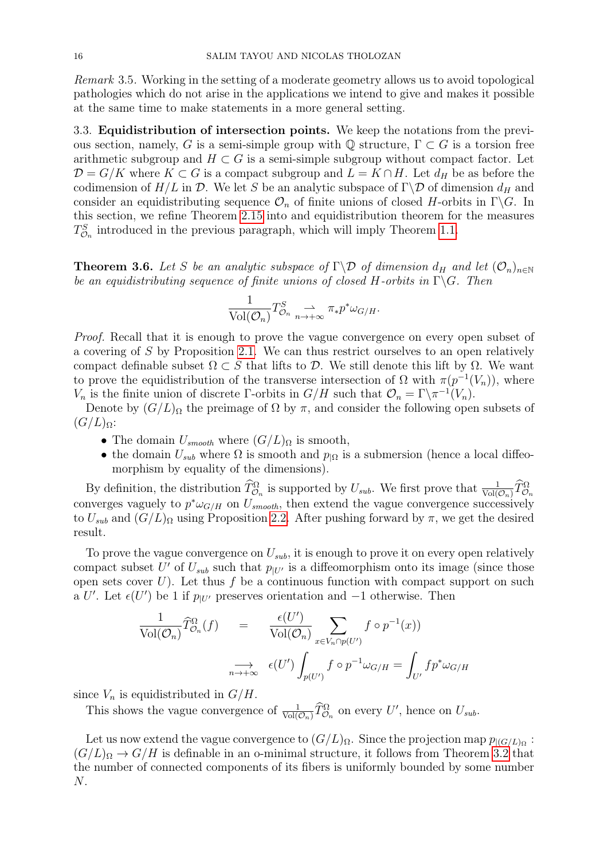Remark 3.5. Working in the setting of a moderate geometry allows us to avoid topological pathologies which do not arise in the applications we intend to give and makes it possible at the same time to make statements in a more general setting.

3.3. Equidistribution of intersection points. We keep the notations from the previous section, namely, G is a semi-simple group with  $\mathbb Q$  structure,  $\Gamma \subset G$  is a torsion free arithmetic subgroup and  $H \subset G$  is a semi-simple subgroup without compact factor. Let  $\mathcal{D} = G/K$  where  $K \subset G$  is a compact subgroup and  $L = K \cap H$ . Let  $d_H$  be as before the codimension of  $H/L$  in  $\mathcal D$ . We let S be an analytic subspace of  $\Gamma\backslash\mathcal D$  of dimension  $d_H$  and consider an equidistributing sequence  $\mathcal{O}_n$  of finite unions of closed H-orbits in Γ $\ G$ . In this section, we refine Theorem [2.15](#page-11-1) into and equidistribution theorem for the measures  $T_{\mathcal{O}_n}^S$  introduced in the previous paragraph, which will imply Theorem [1.1.](#page-1-0)

<span id="page-15-0"></span>**Theorem 3.6.** Let S be an analytic subspace of  $\Gamma \backslash \mathcal{D}$  of dimension  $d_H$  and let  $(\mathcal{O}_n)_{n \in \mathbb{N}}$ be an equidistributing sequence of finite unions of closed H-orbits in  $\Gamma \backslash G$ . Then

$$
\frac{1}{\text{Vol}(\mathcal{O}_n)} T^S_{\mathcal{O}_n} \underset{n \to +\infty}{\rightharpoonup} \pi_* p^* \omega_{G/H}.
$$

Proof. Recall that it is enough to prove the vague convergence on every open subset of a covering of S by Proposition [2.1.](#page-7-0) We can thus restrict ourselves to an open relatively compact definable subset  $\Omega \subset S$  that lifts to D. We still denote this lift by  $\Omega$ . We want to prove the equidistribution of the transverse intersection of  $\Omega$  with  $\pi(p^{-1}(V_n))$ , where  $V_n$  is the finite union of discrete Γ-orbits in  $G/H$  such that  $\mathcal{O}_n = \Gamma \backslash \pi^{-1}(V_n)$ .

Denote by  $(G/L)_{\Omega}$  the preimage of  $\Omega$  by  $\pi$ , and consider the following open subsets of  $(G/L)_{\Omega}$ :

- The domain  $U_{smooth}$  where  $(G/L)_{\Omega}$  is smooth,
- the domain  $U_{sub}$  where  $\Omega$  is smooth and  $p_{\vert\Omega}$  is a submersion (hence a local diffeomorphism by equality of the dimensions).

By definition, the distribution  $\widehat{T}_{\mathcal{O}_n}^{\Omega}$  is supported by  $U_{sub}$ . We first prove that  $\frac{1}{\text{Vol}(\mathcal{O}_n)} \widehat{T}_{\mathcal{O}_n}^{\Omega}$ converges vaguely to  $p^*\omega_{G/H}$  on  $U_{smooth}$ , then extend the vague convergence successively to  $U_{sub}$  and  $(G/L)_{\Omega}$  using Proposition [2.2.](#page-7-1) After pushing forward by  $\pi$ , we get the desired result.

To prove the vague convergence on  $U_{sub}$ , it is enough to prove it on every open relatively compact subset U' of  $U_{sub}$  such that  $p_{|U'}$  is a diffeomorphism onto its image (since those open sets cover  $U$ ). Let thus f be a continuous function with compact support on such a U'. Let  $\epsilon(U')$  be 1 if  $p_{|U'}$  preserves orientation and  $-1$  otherwise. Then

$$
\frac{1}{\text{Vol}(\mathcal{O}_n)} \widehat{T}_{\mathcal{O}_n}^{\Omega}(f) = \frac{\epsilon(U')}{\text{Vol}(\mathcal{O}_n)} \sum_{x \in V_n \cap p(U')} f \circ p^{-1}(x))
$$
\n
$$
\underset{n \to +\infty}{\longrightarrow} \epsilon(U') \int_{p(U')} f \circ p^{-1} \omega_{G/H} = \int_{U'} f p^* \omega_{G/H}
$$

since  $V_n$  is equidistributed in  $G/H$ .

This shows the vague convergence of  $\frac{1}{\text{Vol}(\mathcal{O}_n)} \widehat{T}_{\mathcal{O}_n}^{\Omega}$  on every U', hence on  $U_{sub}$ .

Let us now extend the vague convergence to  $(G/L)_{\Omega}$ . Since the projection map  $p_{|(G/L)_{\Omega}}$  :  $(G/L)_{\Omega} \rightarrow G/H$  is definable in an o-minimal structure, it follows from Theorem [3.2](#page-13-1) that the number of connected components of its fibers is uniformly bounded by some number N.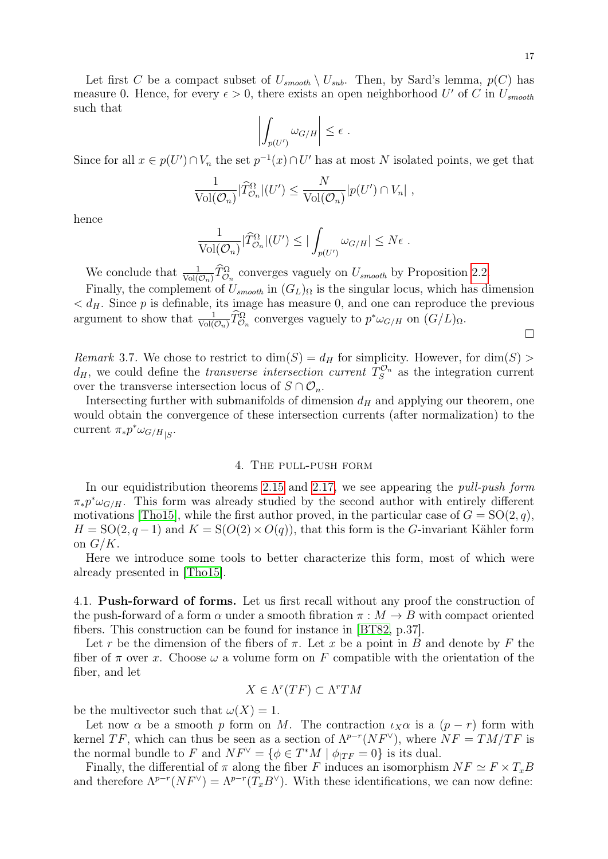Let first C be a compact subset of  $U_{smooth} \setminus U_{sub}$ . Then, by Sard's lemma,  $p(C)$  has measure 0. Hence, for every  $\epsilon > 0$ , there exists an open neighborhood U' of C in  $U_{smooth}$ such that

$$
\left| \int_{p(U')} \omega_{G/H} \right| \leq \epsilon.
$$

Since for all  $x \in p(U') \cap V_n$  the set  $p^{-1}(x) \cap U'$  has at most N isolated points, we get that

$$
\frac{1}{\text{Vol}(\mathcal{O}_n)}|\widehat{T}^{\Omega}_{\mathcal{O}_n}|(U') \leq \frac{N}{\text{Vol}(\mathcal{O}_n)}|p(U') \cap V_n|,
$$

hence

$$
\frac{1}{\text{Vol}(\mathcal{O}_n)}|\widehat{T}^{\Omega}_{\mathcal{O}_n}|(U') \leq |\int_{p(U')} \omega_{G/H}| \leq N\epsilon.
$$

We conclude that  $\frac{1}{\text{Vol}(\mathcal{O}_n)} \widehat{T}^{\Omega}_{\mathcal{O}_n}$  converges vaguely on  $U_{smooth}$  by Proposition [2.2.](#page-7-1)

Finally, the complement of  $U_{smooth}$  in  $(G_L)_{\Omega}$  is the singular locus, which has dimension  $d_{H}$ . Since p is definable, its image has measure 0, and one can reproduce the previous argument to show that  $\frac{1}{\text{Vol}(\mathcal{O}_n)} \widehat{T}_{\mathcal{O}_n}^{\Omega}$  converges vaguely to  $p^* \omega_{G/H}$  on  $(G/L)_{\Omega}$ .

 $\Box$ 

<span id="page-16-1"></span>*Remark* 3.7. We chose to restrict to  $\dim(S) = d_H$  for simplicity. However, for  $\dim(S)$  $d_H$ , we could define the *transverse intersection current*  $T_S^{\mathcal{O}_n}$  as the integration current over the transverse intersection locus of  $S \cap \mathcal{O}_n$ .

Intersecting further with submanifolds of dimension  $d_H$  and applying our theorem, one would obtain the convergence of these intersection currents (after normalization) to the current  $\pi_* p^* \omega_{G/H|S}$ .

### 4. The pull-push form

<span id="page-16-0"></span>In our equidistribution theorems [2.15](#page-11-1) and [2.17,](#page-12-1) we see appearing the *pull-push form*  $\pi_* p^* \omega_{G/H}$ . This form was already studied by the second author with entirely different motivations [\[Tho15\]](#page-46-5), while the first author proved, in the particular case of  $G = SO(2, q)$ ,  $H = SO(2, q-1)$  and  $K = S(O(2) \times O(q))$ , that this form is the G-invariant Kähler form on  $G/K$ .

Here we introduce some tools to better characterize this form, most of which were already presented in [\[Tho15\]](#page-46-5).

<span id="page-16-2"></span>4.1. Push-forward of forms. Let us first recall without any proof the construction of the push-forward of a form  $\alpha$  under a smooth fibration  $\pi : M \to B$  with compact oriented fibers. This construction can be found for instance in [\[BT82,](#page-44-6) p.37].

Let r be the dimension of the fibers of  $\pi$ . Let x be a point in B and denote by F the fiber of  $\pi$  over x. Choose  $\omega$  a volume form on F compatible with the orientation of the fiber, and let

$$
X \in \Lambda^r(TF) \subset \Lambda^r TM
$$

be the multivector such that  $\omega(X) = 1$ .

Let now  $\alpha$  be a smooth p form on M. The contraction  $\iota_X\alpha$  is a  $(p - r)$  form with kernel TF, which can thus be seen as a section of  $\Lambda^{p-r}(NF^{\vee})$ , where  $NF = TM/TF$  is the normal bundle to F and  $NF^{\vee} = {\phi \in T^*M \mid \phi_{|TF} = 0}$  is its dual.

<span id="page-16-3"></span>Finally, the differential of  $\pi$  along the fiber F induces an isomorphism  $NF \simeq F \times T_xB$ and therefore  $\Lambda^{p-r}(NF^{\vee}) = \Lambda^{p-r}(T_xB^{\vee})$ . With these identifications, we can now define: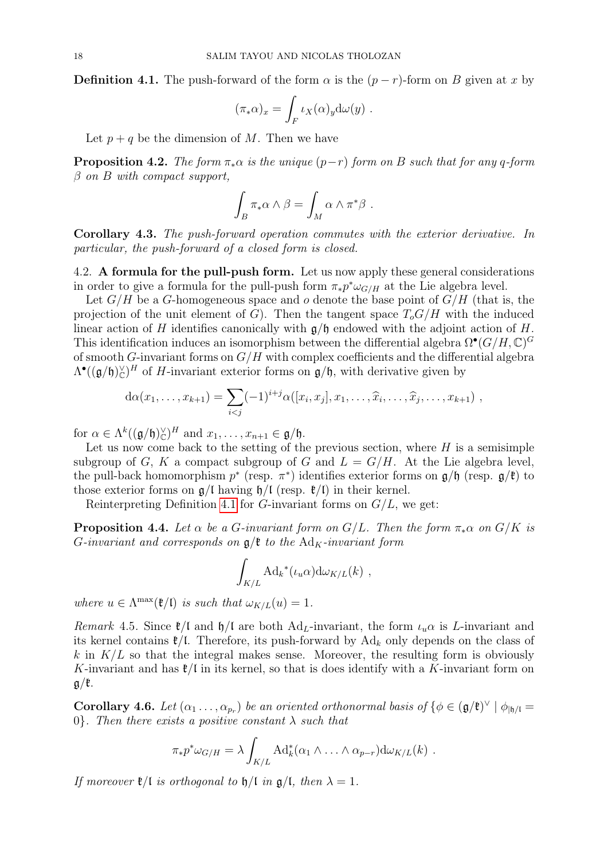**Definition 4.1.** The push-forward of the form  $\alpha$  is the  $(p - r)$ -form on B given at x by

$$
(\pi_* \alpha)_x = \int_F \iota_X(\alpha)_y d\omega(y) .
$$

Let  $p + q$  be the dimension of M. Then we have

<span id="page-17-1"></span>**Proposition 4.2.** The form  $\pi_* \alpha$  is the unique  $(p-r)$  form on B such that for any q-form  $\beta$  on B with compact support,

$$
\int_B \pi_* \alpha \wedge \beta = \int_M \alpha \wedge \pi^* \beta .
$$

Corollary 4.3. The push-forward operation commutes with the exterior derivative. In particular, the push-forward of a closed form is closed.

4.2. A formula for the pull-push form. Let us now apply these general considerations in order to give a formula for the pull-push form  $\pi_* p^* \omega_{G/H}$  at the Lie algebra level.

Let  $G/H$  be a G-homogeneous space and o denote the base point of  $G/H$  (that is, the projection of the unit element of G). Then the tangent space  $T_oG/H$  with the induced linear action of H identifies canonically with  $\mathfrak{g}/\mathfrak{h}$  endowed with the adjoint action of H. This identification induces an isomorphism between the differential algebra  $\Omega^{\bullet}(G/H, \mathbb{C})^G$ of smooth G-invariant forms on  $G/H$  with complex coefficients and the differential algebra  $\Lambda^{\bullet}((\mathfrak{g}/\mathfrak{h})_{\mathbb{C}}^{\vee})^H$  of H-invariant exterior forms on  $\mathfrak{g}/\mathfrak{h}$ , with derivative given by

$$
d\alpha(x_1,...,x_{k+1}) = \sum_{i < j} (-1)^{i+j} \alpha([x_i,x_j],x_1,...,\widehat{x}_i,...,\widehat{x}_j,...,x_{k+1}),
$$

for  $\alpha \in \Lambda^k((\mathfrak{g}/\mathfrak{h})_{\mathbb{C}}^{\vee})^H$  and  $x_1, \ldots, x_{n+1} \in \mathfrak{g}/\mathfrak{h}$ .

Let us now come back to the setting of the previous section, where  $H$  is a semisimple subgroup of G, K a compact subgroup of G and  $L = G/H$ . At the Lie algebra level, the pull-back homomorphism  $p^*$  (resp.  $\pi^*$ ) identifies exterior forms on  $\mathfrak{g}/\mathfrak{h}$  (resp.  $\mathfrak{g}/\mathfrak{k}$ ) to those exterior forms on  $g/l$  having  $h/l$  (resp.  $\ell/l$ ) in their kernel.

Reinterpreting Definition [4.1](#page-16-3) for G-invariant forms on  $G/L$ , we get:

<span id="page-17-0"></span>**Proposition 4.4.** Let  $\alpha$  be a G-invariant form on  $G/L$ . Then the form  $\pi_*\alpha$  on  $G/K$  is G-invariant and corresponds on  $\mathfrak{g}/\mathfrak{k}$  to the Ad<sub>K</sub>-invariant form

$$
\int_{K/L} \mathrm{Ad}_k{}^*(\iota_u\alpha)\mathrm{d}\omega_{K/L}(k) ,
$$

where  $u \in \Lambda^{\max}(\mathfrak{k}/\mathfrak{l})$  is such that  $\omega_{K/L}(u) = 1$ .

Remark 4.5. Since  $\ell/\ell$  and  $\eta/\ell$  are both Ad<sub>L</sub>-invariant, the form  $\iota_u\alpha$  is L-invariant and its kernel contains  $\ell/L$ . Therefore, its push-forward by Ad<sub>k</sub> only depends on the class of k in  $K/L$  so that the integral makes sense. Moreover, the resulting form is obviously K-invariant and has  $\ell/\ell$  in its kernel, so that is does identify with a K-invariant form on  $g/\mathfrak{k}$ .

<span id="page-17-2"></span>**Corollary 4.6.** Let  $(\alpha_1 \ldots, \alpha_{p_r})$  be an oriented orthonormal basis of  $\{\phi \in (\mathfrak{g}/\mathfrak{k})^\vee \mid \phi_{|\mathfrak{h}/\mathfrak{l}} =$ 0}. Then there exists a positive constant  $\lambda$  such that

$$
\pi_* p^* \omega_{G/H} = \lambda \int_{K/L} \mathrm{Ad}_k^* (\alpha_1 \wedge \ldots \wedge \alpha_{p-r}) \mathrm{d} \omega_{K/L}(k) .
$$

If moreover  $\mathfrak{k}/\mathfrak{l}$  is orthogonal to  $\mathfrak{h}/\mathfrak{l}$  in  $\mathfrak{g}/\mathfrak{l}$ , then  $\lambda = 1$ .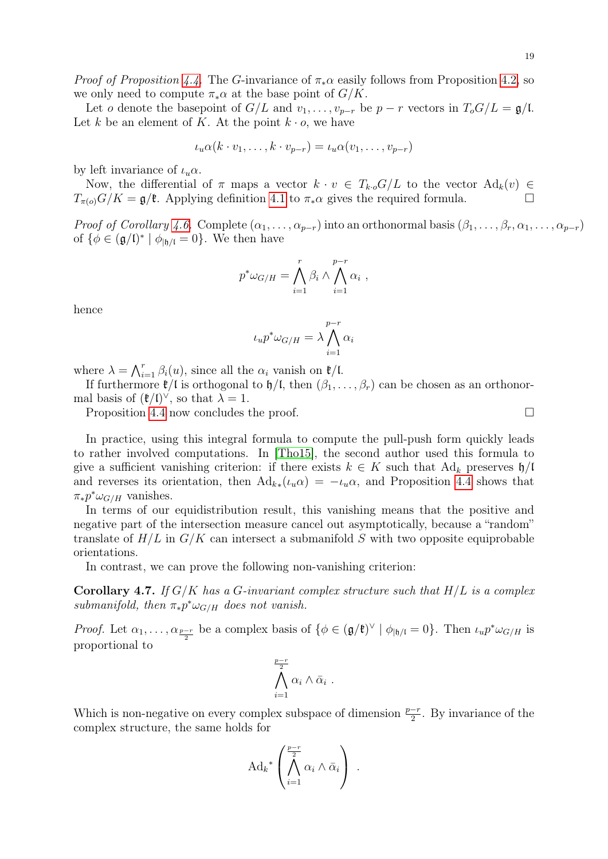19

*Proof of Proposition [4.4.](#page-17-0)* The G-invariance of  $\pi_*\alpha$  easily follows from Proposition [4.2,](#page-17-1) so we only need to compute  $\pi_*\alpha$  at the base point of  $G/K$ .

Let o denote the basepoint of  $G/L$  and  $v_1, \ldots, v_{p-r}$  be  $p-r$  vectors in  $T_oG/L = \mathfrak{g}/L$ . Let k be an element of K. At the point  $k \cdot o$ , we have

$$
\iota_u \alpha(k \cdot v_1, \dots, k \cdot v_{p-r}) = \iota_u \alpha(v_1, \dots, v_{p-r})
$$

by left invariance of  $\iota_u \alpha$ .

Now, the differential of  $\pi$  maps a vector  $k \cdot v \in T_{k \cdot o} G/L$  to the vector  $\text{Ad}_k(v) \in$  $T_{\pi(o)}G/K = \mathfrak{g}/\mathfrak{k}$ . Applying definition [4.1](#page-16-3) to  $\pi_*\alpha$  gives the required formula.

*Proof of Corollary [4.6.](#page-17-2)* Complete  $(\alpha_1, \ldots, \alpha_{p-r})$  into an orthonormal basis  $(\beta_1, \ldots, \beta_r, \alpha_1, \ldots, \alpha_{p-r})$ of  $\{\phi \in (\mathfrak{g}/\mathfrak{l})^* \mid \phi_{|\mathfrak{h}/\mathfrak{l}} = 0\}$ . We then have

$$
p^*\omega_{G/H} = \bigwedge_{i=1}^r \beta_i \wedge \bigwedge_{i=1}^{p-r} \alpha_i ,
$$

hence

$$
\iota_u p^* \omega_{G/H} = \lambda \bigwedge_{i=1}^{p-r} \alpha_i
$$

where  $\lambda = \bigwedge_{i=1}^r \beta_i(u)$ , since all the  $\alpha_i$  vanish on  $\mathfrak{k}/\mathfrak{l}$ .

If furthermore  $\mathfrak{k}/\mathfrak{l}$  is orthogonal to  $\mathfrak{h}/\mathfrak{l}$ , then  $(\beta_1, \ldots, \beta_r)$  can be chosen as an orthonormal basis of  $(\mathfrak{k}/\mathfrak{l})^{\vee}$ , so that  $\lambda = 1$ .

Proposition [4.4](#page-17-0) now concludes the proof.

In practice, using this integral formula to compute the pull-push form quickly leads to rather involved computations. In [\[Tho15\]](#page-46-5), the second author used this formula to give a sufficient vanishing criterion: if there exists  $k \in K$  such that  $\text{Ad}_k$  preserves  $\mathfrak{h}/\mathfrak{l}$ and reverses its orientation, then  $\text{Ad}_{k*}(\iota_u \alpha) = -\iota_u \alpha$ , and Proposition [4.4](#page-17-0) shows that  $\pi_* p^* \omega_{G/H}$  vanishes.

In terms of our equidistribution result, this vanishing means that the positive and negative part of the intersection measure cancel out asymptotically, because a "random" translate of  $H/L$  in  $G/K$  can intersect a submanifold S with two opposite equiprobable orientations.

In contrast, we can prove the following non-vanishing criterion:

<span id="page-18-0"></span>**Corollary 4.7.** If  $G/K$  has a G-invariant complex structure such that  $H/L$  is a complex submanifold, then  $\pi_* p^* \omega_{G/H}$  does not vanish.

*Proof.* Let  $\alpha_1, \ldots, \alpha_{\frac{p-r}{2}}$  be a complex basis of  $\{\phi \in (\mathfrak{g}/\mathfrak{k})^\vee \mid \phi_{|\mathfrak{h}/\mathfrak{l}} = 0\}$ . Then  $\iota_u p^* \omega_{G/H}$  is proportional to

$$
\bigwedge_{i=1}^{\frac{p-r}{2}} \alpha_i \wedge \bar{\alpha}_i .
$$

Which is non-negative on every complex subspace of dimension  $\frac{p-r}{2}$ . By invariance of the complex structure, the same holds for

$$
\mathrm{Ad}_k^* \left( \bigwedge_{i=1}^{\frac{p-r}{2}} \alpha_i \wedge \bar{\alpha}_i \right) .
$$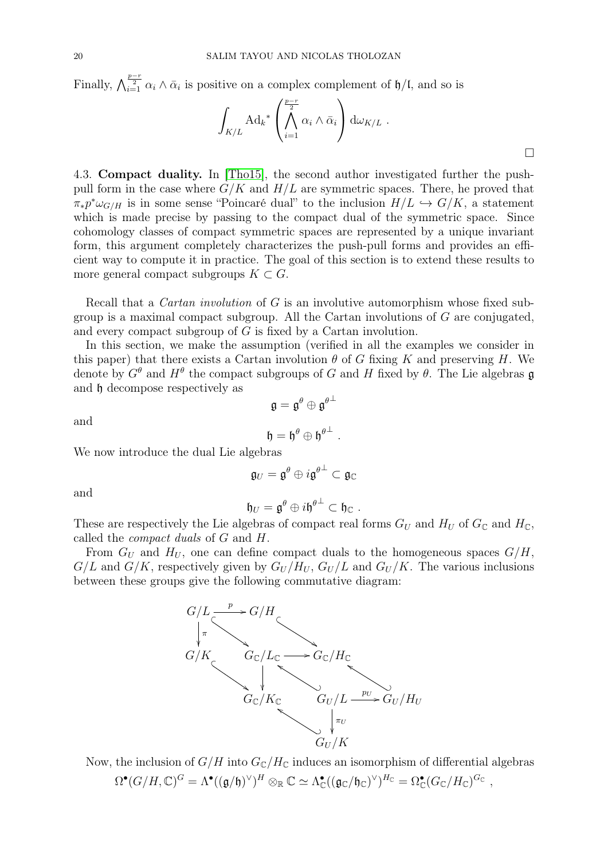Finally,  $\bigwedge_{i=1}^{\frac{p-r}{2}} \alpha_i \wedge \bar{\alpha}_i$  is positive on a complex complement of  $\mathfrak{h}/\mathfrak{l}$ , and so is

$$
\int_{K/L} \mathrm{Ad}_{k}^* \left( \bigwedge_{i=1}^{\frac{p-r}{2}} \alpha_i \wedge \bar{\alpha}_i \right) d\omega_{K/L} .
$$

<span id="page-19-0"></span>4.3. Compact duality. In [\[Tho15\]](#page-46-5), the second author investigated further the pushpull form in the case where  $G/K$  and  $H/L$  are symmetric spaces. There, he proved that  $\pi_* p^* \omega_{G/H}$  is in some sense "Poincaré dual" to the inclusion  $H/L \hookrightarrow G/K$ , a statement which is made precise by passing to the compact dual of the symmetric space. Since cohomology classes of compact symmetric spaces are represented by a unique invariant form, this argument completely characterizes the push-pull forms and provides an efficient way to compute it in practice. The goal of this section is to extend these results to more general compact subgroups  $K \subset G$ .

Recall that a Cartan involution of G is an involutive automorphism whose fixed subgroup is a maximal compact subgroup. All the Cartan involutions of  $G$  are conjugated, and every compact subgroup of G is fixed by a Cartan involution.

In this section, we make the assumption (verified in all the examples we consider in this paper) that there exists a Cartan involution  $\theta$  of G fixing K and preserving H. We denote by  $G^{\theta}$  and  $H^{\theta}$  the compact subgroups of G and H fixed by  $\theta$ . The Lie algebras g and h decompose respectively as

and

$$
\mathfrak{h}=\mathfrak{h}^{\theta}\oplus\mathfrak{h}^{\theta^{\perp}}\;.
$$

 $\mathfrak{g}=\mathfrak{g}^{\theta}\oplus\mathfrak{g}^{\theta^{\perp}}$ 

We now introduce the dual Lie algebras

$$
\mathfrak{g}_U=\mathfrak{g}^\theta\oplus i\mathfrak{g}^{\theta^\perp}\subset\mathfrak{g}_\mathbb{C}
$$

and

$$
\mathfrak{h}_U = \mathfrak{g}^\theta \oplus i\mathfrak{h}^{\theta^\perp} \subset \mathfrak{h}_\mathbb{C} .
$$

These are respectively the Lie algebras of compact real forms  $G_U$  and  $H_U$  of  $G_{\mathbb{C}}$  and  $H_{\mathbb{C}}$ , called the compact duals of G and H.

From  $G_U$  and  $H_U$ , one can define compact duals to the homogeneous spaces  $G/H$ ,  $G/L$  and  $G/K$ , respectively given by  $G_U/H_U$ ,  $G_U/L$  and  $G_U/K$ . The various inclusions between these groups give the following commutative diagram:



Now, the inclusion of  $G/H$  into  $G_{\mathbb{C}}/H_{\mathbb{C}}$  induces an isomorphism of differential algebras  $\Omega^\bullet(G/H, \mathbb C)^G = \Lambda^\bullet((\mathfrak g/\mathfrak h)^\vee)^H \otimes_\mathbb R \mathbb C \simeq \Lambda^\bullet_\mathbb C((\mathfrak g_\mathbb C/\mathfrak h_\mathbb C)^\vee)^{H_\mathbb C} = \Omega^\bullet_\mathbb C(G_\mathbb C/H_\mathbb C)^{G_\mathbb C} \;,$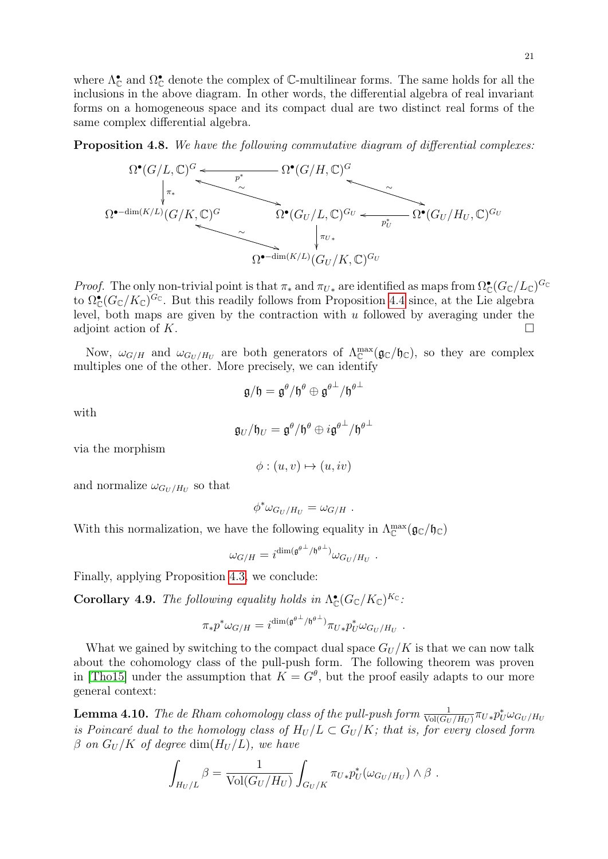where  $\Lambda_{\mathbb{C}}^{\bullet}$  and  $\Omega_{\mathbb{C}}^{\bullet}$  denote the complex of C-multilinear forms. The same holds for all the inclusions in the above diagram. In other words, the differential algebra of real invariant forms on a homogeneous space and its compact dual are two distinct real forms of the same complex differential algebra.

<span id="page-20-0"></span>Proposition 4.8. We have the following commutative diagram of differential complexes:



*Proof.* The only non-trivial point is that  $\pi_*$  and  $\pi_{U*}$  are identified as maps from  $\Omega_{\mathbb{C}}^{\bullet}(G_{\mathbb{C}}/L_{\mathbb{C}})^{G_{\mathbb{C}}}$ to  $\Omega_{\mathbb{C}}^{\bullet}(G_{\mathbb{C}}/K_{\mathbb{C}})^{G_{\mathbb{C}}}$ . But this readily follows from Proposition [4.4](#page-17-0) since, at the Lie algebra level, both maps are given by the contraction with  $u$  followed by averaging under the adjoint action of K.

Now,  $\omega_{G/H}$  and  $\omega_{G_U/H_U}$  are both generators of  $\Lambda_{\mathbb{C}}^{\max}(\mathfrak{g}_{\mathbb{C}}/\mathfrak{h}_{\mathbb{C}})$ , so they are complex multiples one of the other. More precisely, we can identify

$$
\mathfrak{g}/\mathfrak{h}=\mathfrak{g}^\theta/\mathfrak{h}^\theta\oplus\mathfrak{g}^{\theta^\perp}/\mathfrak{h}^{\theta^\perp}
$$

with

$$
\mathfrak{g}_U/\mathfrak{h}_U=\mathfrak{g}^\theta/\mathfrak{h}^\theta\oplus i\mathfrak{g}^{\theta^\perp}/\mathfrak{h}^{\theta^\perp}
$$

via the morphism

$$
\phi: (u, v) \mapsto (u, iv)
$$

and normalize  $\omega_{G_U/H_U}$  so that

$$
\phi^* \omega_{G_U/H_U} = \omega_{G/H} .
$$

With this normalization, we have the following equality in  $\Lambda_{\mathbb{C}}^{\max}(\mathfrak{g}_{\mathbb{C}}/\mathfrak{h}_{\mathbb{C}})$ 

$$
\omega_{G/H} = i^{\dim(\mathfrak{g}^{\theta^\perp}/\mathfrak{h}^{\theta^\perp})} \omega_{G_U/H_U} \ .
$$

<span id="page-20-2"></span>Finally, applying Proposition [4.3,](#page-20-0) we conclude:

**Corollary 4.9.** The following equality holds in  $\Lambda_{\mathbb{C}}^{\bullet}(G_{\mathbb{C}}/K_{\mathbb{C}})^{K_{\mathbb{C}}}$ .

$$
\pi_*p^*\omega_{G/H}=i^{\dim(\mathfrak{g}^{\theta^\perp}/\mathfrak{h}^{\theta^\perp})}\pi_{U*}p_U^*\omega_{G_U/H_U}\ .
$$

What we gained by switching to the compact dual space  $G_U/K$  is that we can now talk about the cohomology class of the pull-push form. The following theorem was proven in [\[Tho15\]](#page-46-5) under the assumption that  $K = G^{\theta}$ , but the proof easily adapts to our more general context:

<span id="page-20-1"></span>**Lemma 4.10.** The de Rham cohomology class of the pull-push form  $\frac{1}{\text{Vol}(G_U/H_U)}\pi_{U*}p_{U}^*\omega_{G_U/H_U}$ is Poincaré dual to the homology class of  $H_U/L \subset G_U/K$ ; that is, for every closed form  $\beta$  on  $G_U/K$  of degree dim $(H_U/L)$ , we have

$$
\int_{H_U/L} \beta = \frac{1}{\text{Vol}(G_U/H_U)} \int_{G_U/K} \pi_{U*} p_U^*(\omega_{G_U/H_U}) \wedge \beta.
$$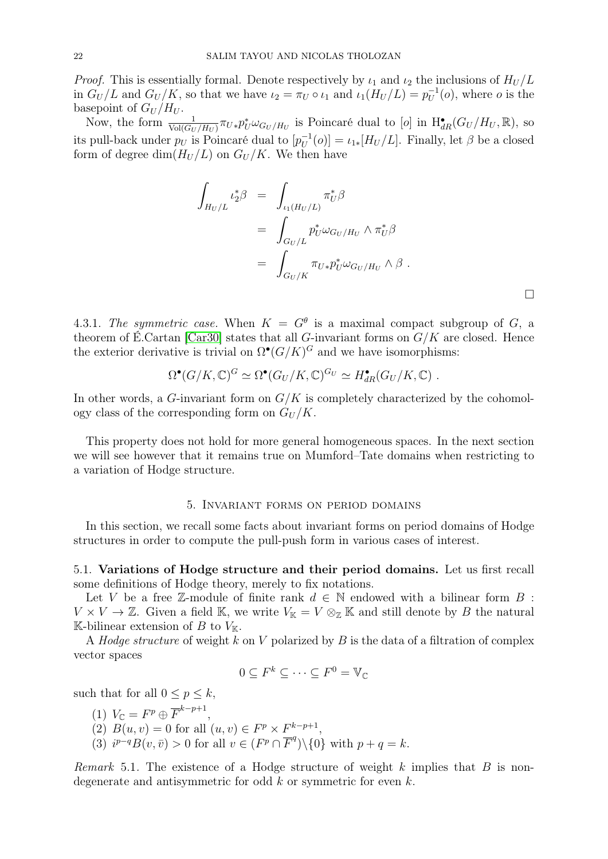*Proof.* This is essentially formal. Denote respectively by  $\iota_1$  and  $\iota_2$  the inclusions of  $H_U/L$ in  $G_U/L$  and  $G_U/K$ , so that we have  $\iota_2 = \pi_U \circ \iota_1$  and  $\iota_1(H_U/L) = p_U^{-1}(o)$ , where o is the In  $G_U/L$  and  $G_U/K$ , so that we have  $v_2 = \kappa_U \circ v_1$  and  $v_1(\Pi_U/L) - p_U$ <br>basepoint of  $G_U/H_U$ .

Now, the form  $\frac{1}{\text{Vol}(G_U/H_U)} \pi_{U*} p_U^* \omega_{G_U/H_U}$  is Poincaré dual to [*o*] in  $H_{dR}^{\bullet}(G_U/H_U, \mathbb{R})$ , so its pull-back under  $p_U$  is Poincaré dual to  $[p_U^{-1}(o)] = \iota_{1*}[H_U/L]$ . Finally, let  $\beta$  be a closed −1 form of degree dim $(H_U/L)$  on  $G_U/K$ . We then have

$$
\int_{H_U/L} t_2^* \beta = \int_{\iota_1(H_U/L)} \pi_U^* \beta
$$
\n
$$
= \int_{G_U/L} p_U^* \omega_{G_U/H_U} \wedge \pi_U^* \beta
$$
\n
$$
= \int_{G_U/K} \pi_{U*} p_U^* \omega_{G_U/H_U} \wedge \beta.
$$

<span id="page-21-1"></span>4.3.1. The symmetric case. When  $K = G^{\theta}$  is a maximal compact subgroup of G, a theorem of É.Cartan [\[Car30\]](#page-44-7) states that all G-invariant forms on  $G/K$  are closed. Hence the exterior derivative is trivial on  $\Omega^{\bullet}(G/K)^G$  and we have isomorphisms:

$$
\Omega^{\bullet}(G/K,\mathbb{C})^G \simeq \Omega^{\bullet}(G_U/K,\mathbb{C})^{G_U} \simeq H_{dR}^{\bullet}(G_U/K,\mathbb{C}) .
$$

In other words, a G-invariant form on  $G/K$  is completely characterized by the cohomology class of the corresponding form on  $G_U/K$ .

This property does not hold for more general homogeneous spaces. In the next section we will see however that it remains true on Mumford–Tate domains when restricting to a variation of Hodge structure.

### 5. Invariant forms on period domains

<span id="page-21-0"></span>In this section, we recall some facts about invariant forms on period domains of Hodge structures in order to compute the pull-push form in various cases of interest.

5.1. Variations of Hodge structure and their period domains. Let us first recall some definitions of Hodge theory, merely to fix notations.

Let V be a free Z-module of finite rank  $d \in \mathbb{N}$  endowed with a bilinear form B :  $V \times V \to \mathbb{Z}$ . Given a field K, we write  $V_{\mathbb{K}} = V \otimes_{\mathbb{Z}} \mathbb{K}$  and still denote by B the natural K-bilinear extension of B to  $V_{K}$ .

A *Hodge structure* of weight k on V polarized by B is the data of a filtration of complex vector spaces

$$
0 \subseteq F^k \subseteq \cdots \subseteq F^0 = \mathbb{V}_{\mathbb{C}}
$$

such that for all  $0 \leq p \leq k$ ,

(1)  $V_{\mathbb{C}} = F^p \oplus \overline{F}^{k-p+1},$ (2)  $B(u, v) = 0$  for all  $(u, v) \in F^p \times F^{k-p+1}$ , (3)  $i^{p-q}B(v, \bar{v}) > 0$  for all  $v \in (F^p \cap \overline{F}^q) \setminus \{0\}$  with  $p + q = k$ .

*Remark* 5.1. The existence of a Hodge structure of weight k implies that  $B$  is nondegenerate and antisymmetric for odd k or symmetric for even k.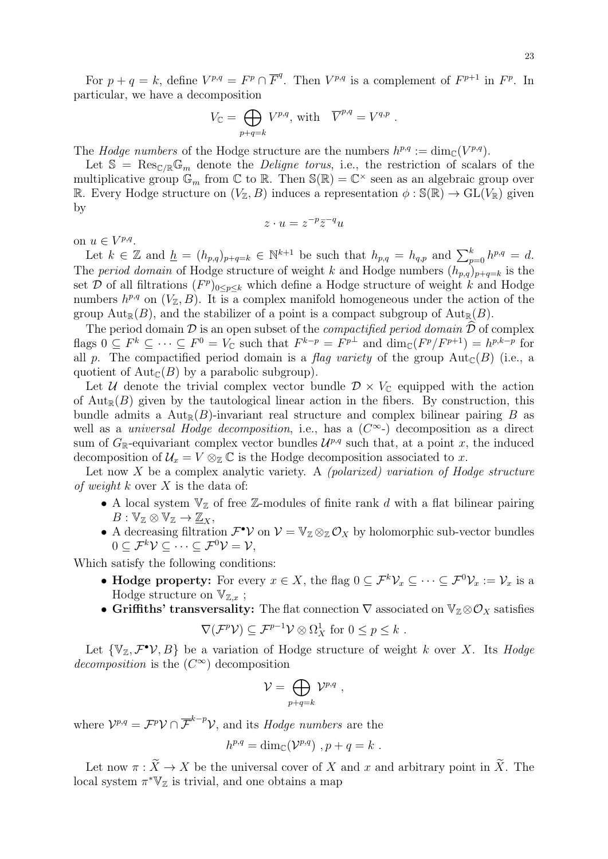For  $p + q = k$ , define  $V^{p,q} = F^p \cap \overline{F}^q$ . Then  $V^{p,q}$  is a complement of  $F^{p+1}$  in  $F^p$ . In particular, we have a decomposition

$$
V_{\mathbb{C}} = \bigoplus_{p+q=k} V^{p,q}, \text{ with } \overline{V}^{p,q} = V^{q,p} .
$$

The *Hodge numbers* of the Hodge structure are the numbers  $h^{p,q} := \dim_{\mathbb{C}}(V^{p,q})$ .

Let  $\mathbb{S} = \text{Res}_{\mathbb{C}/\mathbb{R}} \mathbb{G}_m$  denote the *Deligne torus*, i.e., the restriction of scalars of the multiplicative group  $\mathbb{G}_m$  from  $\mathbb{C}$  to  $\mathbb{R}$ . Then  $\mathbb{S}(\mathbb{R}) = \mathbb{C}^\times$  seen as an algebraic group over R. Every Hodge structure on  $(V_{\mathbb{Z}}, B)$  induces a representation  $\phi : \mathbb{S}(\mathbb{R}) \to \mathrm{GL}(V_{\mathbb{R}})$  given by

$$
z \cdot u = z^{-p} \overline{z}^{-q} u
$$

on  $u \in V^{p,q}$ .

Let  $k \in \mathbb{Z}$  and  $\underline{h} = (h_{p,q})_{p+q=k} \in \mathbb{N}^{k+1}$  be such that  $h_{p,q} = h_{q,p}$  and  $\sum_{p=0}^{k} h^{p,q} = d$ . The period domain of Hodge structure of weight k and Hodge numbers  $(h_{p,q})_{p+q=k}$  is the set D of all filtrations  $(F^p)_{0 \leq p \leq k}$  which define a Hodge structure of weight k and Hodge numbers  $h^{p,q}$  on  $(V_{\mathbb{Z}}, B)$ . It is a complex manifold homogeneous under the action of the group  $Aut_{\mathbb{R}}(B)$ , and the stabilizer of a point is a compact subgroup of  $Aut_{\mathbb{R}}(B)$ .

The period domain  $\mathcal D$  is an open subset of the *compactified period domain*  $\widehat{\mathcal D}$  of complex flags  $0 \subseteq F^k \subseteq \cdots \subseteq F^0 = V_{\mathbb{C}}$  such that  $F^{k-p} = F^{p\perp}$  and  $\dim_{\mathbb{C}} (F^p/F^{p+1}) = h^{p,k-p}$  for all p. The compactified period domain is a flag variety of the group  $Aut_{\mathbb{C}}(B)$  (i.e., a quotient of  $Aut_{\mathbb{C}}(B)$  by a parabolic subgroup).

Let U denote the trivial complex vector bundle  $\mathcal{D} \times V_{\mathbb{C}}$  equipped with the action of  $Aut_{\mathbb{R}}(B)$  given by the tautological linear action in the fibers. By construction, this bundle admits a  $Aut_{\mathbb{R}}(B)$ -invariant real structure and complex bilinear pairing B as well as a *universal Hodge decomposition*, i.e., has a  $(C^{\infty})$  decomposition as a direct sum of  $G_{\mathbb{R}}$ -equivariant complex vector bundles  $\mathcal{U}^{p,q}$  such that, at a point x, the induced decomposition of  $\mathcal{U}_x = V \otimes_{\mathbb{Z}} \mathbb{C}$  is the Hodge decomposition associated to x.

Let now  $X$  be a complex analytic variety. A *(polarized) variation of Hodge structure* of weight k over X is the data of:

- A local system  $\mathbb{V}_{\mathbb{Z}}$  of free Z-modules of finite rank d with a flat bilinear pairing  $B: \mathbb{V}_{\mathbb{Z}} \otimes \mathbb{V}_{\mathbb{Z}} \to \underline{\mathbb{Z}}_X,$
- A decreasing filtration  $\mathcal{F}^{\bullet} \mathcal{V}$  on  $\mathcal{V} = \mathbb{V}_{\mathbb{Z}} \otimes_{\mathbb{Z}} \mathcal{O}_X$  by holomorphic sub-vector bundles  $0 \subset \mathcal{F}^k \mathcal{V} \subset \cdots \subset \mathcal{F}^0 \mathcal{V} = \mathcal{V}$ ,

Which satisfy the following conditions:

- Hodge property: For every  $x \in X$ , the flag  $0 \subseteq \mathcal{F}^k \mathcal{V}_x \subseteq \cdots \subseteq \mathcal{F}^0 \mathcal{V}_x := \mathcal{V}_x$  is a Hodge structure on  $\mathbb{V}_{\mathbb{Z},x}$ ;
- Griffiths' transversality: The flat connection  $\nabla$  associated on  $V_{\mathbb{Z}} \otimes \mathcal{O}_X$  satisfies

$$
\nabla(\mathcal{F}^p \mathcal{V}) \subseteq \mathcal{F}^{p-1} \mathcal{V} \otimes \Omega^1_X \text{ for } 0 \leq p \leq k.
$$

Let  $\{\mathbb{V}_{\mathbb{Z}}, \mathcal{F}^{\bullet} \mathcal{V}, B\}$  be a variation of Hodge structure of weight k over X. Its Hodge decomposition is the  $(C^{\infty})$  decomposition

$$
\mathcal{V} = \bigoplus_{p+q=k} \mathcal{V}^{p,q} ,
$$

where  $\mathcal{V}^{p,q} = \mathcal{F}^p \mathcal{V} \cap \overline{\mathcal{F}}^{k-p} \mathcal{V}$ , and its *Hodge numbers* are the

$$
h^{p,q} = \dim_{\mathbb{C}}(\mathcal{V}^{p,q}), p + q = k.
$$

Let now  $\pi : \widetilde{X} \to X$  be the universal cover of X and x and arbitrary point in  $\widetilde{X}$ . The local system  $\pi^* \mathbb{V}_{\mathbb{Z}}$  is trivial, and one obtains a map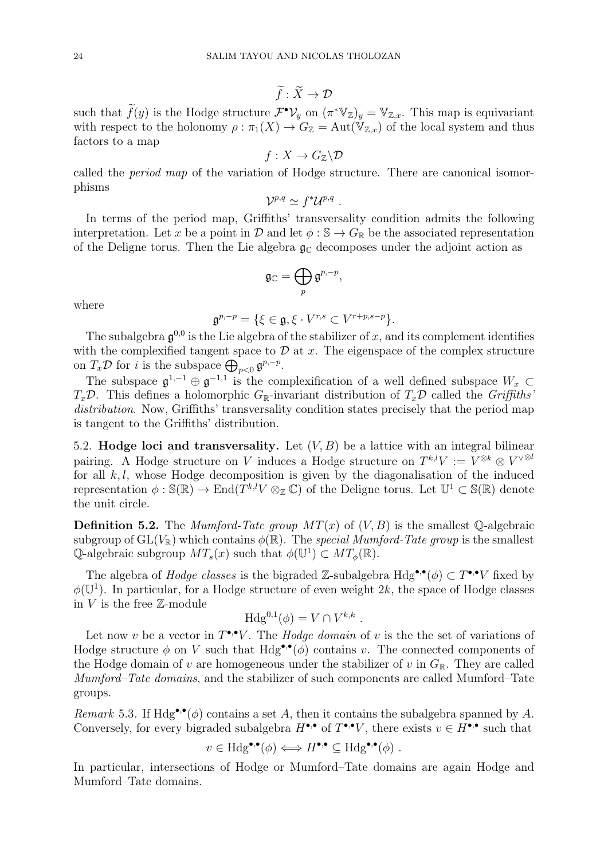$$
\widetilde{f} : \widetilde{X} \to \mathcal{D}
$$

such that  $\widetilde{f}(y)$  is the Hodge structure  $\mathcal{F}^{\bullet} \mathcal{V}_y$  on  $(\pi^* \mathbb{V}_z)_y = \mathbb{V}_{z,x}$ . This map is equivariant with respect to the holonomy  $\rho : \pi_1(X) \to G_{\mathbb{Z}} = \text{Aut}(\mathbb{V}_{\mathbb{Z},x})$  of the local system and thus factors to a map

$$
f:X\to G_{\mathbb{Z}}\backslash\mathcal{D}
$$

called the period map of the variation of Hodge structure. There are canonical isomorphisms

$$
\mathcal{V}^{p,q} \simeq f^* \mathcal{U}^{p,q} \ .
$$

In terms of the period map, Griffiths' transversality condition admits the following interpretation. Let x be a point in  $\mathcal D$  and let  $\phi : \mathbb S \to G_{\mathbb R}$  be the associated representation of the Deligne torus. Then the Lie algebra  $\mathfrak{g}_{\mathbb{C}}$  decomposes under the adjoint action as

$$
\mathfrak{g}_{\mathbb{C}}=\bigoplus_{p}\mathfrak{g}^{p,-p},
$$

where

 $\mathfrak{g}^{p,-p} = \{ \xi \in \mathfrak{g}, \xi \cdot V^{r,s} \subset V^{r+p,s-p} \}.$ 

The subalgebra  $\mathfrak{g}^{0,0}$  is the Lie algebra of the stabilizer of x, and its complement identifies with the complexified tangent space to  $\mathcal D$  at x. The eigenspace of the complex structure on  $T_x \mathcal{D}$  for *i* is the subspace  $\bigoplus_{p<0} \mathfrak{g}^{p,-p}$ .

The subspace  $\mathfrak{g}^{1,-1} \oplus \mathfrak{g}^{-1,1}$  is the complexification of a well defined subspace  $W_x \subset$  $T_x\mathcal{D}$ . This defines a holomorphic  $G_{\mathbb{R}}$ -invariant distribution of  $T_x\mathcal{D}$  called the Griffiths' distribution. Now, Griffiths' transversality condition states precisely that the period map is tangent to the Griffiths' distribution.

5.2. **Hodge loci and transversality.** Let  $(V, B)$  be a lattice with an integral bilinear pairing. A Hodge structure on V induces a Hodge structure on  $T^{k,l}V := V^{\otimes k} \otimes V^{\vee \otimes l}$ for all  $k, l$ , whose Hodge decomposition is given by the diagonalisation of the induced representation  $\phi : \mathbb{S}(\mathbb{R}) \to \text{End}(T^{k,l}V \otimes_{\mathbb{Z}} \mathbb{C})$  of the Deligne torus. Let  $\mathbb{U}^1 \subset \mathbb{S}(\mathbb{R})$  denote the unit circle.

<span id="page-23-0"></span>**Definition 5.2.** The *Mumford-Tate group*  $MT(x)$  of  $(V, B)$  is the smallest  $\mathbb{Q}$ -algebraic subgroup of  $GL(V_{\mathbb{R}})$  which contains  $\phi(\mathbb{R})$ . The special Mumford-Tate group is the smallest Q-algebraic subgroup  $MT_s(x)$  such that  $\phi(\mathbb{U}^1) \subset MT_\phi(\mathbb{R})$ .

The algebra of *Hodge classes* is the bigraded Z-subalgebra  $Hdg^{\bullet,\bullet}(\phi) \subset T^{\bullet,\bullet}V$  fixed by  $\phi(\mathbb{U}^1)$ . In particular, for a Hodge structure of even weight 2k, the space of Hodge classes in  $V$  is the free  $\mathbb{Z}\text{-module}$ 

$$
\text{Hdg}^{0,1}(\phi) = V \cap V^{k,k} .
$$

Let now v be a vector in  $T^{\bullet,\bullet}V$ . The *Hodge domain* of v is the the set of variations of Hodge structure  $\phi$  on V such that  $Hdg^{\bullet,\bullet}(\phi)$  contains v. The connected components of the Hodge domain of v are homogeneous under the stabilizer of v in  $G_{\mathbb{R}}$ . They are called Mumford–Tate domains, and the stabilizer of such components are called Mumford–Tate groups.

Remark 5.3. If Hdg<sup>\*</sup>,<sup>\*</sup>( $\phi$ ) contains a set A, then it contains the subalgebra spanned by A. Conversely, for every bigraded subalgebra  $H^{\bullet,\bullet}$  of  $T^{\bullet,\bullet}V$ , there exists  $v \in H^{\bullet,\bullet}$  such that

$$
v \in \text{Hdg}^{\bullet,\bullet}(\phi) \Longleftrightarrow H^{\bullet,\bullet} \subseteq \text{Hdg}^{\bullet,\bullet}(\phi) \ .
$$

In particular, intersections of Hodge or Mumford–Tate domains are again Hodge and Mumford–Tate domains.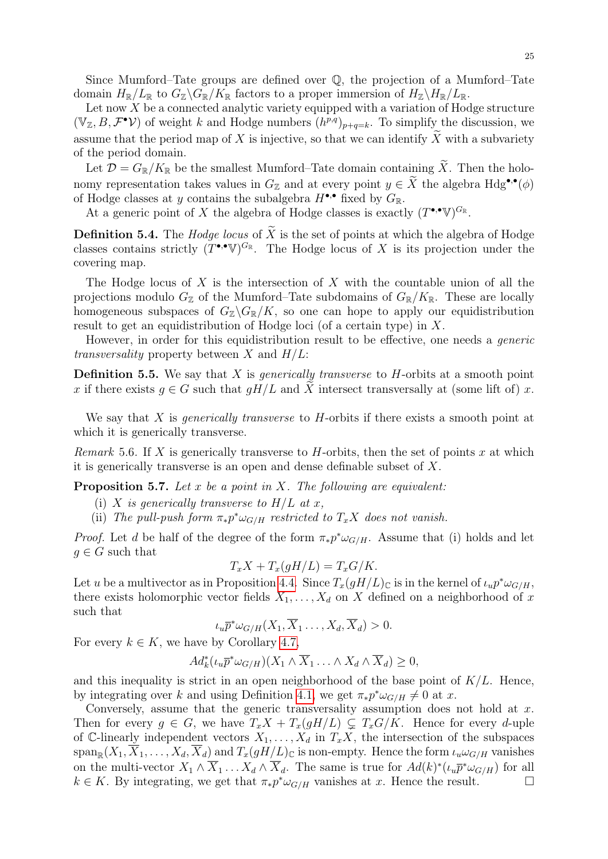Since Mumford–Tate groups are defined over  $\mathbb{Q}$ , the projection of a Mumford–Tate domain  $H_{\mathbb{R}}/L_{\mathbb{R}}$  to  $G_{\mathbb{Z}}\backslash G_{\mathbb{R}}/K_{\mathbb{R}}$  factors to a proper immersion of  $H_{\mathbb{Z}}\backslash H_{\mathbb{R}}/L_{\mathbb{R}}$ .

Let now  $X$  be a connected analytic variety equipped with a variation of Hodge structure  $(\mathbb{V}_{\mathbb{Z}}, B, \mathcal{F}^{\bullet} \mathcal{V})$  of weight k and Hodge numbers  $(h^{p,q})_{p+q=k}$ . To simplify the discussion, we assume that the period map of X is injective, so that we can identify  $\tilde{X}$  with a subvariety of the period domain.

Let  $\mathcal{D} = G_{\mathbb{R}}/K_{\mathbb{R}}$  be the smallest Mumford–Tate domain containing  $\widetilde{X}$ . Then the holonomy representation takes values in  $G_{\mathbb{Z}}$  and at every point  $y \in \widetilde{X}$  the algebra  $Hdg^{\bullet,\bullet}(\phi)$ of Hodge classes at y contains the subalgebra  $H^{\bullet,\bullet}$  fixed by  $G_{\mathbb{R}}$ .

At a generic point of X the algebra of Hodge classes is exactly  $(T^{\bullet,\bullet}\mathbb{V})^{G_{\mathbb{R}}}$ .

**Definition 5.4.** The *Hodge locus* of  $\widetilde{X}$  is the set of points at which the algebra of Hodge classes contains strictly  $(T^{\bullet,\bullet}V)^{G_{\mathbb{R}}}$ . The Hodge locus of X is its projection under the covering map.

The Hodge locus of  $X$  is the intersection of  $X$  with the countable union of all the projections modulo  $G_{\mathbb{Z}}$  of the Mumford–Tate subdomains of  $G_{\mathbb{R}}/K_{\mathbb{R}}$ . These are locally homogeneous subspaces of  $G_{\mathbb{Z}}\backslash G_{\mathbb{R}}/K$ , so one can hope to apply our equidistribution result to get an equidistribution of Hodge loci (of a certain type) in X.

However, in order for this equidistribution result to be effective, one needs a *generic transversality* property between X and  $H/L$ :

**Definition 5.5.** We say that  $X$  is *generically transverse* to  $H$ -orbits at a smooth point x if there exists  $q \in G$  such that  $qH/L$  and X intersect transversally at (some lift of) x.

We say that  $X$  is *generically transverse* to  $H$ -orbits if there exists a smooth point at which it is generically transverse.

Remark 5.6. If X is generically transverse to H-orbits, then the set of points x at which it is generically transverse is an open and dense definable subset of X.

<span id="page-24-0"></span>**Proposition 5.7.** Let x be a point in X. The following are equivalent:

- (i) X is generically transverse to  $H/L$  at x,
- (ii) The pull-push form  $\pi_* p^* \omega_{G/H}$  restricted to  $T_x X$  does not vanish.

*Proof.* Let d be half of the degree of the form  $\pi_* p^* \omega_{G/H}$ . Assume that (i) holds and let  $g \in G$  such that

$$
T_x X + T_x(gH/L) = T_x G/K.
$$

Let u be a multivector as in Proposition [4.4.](#page-17-0) Since  $T_x(gH/L)_{\mathbb{C}}$  is in the kernel of  $\iota_u p^* \omega_{G/H}$ , there exists holomorphic vector fields  $X_1, \ldots, X_d$  on X defined on a neighborhood of x such that

$$
\iota_u \overline{p}^* \omega_{G/H}(X_1, \overline{X}_1 \dots, X_d, \overline{X}_d) > 0.
$$

For every  $k \in K$ , we have by Corollary [4.7,](#page-18-0)

$$
Ad_k^*(\iota_u \overline{p}^* \omega_{G/H})(X_1 \wedge \overline{X}_1 \ldots \wedge X_d \wedge \overline{X}_d) \geq 0,
$$

and this inequality is strict in an open neighborhood of the base point of  $K/L$ . Hence, by integrating over k and using Definition [4.1,](#page-16-3) we get  $\pi_* p^* \omega_{G/H} \neq 0$  at x.

Conversely, assume that the generic transversality assumption does not hold at  $x$ . Then for every  $g \in G$ , we have  $T_xX + T_x(gH/L) \subsetneq T_xG/K$ . Hence for every d-uple of C-linearly independent vectors  $X_1, \ldots, X_d$  in  $T_xX$ , the intersection of the subspaces  $\operatorname{span}_{\mathbb{R}}(X_1, \overline{X}_1, \ldots, X_d, \overline{X}_d)$  and  $T_x(gH/L)_{\mathbb{C}}$  is non-empty. Hence the form  $\iota_u \omega_{G/H}$  vanishes on the multi-vector  $X_1 \wedge \overline{X}_1 \ldots X_d \wedge \overline{X}_d$ . The same is true for  $Ad(k)^*(\iota_u \overline{p}^* \omega_{G/H})$  for all  $k \in K$ . By integrating, we get that  $\pi_* p^* \omega_{G/H}$  vanishes at x. Hence the result.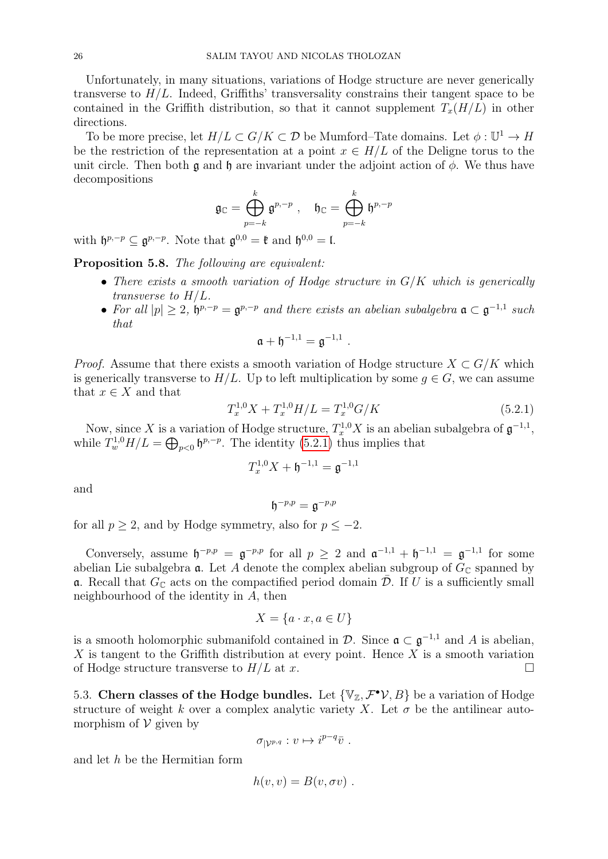Unfortunately, in many situations, variations of Hodge structure are never generically transverse to  $H/L$ . Indeed, Griffiths' transversality constrains their tangent space to be contained in the Griffith distribution, so that it cannot supplement  $T_x(H/L)$  in other directions.

To be more precise, let  $H/L \subset G/K \subset \mathcal{D}$  be Mumford–Tate domains. Let  $\phi: \mathbb{U}^1 \to H$ be the restriction of the representation at a point  $x \in H/L$  of the Deligne torus to the unit circle. Then both  $\mathfrak g$  and  $\mathfrak h$  are invariant under the adjoint action of  $\phi$ . We thus have decompositions

$$
\mathfrak{g}_\mathbb{C}=\bigoplus_{p=-k}^k\mathfrak{g}^{p,-p}\,\,,\quad \mathfrak{h}_\mathbb{C}=\bigoplus_{p=-k}^k\mathfrak{h}^{p,-p}
$$

with  $\mathfrak{h}^{p,-p} \subseteq \mathfrak{g}^{p,-p}$ . Note that  $\mathfrak{g}^{0,0} = \mathfrak{k}$  and  $\mathfrak{h}^{0,0} = \mathfrak{l}$ .

Proposition 5.8. The following are equivalent:

- There exists a smooth variation of Hodge structure in  $G/K$  which is generically transverse to H/L.
- For all  $|p| \geq 2$ ,  $\mathfrak{h}^{p,-p} = \mathfrak{g}^{p,-p}$  and there exists an abelian subalgebra  $\mathfrak{a} \subset \mathfrak{g}^{-1,1}$  such that

.

$$
\mathfrak{a} + \mathfrak{h}^{-1,1} = \mathfrak{g}^{-1,1}
$$

*Proof.* Assume that there exists a smooth variation of Hodge structure  $X \subset G/K$  which is generically transverse to  $H/L$ . Up to left multiplication by some  $q \in G$ , we can assume that  $x \in X$  and that

<span id="page-25-0"></span>
$$
T_x^{1,0}X + T_x^{1,0}H/L = T_x^{1,0}G/K
$$
\n(5.2.1)

Now, since X is a variation of Hodge structure,  $T_x^{1,0}X$  is an abelian subalgebra of  $\mathfrak{g}^{-1,1}$ , while  $T_w^{1,0}H/L = \bigoplus_{p<0} \mathfrak{h}^{p,-p}$ . The identity [\(5.2.1\)](#page-25-0) thus implies that

$$
T_x^{1,0}X + \mathfrak{h}^{-1,1} = \mathfrak{g}^{-1,1}
$$

and

 $\mathfrak{h}^{-p,p}=\mathfrak{g}^{-p,p}$ 

for all  $p \geq 2$ , and by Hodge symmetry, also for  $p \leq -2$ .

Conversely, assume  $\mathfrak{h}^{-p,p} = \mathfrak{g}^{-p,p}$  for all  $p \geq 2$  and  $\mathfrak{a}^{-1,1} + \mathfrak{h}^{-1,1} = \mathfrak{g}^{-1,1}$  for some abelian Lie subalgebra  $\alpha$ . Let A denote the complex abelian subgroup of  $G_{\mathbb{C}}$  spanned by **a**. Recall that  $G_{\mathbb{C}}$  acts on the compactified period domain  $\overline{\mathcal{D}}$ . If U is a sufficiently small neighbourhood of the identity in A, then

$$
X = \{a \cdot x, a \in U\}
$$

is a smooth holomorphic submanifold contained in  $\mathcal{D}$ . Since  $\mathfrak{a} \subset \mathfrak{g}^{-1,1}$  and A is abelian, X is tangent to the Griffith distribution at every point. Hence  $X$  is a smooth variation of Hodge structure transverse to  $H/L$  at x.

5.3. Chern classes of the Hodge bundles. Let  $\{V_{\mathbb{Z}}, \mathcal{F}^{\bullet} \mathcal{V}, B\}$  be a variation of Hodge structure of weight k over a complex analytic variety X. Let  $\sigma$  be the antilinear automorphism of  $\mathcal V$  given by

$$
\sigma_{|\mathcal{V}^{p,q}}: v \mapsto i^{p-q}\overline{v} .
$$

and let  $h$  be the Hermitian form

$$
h(v, v) = B(v, \sigma v) .
$$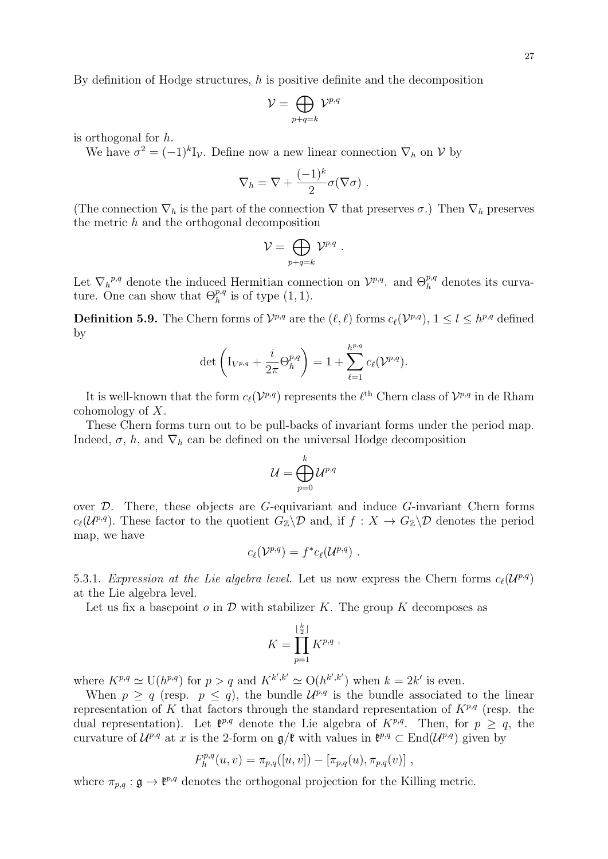By definition of Hodge structures, h is positive definite and the decomposition

$$
\mathcal{V}=\bigoplus_{p+q=k}\mathcal{V}^{p,q}
$$

is orthogonal for h.

We have  $\sigma^2 = (-1)^k I_{\mathcal{V}}$ . Define now a new linear connection  $\nabla_h$  on  $\mathcal{V}$  by

$$
\nabla_h = \nabla + \frac{(-1)^k}{2} \sigma(\nabla \sigma) .
$$

(The connection  $\nabla_h$  is the part of the connection  $\nabla$  that preserves  $\sigma$ .) Then  $\nabla_h$  preserves the metric  $h$  and the orthogonal decomposition

$$
\mathcal{V} = \bigoplus_{p+q=k} \mathcal{V}^{p,q} \ .
$$

Let  $\nabla_h^{p,q}$  denote the induced Hermitian connection on  $\mathcal{V}^{p,q}$ . and  $\Theta_h^{p,q}$  $h^{p,q}$  denotes its curvature. One can show that  $\Theta_h^{p,q}$  $_{h}^{p,q}$  is of type  $(1,1)$ .

**Definition 5.9.** The Chern forms of  $\mathcal{V}^{p,q}$  are the  $(\ell, \ell)$  forms  $c_{\ell}(\mathcal{V}^{p,q}), 1 \leq l \leq h^{p,q}$  defined by

$$
\det \left( I_{V^{p,q}} + \frac{i}{2\pi} \Theta_h^{p,q} \right) = 1 + \sum_{\ell=1}^{h^{p,q}} c_{\ell}(\mathcal{V}^{p,q}).
$$

It is well-known that the form  $c_{\ell}(\mathcal{V}^{p,q})$  represents the  $\ell^{\text{th}}$  Chern class of  $\mathcal{V}^{p,q}$  in de Rham cohomology of X.

These Chern forms turn out to be pull-backs of invariant forms under the period map. Indeed,  $\sigma$ , h, and  $\nabla_h$  can be defined on the universal Hodge decomposition

$$
\mathcal{U}=\bigoplus_{p=0}^k\mathcal{U}^{p,q}
$$

over D. There, these objects are G-equivariant and induce G-invariant Chern forms  $c_{\ell}(\mathcal{U}^{p,q})$ . These factor to the quotient  $G_{\mathbb{Z}}\backslash\mathcal{D}$  and, if  $f : X \to G_{\mathbb{Z}}\backslash\mathcal{D}$  denotes the period map, we have

$$
c_{\ell}(\mathcal{V}^{p,q})=f^*c_{\ell}(\mathcal{U}^{p,q})\ .
$$

<span id="page-26-0"></span>5.3.1. Expression at the Lie algebra level. Let us now express the Chern forms  $c_{\ell}(\mathcal{U}^{p,q})$ at the Lie algebra level.

Let us fix a basepoint  $o$  in  $\mathcal D$  with stabilizer K. The group K decomposes as

$$
K = \prod_{p=1}^{\lfloor \frac{k}{2} \rfloor} K^{p,q}.
$$

where  $K^{p,q} \simeq \mathrm{U}(h^{p,q})$  for  $p > q$  and  $K^{k',k'} \simeq \mathrm{O}(h^{k',k'})$  when  $k = 2k'$  is even.

When  $p \ge q$  (resp.  $p \le q$ ), the bundle  $\mathcal{U}^{p,q}$  is the bundle associated to the linear representation of K that factors through the standard representation of  $K^{p,q}$  (resp. the dual representation). Let  $\mathfrak{k}^{p,q}$  denote the Lie algebra of  $K^{p,q}$ . Then, for  $p \geq q$ , the curvature of  $\mathcal{U}^{p,q}$  at x is the 2-form on  $\mathfrak{g}/\mathfrak{k}$  with values in  $\mathfrak{k}^{p,q} \subset \text{End}(\mathcal{U}^{p,q})$  given by

$$
F_h^{p,q}(u,v) = \pi_{p,q}([u,v]) - [\pi_{p,q}(u), \pi_{p,q}(v)],
$$

where  $\pi_{p,q}: \mathfrak{g} \to \mathfrak{k}^{p,q}$  denotes the orthogonal projection for the Killing metric.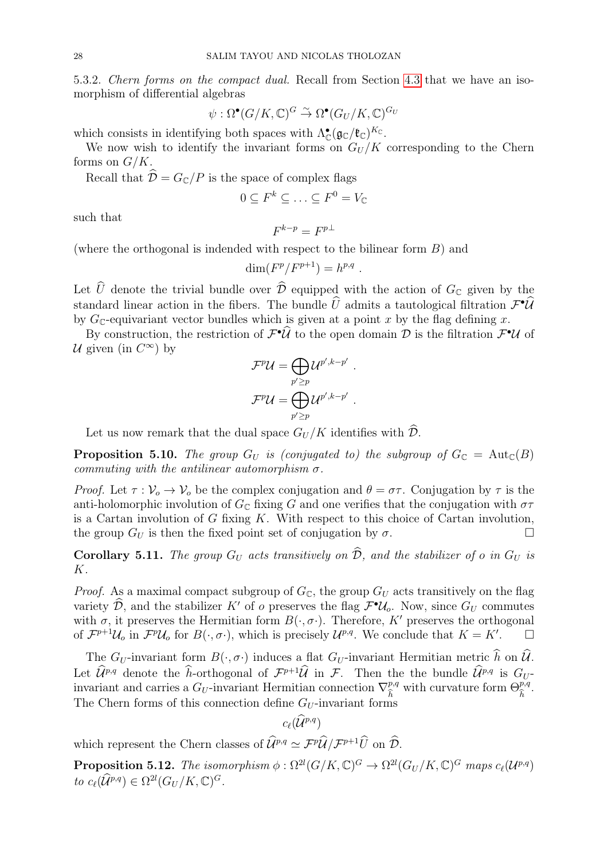5.3.2. Chern forms on the compact dual. Recall from Section [4.3](#page-19-0) that we have an isomorphism of differential algebras

$$
\psi : \Omega^{\bullet}(G/K, \mathbb{C})^G \overset{\sim}{\to} \Omega^{\bullet}(G_U/K, \mathbb{C})^{G_U}
$$

which consists in identifying both spaces with  $\Lambda_{\mathbb{C}}^{\bullet}(\mathfrak{g}_{\mathbb{C}}/\mathfrak{k}_{\mathbb{C}})^{K_{\mathbb{C}}}$ .

We now wish to identify the invariant forms on  $G_U/K$  corresponding to the Chern forms on  $G/K$ .

Recall that  $\hat{\mathcal{D}} = G_{\mathbb{C}}/P$  is the space of complex flags

$$
0 \subseteq F^k \subseteq \ldots \subseteq F^0 = V_{\mathbb{C}}
$$

such that

 $F^{k-p} = F^{p\perp}$ 

(where the orthogonal is indended with respect to the bilinear form  $B$ ) and

$$
\dim(F^p/F^{p+1}) = h^{p,q} .
$$

Let  $\hat{U}$  denote the trivial bundle over  $\hat{\mathcal{D}}$  equipped with the action of  $G_{\mathbb{C}}$  given by the standard linear action in the fibers. The bundle  $\hat{U}$  admits a tautological filtration  $\mathcal{F}^{\bullet}\hat{\mathcal{U}}$ by  $G_{\mathbb{C}}$ -equivariant vector bundles which is given at a point x by the flag defining x.

By construction, the restriction of  $\mathcal{F}^{\bullet} \hat{\mathcal{U}}$  to the open domain  $\mathcal{D}$  is the filtration  $\mathcal{F}^{\bullet} \mathcal{U}$  of U given (in  $C^{\infty}$ ) by

$$
\mathcal{F}^p \mathcal{U} = \bigoplus_{p' \geq p} \mathcal{U}^{p',k-p'}\ .
$$
 
$$
\mathcal{F}^p \mathcal{U} = \bigoplus_{p' \geq p} \mathcal{U}^{p',k-p'}\ .
$$

Let us now remark that the dual space  $G_U/K$  identifies with  $\mathcal{D}$ .

**Proposition 5.10.** The group  $G_U$  is (conjugated to) the subgroup of  $G_{\mathbb{C}} = \text{Aut}_{\mathbb{C}}(B)$ commuting with the antilinear automorphism  $\sigma$ .

Proof. Let  $\tau : \mathcal{V}_o \to \mathcal{V}_o$  be the complex conjugation and  $\theta = \sigma \tau$ . Conjugation by  $\tau$  is the anti-holomorphic involution of  $G_{\mathbb{C}}$  fixing G and one verifies that the conjugation with  $\sigma\tau$ is a Cartan involution of  $G$  fixing  $K$ . With respect to this choice of Cartan involution, the group  $G_U$  is then the fixed point set of conjugation by  $\sigma$ .

**Corollary 5.11.** The group  $G_U$  acts transitively on  $\widehat{\mathcal{D}}$ , and the stabilizer of o in  $G_U$  is K.

*Proof.* As a maximal compact subgroup of  $G_{\mathbb{C}}$ , the group  $G_U$  acts transitively on the flag variety  $\hat{\mathcal{D}}$ , and the stabilizer K' of o preserves the flag  $\mathcal{F}^{\bullet}\mathcal{U}_o$ . Now, since  $G_U$  commutes with  $\sigma$ , it preserves the Hermitian form  $B(\cdot, \sigma)$ . Therefore, K' preserves the orthogonal of  $\mathcal{F}^{p+1}\mathcal{U}_o$  in  $\mathcal{F}^p\mathcal{U}_o$  for  $B(\cdot, \sigma \cdot)$ , which is precisely  $\mathcal{U}^{p,q}$ . We conclude that  $K = K'$ .

The  $G_U$ -invariant form  $B(\cdot, \sigma)$  induces a flat  $G_U$ -invariant Hermitian metric  $\hat{h}$  on  $\hat{U}$ . Let  $\hat{\mathcal{U}}^{p,q}$  denote the *h*-orthogonal of  $\mathcal{F}^{p+1}\hat{\mathcal{U}}$  in  $\mathcal{F}$ . Then the bundle  $\hat{\mathcal{U}}^{p,q}$  is  $G_U$ invariant and carries a  $G_U$ -invariant Hermitian connection  $\nabla^{p,q}_{\hat{\tau}}$  $\frac{h}{2}$ with curvature form  $\Theta^{p,q}_{\hat{\tau}}$ bh . The Chern forms of this connection define  $G_U$ -invariant forms

$$
c_{\ell}(\widehat{\mathcal{U}}^{p,q})
$$

which represent the Chern classes of  $\hat{\mathcal{U}}^{p,q} \simeq \mathcal{F}^p \hat{\mathcal{U}} / \mathcal{F}^{p+1} \hat{U}$  on  $\hat{\mathcal{D}}$ .

<span id="page-27-0"></span>**Proposition 5.12.** The isomorphism  $\phi : \Omega^{2l}(G/K, \mathbb{C})^G \to \Omega^{2l}(G_U/K, \mathbb{C})^G$  maps  $c_{\ell}(\mathcal{U}^{p,q})$ to  $c_{\ell}(\widehat{\mathcal{U}}^{p,q}) \in \Omega^{2l}(G_U/K,\mathbb{C})^G$ .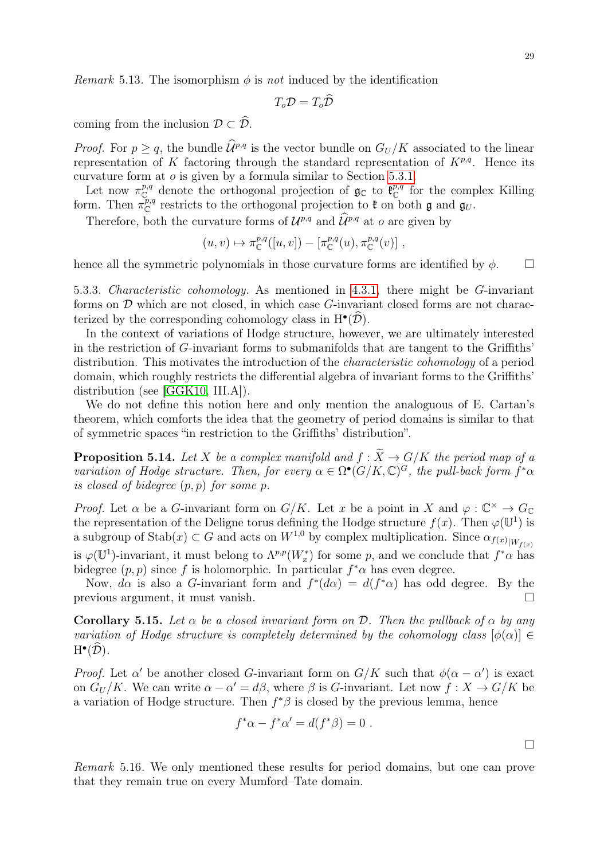$$
T_o \mathcal{D} = T_o \mathcal{D}
$$

coming from the inclusion  $\mathcal{D} \subset \widehat{\mathcal{D}}$ .

*Proof.* For  $p > q$ , the bundle  $\widehat{\mathcal{U}}^{p,q}$  is the vector bundle on  $G_U/K$  associated to the linear representation of K factoring through the standard representation of  $K^{p,q}$ . Hence its curvature form at o is given by a formula similar to Section [5.3.1.](#page-26-0)

Let now  $\pi_{\mathbb{C}}^{p,q}$  denote the orthogonal projection of  $\mathfrak{g}_{\mathbb{C}}$  to  $\mathfrak{k}_{\mathbb{C}}^{p,q}$  for the complex Killing form. Then  $\pi_{\mathbb{C}}^{p,q}$  restricts to the orthogonal projection to  $\mathfrak{k}$  on both  $\mathfrak{g}$  and  $\mathfrak{g}_U$ .

Therefore, both the curvature forms of  $\mathcal{U}^{p,q}$  and  $\hat{\mathcal{U}}^{p,q}$  at  $o$  are given by

$$
(u, v) \mapsto \pi_{\mathbb{C}}^{p,q}([u, v]) - [\pi_{\mathbb{C}}^{p,q}(u), \pi_{\mathbb{C}}^{p,q}(v)] ,
$$

hence all the symmetric polynomials in those curvature forms are identified by  $\phi$ .

5.3.3. Characteristic cohomology. As mentioned in [4.3.1,](#page-21-1) there might be G-invariant forms on  $D$  which are not closed, in which case  $G$ -invariant closed forms are not characterized by the corresponding cohomology class in  $H^{\bullet}(\hat{\mathcal{D}})$ .

In the context of variations of Hodge structure, however, we are ultimately interested in the restriction of G-invariant forms to submanifolds that are tangent to the Griffiths' distribution. This motivates the introduction of the *characteristic cohomology* of a period domain, which roughly restricts the differential algebra of invariant forms to the Griffiths' distribution (see [\[GGK10,](#page-45-19) III.A]).

We do not define this notion here and only mention the analoguous of E. Cartan's theorem, which comforts the idea that the geometry of period domains is similar to that of symmetric spaces "in restriction to the Griffiths' distribution".

<span id="page-28-0"></span>**Proposition 5.14.** Let X be a complex manifold and  $f : \widetilde{X} \to G/K$  the period map of a variation of Hodge structure. Then, for every  $\alpha \in \Omega^{\bullet}(G/K, \mathbb{C})^G$ , the pull-back form  $f^*\alpha$ is closed of bidegree  $(p, p)$  for some p.

*Proof.* Let  $\alpha$  be a G-invariant form on  $G/K$ . Let x be a point in X and  $\varphi : \mathbb{C}^{\times} \to G_{\mathbb{C}}$ the representation of the Deligne torus defining the Hodge structure  $f(x)$ . Then  $\varphi(\mathbb{U}^1)$  is a subgroup of  $\text{Stab}(x) \subset G$  and acts on  $W^{1,0}$  by complex multiplication. Since  $\alpha_{f(x)|W_{f(x)}}$ is  $\varphi(\mathbb{U}^1)$ -invariant, it must belong to  $\Lambda^{p,p}(W_x^*)$  for some p, and we conclude that  $f^*\alpha$  has bidegree  $(p, p)$  since f is holomorphic. In particular  $f^* \alpha$  has even degree.

Now,  $d\alpha$  is also a G-invariant form and  $f^*(d\alpha) = d(f^*\alpha)$  has odd degree. By the previous argument, it must vanish.

Corollary 5.15. Let  $\alpha$  be a closed invariant form on D. Then the pullback of  $\alpha$  by any variation of Hodge structure is completely determined by the cohomology class  $[\phi(\alpha)] \in$  $H^{\bullet}(\widehat{\mathcal{D}}).$ 

*Proof.* Let  $\alpha'$  be another closed G-invariant form on  $G/K$  such that  $\phi(\alpha - \alpha')$  is exact on  $G_U/K$ . We can write  $\alpha - \alpha' = d\beta$ , where  $\beta$  is G-invariant. Let now  $f: X \to G/K$  be a variation of Hodge structure. Then  $f^*\beta$  is closed by the previous lemma, hence

$$
f^*\alpha - f^*\alpha' = d(f^*\beta) = 0.
$$

Remark 5.16. We only mentioned these results for period domains, but one can prove that they remain true on every Mumford–Tate domain.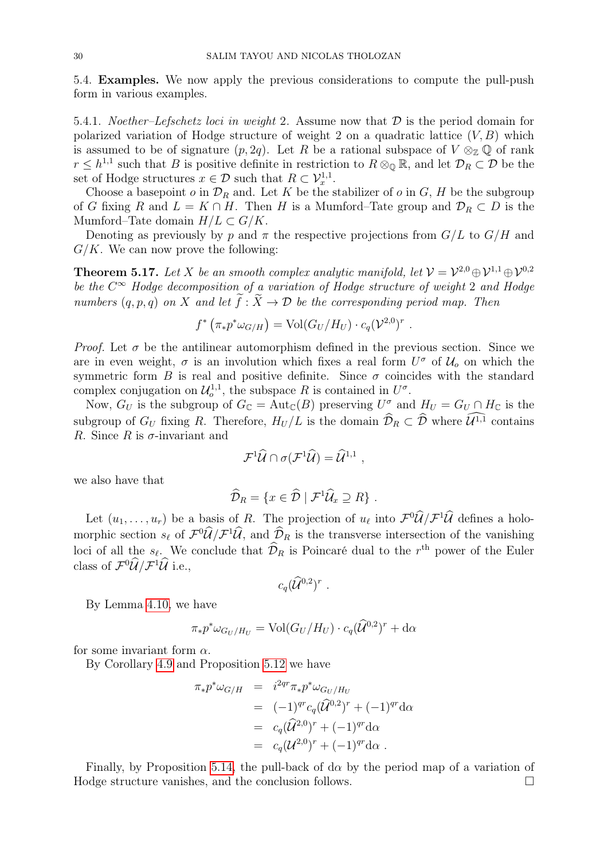5.4. Examples. We now apply the previous considerations to compute the pull-push form in various examples.

5.4.1. Noether–Lefschetz loci in weight 2. Assume now that  $\mathcal D$  is the period domain for polarized variation of Hodge structure of weight 2 on a quadratic lattice  $(V, B)$  which is assumed to be of signature  $(p, 2q)$ . Let R be a rational subspace of  $V \otimes_{\mathbb{Z}} \mathbb{Q}$  of rank  $r \leq h^{1,1}$  such that B is positive definite in restriction to  $R \otimes_{\mathbb{Q}} \mathbb{R}$ , and let  $\mathcal{D}_R \subset \mathcal{D}$  be the set of Hodge structures  $x \in \mathcal{D}$  such that  $R \subset \mathcal{V}_x^{1,1}$ .

Choose a basepoint  $o$  in  $\mathcal{D}_R$  and. Let K be the stabilizer of  $o$  in  $G$ , H be the subgroup of G fixing R and  $L = K \cap H$ . Then H is a Mumford–Tate group and  $\mathcal{D}_R \subset D$  is the Mumford–Tate domain  $H/L \subset G/K$ .

Denoting as previously by p and  $\pi$  the respective projections from  $G/L$  to  $G/H$  and  $G/K$ . We can now prove the following:

<span id="page-29-0"></span>**Theorem 5.17.** Let X be an smooth complex analytic manifold, let  $V = V^{2,0} \oplus V^{1,1} \oplus V^{0,2}$ be the  $C^{\infty}$  Hodge decomposition of a variation of Hodge structure of weight 2 and Hodge numbers  $(q, p, q)$  on X and let  $\widetilde{f}: \widetilde{X} \to \mathcal{D}$  be the corresponding period map. Then

$$
f^* \left( \pi_* p^* \omega_{G/H} \right) = \text{Vol}(G_U/H_U) \cdot c_q(\mathcal{V}^{2,0})^r.
$$

*Proof.* Let  $\sigma$  be the antilinear automorphism defined in the previous section. Since we are in even weight,  $\sigma$  is an involution which fixes a real form  $U^{\sigma}$  of  $\mathcal{U}_{o}$  on which the symmetric form B is real and positive definite. Since  $\sigma$  coincides with the standard complex conjugation on  $\mathcal{U}_{o}^{1,1}$ , the subspace R is contained in  $U^{\sigma}$ .

Now,  $G_U$  is the subgroup of  $G_{\mathbb{C}} = \text{Aut}_{\mathbb{C}}(B)$  preserving  $U^{\sigma}$  and  $H_U = G_U \cap H_{\mathbb{C}}$  is the subgroup of  $G_U$  fixing R. Therefore,  $H_U/L$  is the domain  $\widehat{\mathcal{D}}_R \subset \widehat{\mathcal{D}}$  where  $\widehat{\mathcal{U}^{1,1}}$  contains R. Since R is  $\sigma$ -invariant and

$$
\mathcal{F}^1\widehat{\mathcal{U}}\cap \sigma(\mathcal{F}^1\widehat{\mathcal{U}})=\widehat{\mathcal{U}}^{1,1} ,
$$

we also have that

$$
\widehat{\mathcal{D}}_R = \{ x \in \widehat{\mathcal{D}} \mid \mathcal{F}^1 \widehat{\mathcal{U}}_x \supseteq R \} .
$$

Let  $(u_1, \ldots, u_r)$  be a basis of R. The projection of  $u_\ell$  into  $\mathcal{F}^0 \mathcal{U}/\mathcal{F}^1 \mathcal{U}$  defines a holomorphic section  $s_\ell$  of  $\mathcal{F}^0 \mathcal{U}/\mathcal{F}^1 \mathcal{U}$ , and  $\mathcal{D}_R$  is the transverse intersection of the vanishing loci of all the  $s_\ell$ . We conclude that  $\hat{\mathcal{D}}_R$  is Poincaré dual to the r<sup>th</sup> power of the Euler class of  $\mathcal{F}^0\hat{\mathcal{U}}/\mathcal{F}^1\hat{\mathcal{U}}$  i.e.,

$$
c_q(\widehat{\mathcal{U}}^{0,2})^r\ .
$$

By Lemma [4.10,](#page-20-1) we have

$$
\pi_* p^* \omega_{G_U/H_U} = \text{Vol}(G_U/H_U) \cdot c_q (\widehat{\mathcal{U}}^{0,2})^r + d\alpha
$$

for some invariant form  $\alpha$ .

By Corollary [4.9](#page-20-2) and Proposition [5.12](#page-27-0) we have

$$
\pi_* p^* \omega_{G/H} = i^{2qr} \pi_* p^* \omega_{G_U/H_U} \n= (-1)^{qr} c_q (\hat{\mathcal{U}}^{0,2})^r + (-1)^{qr} d\alpha \n= c_q (\hat{\mathcal{U}}^{2,0})^r + (-1)^{qr} d\alpha \n= c_q (\mathcal{U}^{2,0})^r + (-1)^{qr} d\alpha .
$$

Finally, by Proposition [5.14,](#page-28-0) the pull-back of  $d\alpha$  by the period map of a variation of Hodge structure vanishes, and the conclusion follows.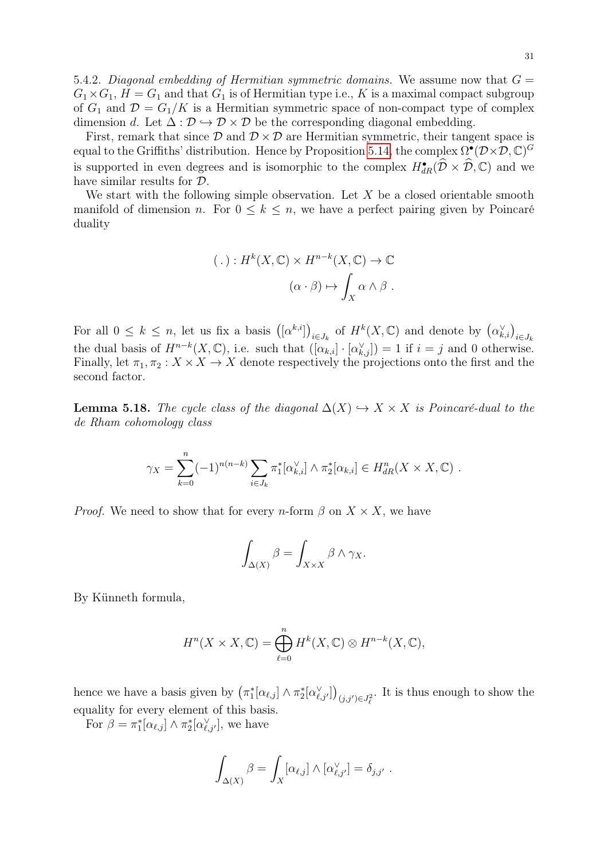First, remark that since  $\mathcal{D}$  and  $\mathcal{D} \times \mathcal{D}$  are Hermitian symmetric, their tangent space is equal to the Griffiths' distribution. Hence by Proposition [5.14,](#page-28-0) the complex  $\Omega^{\bullet}(\mathcal{D}\times\mathcal{D}, \mathbb{C})^G$ is supported in even degrees and is isomorphic to the complex  $H^{\bullet}_{dR}(\hat{\mathcal{D}} \times \hat{\mathcal{D}}, \mathbb{C})$  and we have similar results for D.

We start with the following simple observation. Let  $X$  be a closed orientable smooth manifold of dimension n. For  $0 \leq k \leq n$ , we have a perfect pairing given by Poincaré duality

$$
(\,.\,): H^k(X,\mathbb{C}) \times H^{n-k}(X,\mathbb{C}) \to \mathbb{C}
$$

$$
(\alpha \cdot \beta) \mapsto \int_X \alpha \wedge \beta \; .
$$

For all  $0 \leq k \leq n$ , let us fix a basis  $([\alpha^{k,i}])_{i \in J_k}$  of  $H^k(X, \mathbb{C})$  and denote by  $(\alpha_{k,i}^{\vee})_{i \in J_k}$ the dual basis of  $H^{n-k}(X,\mathbb{C})$ , i.e. such that  $([\alpha_{k,i}] \cdot [\alpha_{k,j}^{\vee}]) = 1$  if  $i = j$  and 0 otherwise. Finally, let  $\pi_1, \pi_2 : X \times X \to X$  denote respectively the projections onto the first and the second factor.

<span id="page-30-0"></span>**Lemma 5.18.** The cycle class of the diagonal  $\Delta(X) \hookrightarrow X \times X$  is Poincaré-dual to the de Rham cohomology class

$$
\gamma_X = \sum_{k=0}^n (-1)^{n(n-k)} \sum_{i \in J_k} \pi_1^* [\alpha_{k,i}^\vee] \wedge \pi_2^* [\alpha_{k,i}] \in H_{dR}^n(X \times X, \mathbb{C}) \ .
$$

*Proof.* We need to show that for every *n*-form  $\beta$  on  $X \times X$ , we have

$$
\int_{\Delta(X)} \beta = \int_{X \times X} \beta \wedge \gamma_X.
$$

By Künneth formula,

$$
H^{n}(X \times X, \mathbb{C}) = \bigoplus_{\ell=0}^{n} H^{k}(X, \mathbb{C}) \otimes H^{n-k}(X, \mathbb{C}),
$$

hence we have a basis given by  $(\pi_1^*[\alpha_{\ell,j}] \wedge \pi_2^*[\alpha_{\ell,j'}^{\vee}])_{(j,j') \in J_{\ell}^2}$ . It is thus enough to show the equality for every element of this basis.

For  $\beta = \pi_1^*[\alpha_{\ell,j}] \wedge \pi_2^*[\alpha_{\ell,j'}^{\vee}],$  we have

$$
\int_{\Delta(X)} \beta = \int_X [\alpha_{\ell,j}] \wedge [\alpha_{\ell,j'}^{\vee}] = \delta_{j,j'}.
$$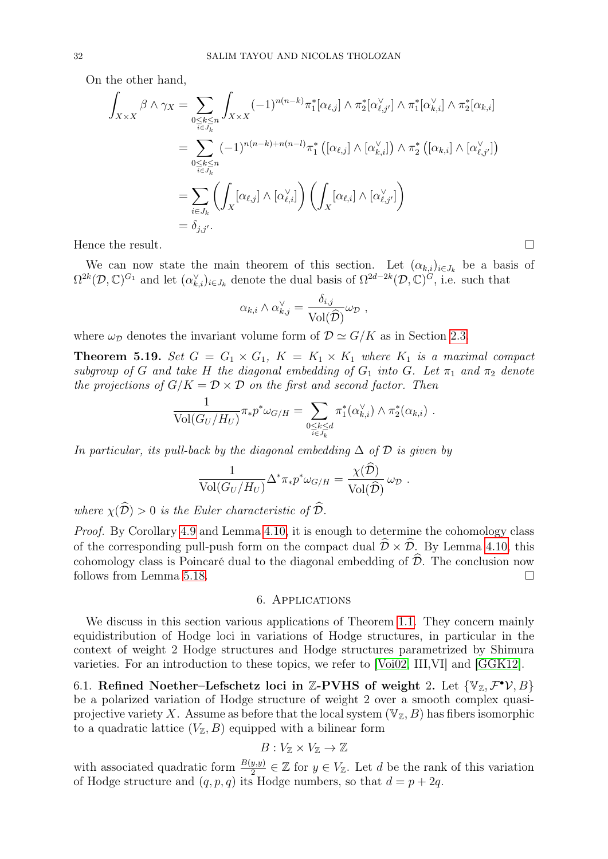On the other hand,

$$
\int_{X \times X} \beta \wedge \gamma_X = \sum_{\substack{0 \le k \le n \\ i \in J_k}} \int_{X \times X} (-1)^{n(n-k)} \pi_1^* [\alpha_{\ell,j}] \wedge \pi_2^* [\alpha_{\ell,j'}^{\vee}] \wedge \pi_1^* [\alpha_{k,i}] \wedge \pi_2^* [\alpha_{k,i}]
$$
\n
$$
= \sum_{\substack{0 \le k \le n \\ i \in J_k}} (-1)^{n(n-k)+n(n-l)} \pi_1^* ([\alpha_{\ell,j}] \wedge [\alpha_{k,i}^{\vee}]) \wedge \pi_2^* ([\alpha_{k,i}] \wedge [\alpha_{\ell,j'}^{\vee}])
$$
\n
$$
= \sum_{i \in J_k} \left( \int_X [\alpha_{\ell,j}] \wedge [\alpha_{\ell,i}^{\vee}] \right) \left( \int_X [\alpha_{\ell,i}] \wedge [\alpha_{\ell,j'}^{\vee}] \right)
$$
\n
$$
= \delta_{j,j'}.
$$

Hence the result.

We can now state the main theorem of this section. Let  $(\alpha_{k,i})_{i\in J_k}$  be a basis of  $\Omega^{2k}(\mathcal{D},\mathbb{C})^{G_1}$  and let  $(\alpha_{k,i}^{\vee})_{i\in J_k}$  denote the dual basis of  $\Omega^{2d-2k}(\mathcal{D},\mathbb{C})^{G_j}$ , i.e. such that

$$
\alpha_{k,i} \wedge \alpha_{k,j}^{\vee} = \frac{\delta_{i,j}}{\text{Vol}(\widehat{\mathcal{D}})} \omega_{\mathcal{D}} ,
$$

where  $\omega_{\mathcal{D}}$  denotes the invariant volume form of  $\mathcal{D} \simeq G/K$  as in Section [2.3.](#page-8-0)

<span id="page-31-2"></span>**Theorem 5.19.** Set  $G = G_1 \times G_1$ ,  $K = K_1 \times K_1$  where  $K_1$  is a maximal compact subgroup of G and take H the diagonal embedding of  $G_1$  into G. Let  $\pi_1$  and  $\pi_2$  denote the projections of  $G/K = \mathcal{D} \times \mathcal{D}$  on the first and second factor. Then

$$
\frac{1}{\text{Vol}(G_U/H_U)} \pi_* p^* \omega_{G/H} = \sum_{\substack{0 \le k \le d \\ i \in J_k}} \pi_1^*(\alpha_{k,i}^{\vee}) \wedge \pi_2^*(\alpha_{k,i}) .
$$

In particular, its pull-back by the diagonal embedding  $\Delta$  of  $\mathcal D$  is given by

$$
\frac{1}{\text{Vol}(G_U/H_U)} \Delta^* \pi_* p^* \omega_{G/H} = \frac{\chi(\mathcal{D})}{\text{Vol}(\widehat{\mathcal{D}})} \omega_{\mathcal{D}}.
$$

where  $\chi(\widehat{\mathcal{D}}) > 0$  is the Euler characteristic of  $\widehat{\mathcal{D}}$ .

Proof. By Corollary [4.9](#page-20-2) and Lemma [4.10,](#page-20-1) it is enough to determine the cohomology class of the corresponding pull-push form on the compact dual  $\hat{\mathcal{D}} \times \hat{\mathcal{D}}$ . By Lemma [4.10,](#page-20-1) this cohomology class is Poincaré dual to the diagonal embedding of  $\widehat{\mathcal{D}}$ . The conclusion now follows from Lemma 5.18. follows from Lemma [5.18.](#page-30-0)

### 6. Applications

<span id="page-31-0"></span>We discuss in this section various applications of Theorem [1.1.](#page-1-0) They concern mainly equidistribution of Hodge loci in variations of Hodge structures, in particular in the context of weight 2 Hodge structures and Hodge structures parametrized by Shimura varieties. For an introduction to these topics, we refer to [\[Voi02,](#page-46-7) III,VI] and [\[GGK12\]](#page-45-20).

<span id="page-31-1"></span>6.1. Refined Noether-Lefschetz loci in Z-PVHS of weight 2. Let  $\{V_z, \mathcal{F}^{\bullet} \mathcal{V}, B\}$ be a polarized variation of Hodge structure of weight 2 over a smooth complex quasiprojective variety X. Assume as before that the local system  $(\mathbb{V}_\mathbb{Z}, B)$  has fibers isomorphic to a quadratic lattice  $(V_{\mathbb{Z}}, B)$  equipped with a bilinear form

$$
B: V_{\mathbb{Z}} \times V_{\mathbb{Z}} \to \mathbb{Z}
$$

with associated quadratic form  $\frac{B(y,y)}{2} \in \mathbb{Z}$  for  $y \in V_{\mathbb{Z}}$ . Let d be the rank of this variation of Hodge structure and  $(q, p, q)$  its Hodge numbers, so that  $d = p + 2q$ .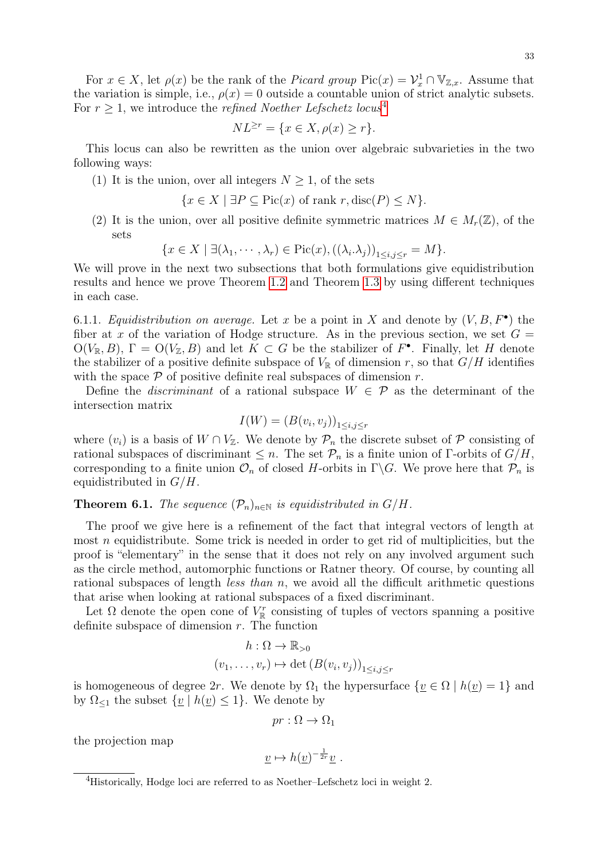33

For  $x \in X$ , let  $\rho(x)$  be the rank of the *Picard group* Pic $(x) = \mathcal{V}_x^1 \cap \mathbb{V}_{\mathbb{Z},x}$ . Assume that the variation is simple, i.e.,  $\rho(x) = 0$  outside a countable union of strict analytic subsets. For  $r \geq 1$ , we introduce the *refined Noether Lefschetz locus*<sup>[4](#page-32-0)</sup>

$$
NL^{\geq r} = \{x \in X, \rho(x) \geq r\}.
$$

This locus can also be rewritten as the union over algebraic subvarieties in the two following ways:

(1) It is the union, over all integers  $N \geq 1$ , of the sets

$$
\{x \in X \mid \exists P \subseteq \text{Pic}(x) \text{ of rank } r, \text{disc}(P) \le N\}.
$$

(2) It is the union, over all positive definite symmetric matrices  $M \in M_r(\mathbb{Z})$ , of the sets

$$
\{x \in X \mid \exists (\lambda_1, \cdots, \lambda_r) \in \text{Pic}(x), ((\lambda_i. \lambda_j))_{1 \le i,j \le r} = M\}.
$$

We will prove in the next two subsections that both formulations give equidistribution results and hence we prove Theorem [1.2](#page-2-0) and Theorem [1.3](#page-3-0) by using different techniques in each case.

<span id="page-32-1"></span>6.1.1. Equidistribution on average. Let x be a point in X and denote by  $(V, B, F^{\bullet})$  the fiber at x of the variation of Hodge structure. As in the previous section, we set  $G =$  $O(V_{\mathbb{R}}, B)$ ,  $\Gamma = O(V_{\mathbb{Z}}, B)$  and let  $K \subset G$  be the stabilizer of  $F^{\bullet}$ . Finally, let H denote the stabilizer of a positive definite subspace of  $V_{\mathbb{R}}$  of dimension r, so that  $G/H$  identifies with the space  $P$  of positive definite real subspaces of dimension  $r$ .

Define the *discriminant* of a rational subspace  $W \in \mathcal{P}$  as the determinant of the intersection matrix

$$
I(W) = (B(v_i, v_j))_{1 \le i, j \le r}
$$

where  $(v_i)$  is a basis of  $W \cap V_{\mathbb{Z}}$ . We denote by  $\mathcal{P}_n$  the discrete subset of  $\mathcal P$  consisting of rational subspaces of discriminant  $\leq n$ . The set  $\mathcal{P}_n$  is a finite union of Γ-orbits of  $G/H$ , corresponding to a finite union  $\mathcal{O}_n$  of closed H-orbits in  $\Gamma \backslash G$ . We prove here that  $\mathcal{P}_n$  is equidistributed in  $G/H$ .

# <span id="page-32-2"></span>**Theorem 6.1.** The sequence  $(\mathcal{P}_n)_{n\in\mathbb{N}}$  is equidistributed in  $G/H$ .

The proof we give here is a refinement of the fact that integral vectors of length at most  $n$  equidistribute. Some trick is needed in order to get rid of multiplicities, but the proof is "elementary" in the sense that it does not rely on any involved argument such as the circle method, automorphic functions or Ratner theory. Of course, by counting all rational subspaces of length less than n, we avoid all the difficult arithmetic questions that arise when looking at rational subspaces of a fixed discriminant.

Let  $\Omega$  denote the open cone of  $V_{\mathbb{R}}^r$  consisting of tuples of vectors spanning a positive definite subspace of dimension  $r$ . The function

$$
h: \Omega \to \mathbb{R}_{>0}
$$

$$
(v_1, \dots, v_r) \mapsto \det (B(v_i, v_j))_{1 \le i, j \le r}
$$

is homogeneous of degree 2r. We denote by  $\Omega_1$  the hypersurface  $\{v \in \Omega \mid h(v) = 1\}$  and by  $\Omega_{\leq 1}$  the subset  $\{ \underline{v} \mid h(\underline{v}) \leq 1 \}$ . We denote by

$$
pr: \Omega \to \Omega_1
$$

the projection map

$$
\underline{v} \mapsto h(\underline{v})^{-\frac{1}{2r}} \underline{v} \ .
$$

<span id="page-32-0"></span><sup>&</sup>lt;sup>4</sup>Historically, Hodge loci are referred to as Noether–Lefschetz loci in weight 2.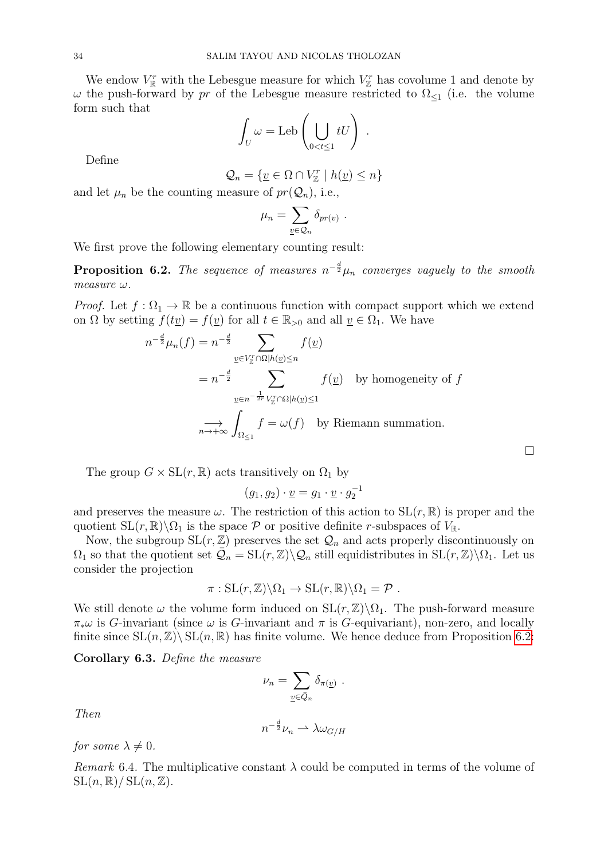We endow  $V_{\mathbb{R}}^r$  with the Lebesgue measure for which  $V_{\mathbb{Z}}^r$  has covolume 1 and denote by  $\omega$  the push-forward by pr of the Lebesgue measure restricted to  $\Omega_{\leq 1}$  (i.e. the volume form such that

$$
\int_U \omega = \text{Leb}\left(\bigcup_{0 < t \leq 1} tU\right) .
$$

Define

$$
\mathcal{Q}_n = \{ \underline{v} \in \Omega \cap V^r_{\mathbb{Z}} \mid h(\underline{v}) \le n \}
$$

and let  $\mu_n$  be the counting measure of  $pr(\mathcal{Q}_n)$ , i.e.,

$$
\mu_n = \sum_{\underline{v} \in \mathcal{Q}_n} \delta_{pr(v)}
$$

.

We first prove the following elementary counting result:

<span id="page-33-0"></span>**Proposition 6.2.** The sequence of measures  $n^{-\frac{d}{2}}\mu_n$  converges vaguely to the smooth  $measure \omega$ .

*Proof.* Let  $f : \Omega_1 \to \mathbb{R}$  be a continuous function with compact support which we extend on  $\Omega$  by setting  $f(t\underline{v}) = f(\underline{v})$  for all  $t \in \mathbb{R}_{>0}$  and all  $\underline{v} \in \Omega_1$ . We have

$$
n^{-\frac{d}{2}}\mu_n(f) = n^{-\frac{d}{2}} \sum_{\underline{v} \in V_{\underline{x}}^r \cap \Omega | h(\underline{v}) \le n} f(\underline{v})
$$
  
=  $n^{-\frac{d}{2}} \sum_{\underline{v} \in n^{-\frac{1}{2r}} V_{\underline{x}}^r \cap \Omega | h(\underline{v}) \le 1} f(\underline{v})$  by homogeneity of  $f$   
 $\longrightarrow \sum_{n \to +\infty} \int_{\Omega_{\le 1}} f = \omega(f)$  by Riemann summation.

 $\Box$ 

The group  $G \times SL(r, \mathbb{R})$  acts transitively on  $\Omega_1$  by

$$
(g_1, g_2) \cdot \underline{v} = g_1 \cdot \underline{v} \cdot g_2^{-1}
$$

and preserves the measure  $\omega$ . The restriction of this action to  $SL(r, \mathbb{R})$  is proper and the quotient  $SL(r, \mathbb{R})\backslash\Omega_1$  is the space P or positive definite r-subspaces of  $V_{\mathbb{R}}$ .

Now, the subgroup  $SL(r, \mathbb{Z})$  preserves the set  $\mathcal{Q}_n$  and acts properly discontinuously on  $\Omega_1$  so that the quotient set  $\mathcal{Q}_n = SL(r, \mathbb{Z}) \backslash \mathcal{Q}_n$  still equidistributes in  $SL(r, \mathbb{Z}) \backslash \Omega_1$ . Let us consider the projection

$$
\pi: SL(r, \mathbb{Z})\backslash \Omega_1 \to SL(r, \mathbb{R})\backslash \Omega_1 = \mathcal{P} .
$$

We still denote  $\omega$  the volume form induced on  $SL(r, \mathbb{Z})\backslash\Omega_1$ . The push-forward measure  $\pi_*\omega$  is G-invariant (since  $\omega$  is G-invariant and  $\pi$  is G-equivariant), non-zero, and locally finite since  $SL(n,\mathbb{Z})\backslash SL(n,\mathbb{R})$  has finite volume. We hence deduce from Proposition [6.2:](#page-33-0)

Corollary 6.3. Define the measure

$$
\nu_n = \sum_{\underline{v} \in \bar{Q}_n} \delta_{\pi(\underline{v})} .
$$

Then

$$
n^{-\frac{d}{2}}\nu_n \rightharpoonup \lambda \omega_{G/H}
$$

for some  $\lambda \neq 0$ .

Remark 6.4. The multiplicative constant  $\lambda$  could be computed in terms of the volume of  $SL(n, \mathbb{R})/SL(n, \mathbb{Z}).$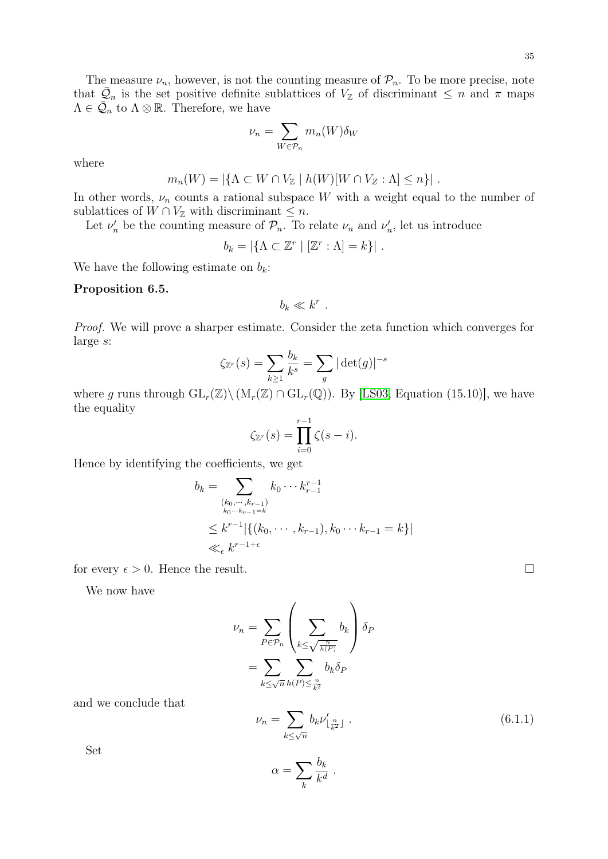The measure  $\nu_n$ , however, is not the counting measure of  $\mathcal{P}_n$ . To be more precise, note that  $\overline{Q}_n$  is the set positive definite sublattices of  $V_{\mathbb{Z}}$  of discriminant  $\leq n$  and  $\pi$  maps  $\Lambda \in \overline{\mathcal{Q}}_n$  to  $\Lambda \otimes \mathbb{R}$ . Therefore, we have

$$
\nu_n = \sum_{W \in \mathcal{P}_n} m_n(W) \delta_W
$$

where

$$
m_n(W) = |\{\Lambda \subset W \cap V_{\mathbb{Z}} \mid h(W)[W \cap V_{\mathbb{Z}} : \Lambda] \leq n\}|.
$$

In other words,  $\nu_n$  counts a rational subspace W with a weight equal to the number of sublattices of  $W \cap V_{\mathbb{Z}}$  with discriminant  $\leq n$ .

Let  $\nu'_n$  be the counting measure of  $\mathcal{P}_n$ . To relate  $\nu_n$  and  $\nu'_n$ , let us introduce

$$
b_k = |\{\Lambda \subset \mathbb{Z}^r \mid [\mathbb{Z}^r : \Lambda] = k\}|.
$$

We have the following estimate on  $b_k$ :

### Proposition 6.5.

 $b_k \ll k^r$ .

Proof. We will prove a sharper estimate. Consider the zeta function which converges for large s:

$$
\zeta_{\mathbb{Z}^r}(s) = \sum_{k \ge 1} \frac{b_k}{k^s} = \sum_g |\det(g)|^{-s}
$$

where g runs through  $GL_r(\mathbb{Z})\backslash (M_r(\mathbb{Z})\cap GL_r(\mathbb{Q}))$ . By [\[LS03,](#page-46-17) Equation (15.10)], we have the equality

$$
\zeta_{\mathbb{Z}^r}(s) = \prod_{i=0}^{r-1} \zeta(s-i).
$$

Hence by identifying the coefficients, we get

$$
b_k = \sum_{\substack{(k_0, \dots, k_{r-1}) \\ k_0 \dots k_{r-1} = k}} k_0 \dots k_{r-1}^{r-1}
$$
  
\$\leq k^{r-1} \mid \{(k\_0, \dots, k\_{r-1}), k\_0 \dots k\_{r-1} = k\} \mid \mathcal{K}\_{\epsilon} \mid k^{r-1+\epsilon}\$

for every  $\epsilon > 0$ . Hence the result.

We now have

$$
\nu_n = \sum_{P \in \mathcal{P}_n} \left( \sum_{k \le \sqrt{\frac{n}{h(P)}}} b_k \right) \delta_P
$$

$$
= \sum_{k \le \sqrt{n}} \sum_{h(P) \le \frac{n}{k^2}} b_k \delta_P
$$

and we conclude that

<span id="page-34-0"></span>
$$
\nu_n = \sum_{k \le \sqrt{n}} b_k \nu'_{\lfloor \frac{n}{k^2} \rfloor} \tag{6.1.1}
$$

Set

$$
\alpha = \sum_{k} \frac{b_k}{k^d} \; .
$$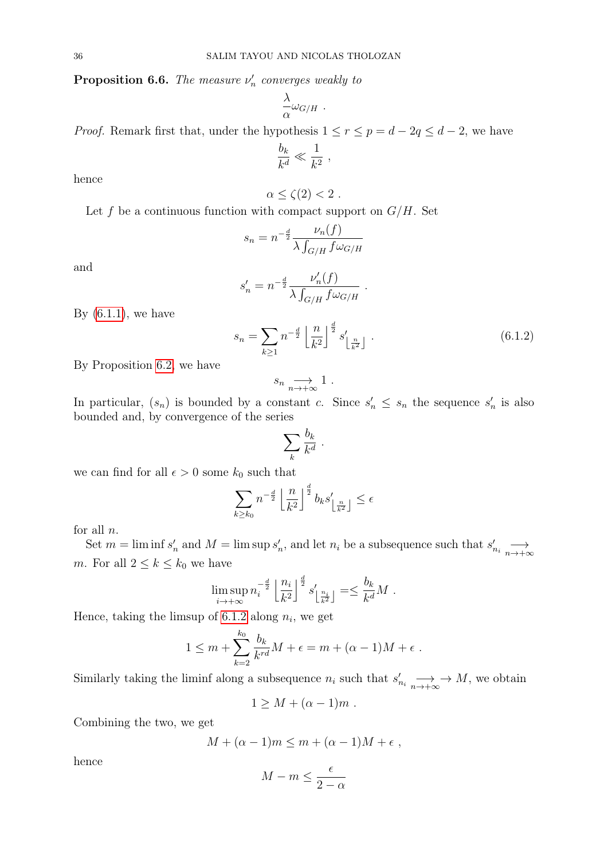**Proposition 6.6.** The measure  $\nu'_n$  converges weakly to

$$
\frac{\lambda}{\alpha}\omega_{G/H} \ .
$$

*Proof.* Remark first that, under the hypothesis  $1 \le r \le p = d - 2q \le d - 2$ , we have

$$
\frac{b_k}{k^d} \ll \frac{1}{k^2} ,
$$

hence

$$
\alpha \leq \zeta(2) < 2.
$$

Let  $f$  be a continuous function with compact support on  $G/H$ . Set

$$
s_n = n^{-\frac{d}{2}} \frac{\nu_n(f)}{\lambda \int_{G/H} f \omega_{G/H}}
$$

and

$$
s_n' = n^{-\frac{d}{2}} \frac{\nu_n'(f)}{\lambda \int_{G/H} f \omega_{G/H}}
$$

By  $(6.1.1)$ , we have

<span id="page-35-0"></span>
$$
s_n = \sum_{k \ge 1} n^{-\frac{d}{2}} \left\lfloor \frac{n}{k^2} \right\rfloor^{\frac{d}{2}} s'_{\left\lfloor \frac{n}{k^2} \right\rfloor} \tag{6.1.2}
$$

.

By Proposition [6.2,](#page-33-0) we have

$$
s_n \underset{n \to +\infty}{\longrightarrow} 1.
$$

In particular,  $(s_n)$  is bounded by a constant c. Since  $s'_n \leq s_n$  the sequence  $s'_n$  is also bounded and, by convergence of the series

$$
\sum_k \frac{b_k}{k^d} \; .
$$

we can find for all  $\epsilon > 0$  some  $k_0$  such that

$$
\sum_{k \ge k_0} n^{-\frac{d}{2}} \left\lfloor \frac{n}{k^2} \right\rfloor^{\frac{d}{2}} b_k s'_{\left\lfloor \frac{n}{k^2} \right\rfloor} \le \epsilon
$$

for all  $n$ .

Set  $m = \liminf s'_n$  and  $M = \limsup s'_n$ , and let  $n_i$  be a subsequence such that  $s'_{n_i} \longrightarrow$ m. For all  $2 \leq k \leq k_0$  we have

$$
\limsup_{i \to +\infty} n_i^{-\frac{d}{2}} \left\lfloor \frac{n_i}{k^2} \right\rfloor^{\frac{d}{2}} s'_{\left\lfloor \frac{n_i}{k^2} \right\rfloor} = \leq \frac{b_k}{k^d} M.
$$

Hence, taking the limsup of [6.1.2](#page-35-0) along  $n_i$ , we get

$$
1 \leq m + \sum_{k=2}^{k_0} \frac{b_k}{k^{rd}} M + \epsilon = m + (\alpha - 1)M + \epsilon.
$$

Similarly taking the liminf along a subsequence  $n_i$  such that  $s'_{n_i} \longrightarrow \longrightarrow M$ , we obtain

$$
1 \geq M + (\alpha - 1)m \; .
$$

Combining the two, we get

$$
M + (\alpha - 1)m \le m + (\alpha - 1)M + \epsilon ,
$$

hence

$$
M - m \le \frac{\epsilon}{2 - \alpha}
$$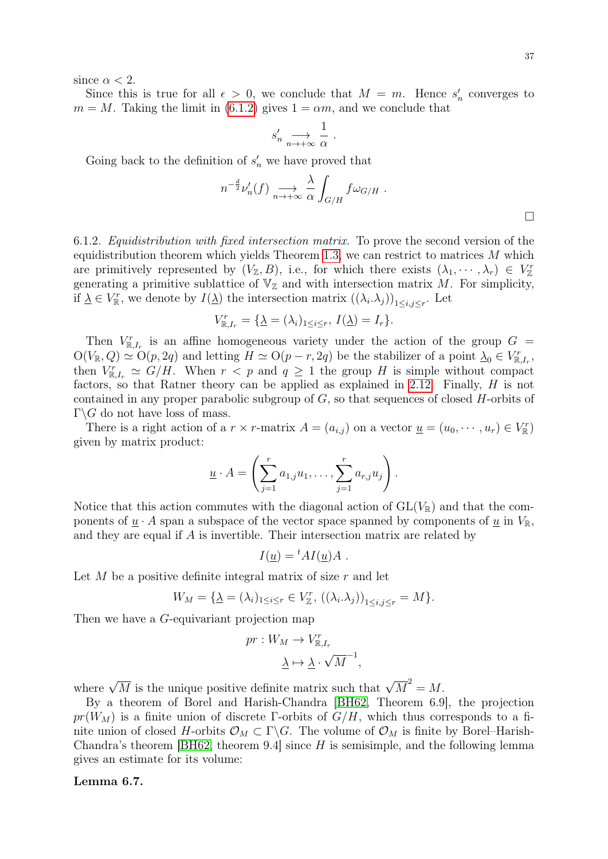since  $\alpha < 2$ .

Since this is true for all  $\epsilon > 0$ , we conclude that  $M = m$ . Hence  $s'_n$  converges to  $m = M$ . Taking the limit in [\(6.1.2\)](#page-35-0) gives  $1 = \alpha m$ , and we conclude that

$$
s_n' \xrightarrow[n \to +\infty]{} \frac{1}{\alpha} \ .
$$

Going back to the definition of  $s'_n$  we have proved that

$$
n^{-\frac{d}{2}}\nu_n'(f) \underset{n \to +\infty}{\longrightarrow} \frac{\lambda}{\alpha} \int_{G/H} f \omega_{G/H} .
$$

<span id="page-36-1"></span>6.1.2. Equidistribution with fixed intersection matrix. To prove the second version of the equidistribution theorem which yields Theorem [1.3,](#page-3-0) we can restrict to matrices  $M$  which are primitively represented by  $(V_{\mathbb{Z}},B)$ , i.e., for which there exists  $(\lambda_1,\cdots,\lambda_r)\in V_{\mathbb{Z}}^r$ generating a primitive sublattice of  $\mathbb{V}_{\mathbb{Z}}$  and with intersection matrix M. For simplicity, if  $\underline{\lambda} \in V_{\mathbb{R}}^r$ , we denote by  $I(\underline{\lambda})$  the intersection matrix  $((\lambda_i.\lambda_j))_{1 \leq i,j \leq r}$ . Let

$$
V_{\mathbb{R},I_r}^r = \{ \underline{\lambda} = (\lambda_i)_{1 \le i \le r}, I(\underline{\lambda}) = I_r \}.
$$

Then  $V_{\mathbb{R},I_r}^r$  is an affine homogeneous variety under the action of the group  $G =$  $O(V_{\mathbb{R}}, Q) \simeq O(p, 2q)$  and letting  $H \simeq O(p-r, 2q)$  be the stabilizer of a point  $\Delta_0 \in V_{\mathbb{R},I_r}^r$ , then  $V_{\mathbb{R},I_r}^r \simeq G/H$ . When  $r < p$  and  $q \geq 1$  the group H is simple without compact factors, so that Ratner theory can be applied as explained in [2.12.](#page-10-2) Finally, H is not contained in any proper parabolic subgroup of G, so that sequences of closed H-orbits of  $\Gamma \backslash G$  do not have loss of mass.

There is a right action of a  $r \times r$ -matrix  $A = (a_{i,j})$  on a vector  $\underline{u} = (u_0, \dots, u_r) \in V_{\mathbb{R}}^r$ given by matrix product:

$$
\underline{u} \cdot A = \left(\sum_{j=1}^r a_{1,j} u_1, \dots, \sum_{j=1}^r a_{r,j} u_j\right).
$$

Notice that this action commutes with the diagonal action of  $GL(V_{\mathbb{R}})$  and that the components of  $\underline{u} \cdot A$  span a subspace of the vector space spanned by components of  $\underline{u}$  in  $V_{\mathbb{R}}$ , and they are equal if A is invertible. Their intersection matrix are related by

$$
I(\underline{u}) = {}^t A I(\underline{u}) A .
$$

Let M be a positive definite integral matrix of size  $r$  and let

$$
W_M = \{ \underline{\lambda} = (\lambda_i)_{1 \le i \le r} \in V_{\mathbb{Z}}^r, \left( (\lambda_i . \lambda_j) \right)_{1 \le i, j \le r} = M \}.
$$

Then we have a G-equivariant projection map

$$
pr: W_M \to V_{\mathbb{R},I_r}^r
$$

$$
\underline{\lambda} \mapsto \underline{\lambda} \cdot \sqrt{M}^{-1},
$$

where  $\sqrt{M}$  is the unique positive definite matrix such that  $\sqrt{M}^2 = M$ .

By a theorem of Borel and Harish-Chandra [\[BH62,](#page-44-8) Theorem 6.9], the projection  $pr(W_M)$  is a finite union of discrete Γ-orbits of  $G/H$ , which thus corresponds to a finite union of closed H-orbits  $\mathcal{O}_M \subset \Gamma \backslash G$ . The volume of  $\mathcal{O}_M$  is finite by Borel–Harish-Chandra's theorem [\[BH62,](#page-44-8) theorem 9.4] since  $H$  is semisimple, and the following lemma gives an estimate for its volume:

#### <span id="page-36-0"></span>Lemma 6.7.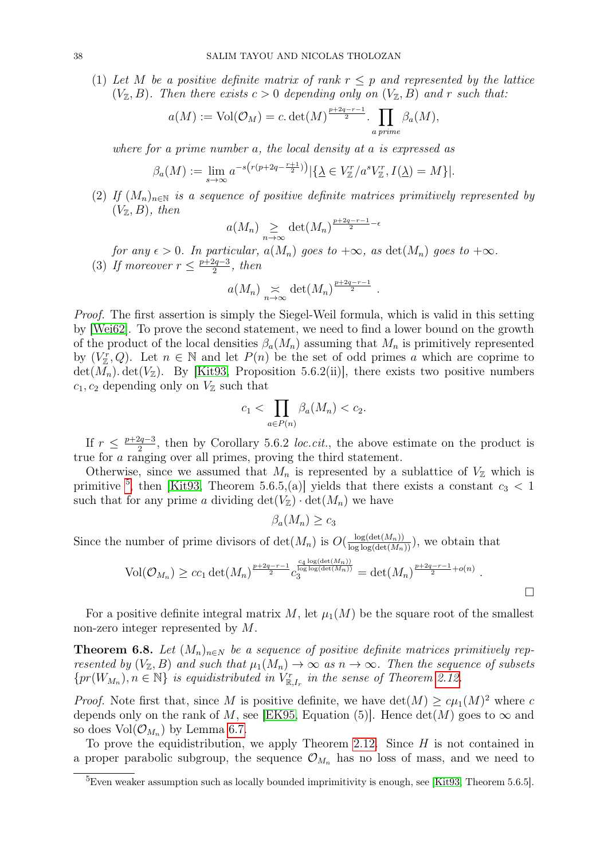(1) Let M be a positive definite matrix of rank  $r \leq p$  and represented by the lattice  $(V_{\mathbb{Z}}, B)$ . Then there exists  $c > 0$  depending only on  $(V_{\mathbb{Z}}, B)$  and r such that:

$$
a(M) := \text{Vol}(\mathcal{O}_M) = c \cdot \det(M)^{\frac{p+2q-r-1}{2}} \cdot \prod_{a \text{ prime}} \beta_a(M),
$$

where for a prime number a, the local density at a is expressed as

$$
\beta_a(M) := \lim_{s \to \infty} a^{-s \left( r(p + 2q - \frac{r+1}{2}) \right)} |\{\underline{\lambda} \in V^r_{\mathbb{Z}} / a^s V^r_{\mathbb{Z}}, I(\underline{\lambda}) = M \}|.
$$

(2) If  $(M_n)_{n\in\mathbb{N}}$  is a sequence of positive definite matrices primitively represented by  $(V_{\mathbb{Z}}, B)$ , then

$$
a(M_n) \sum_{n \to \infty} \det(M_n)^{\frac{p+2q-r-1}{2}-\epsilon}
$$

for any  $\epsilon > 0$ . In particular,  $a(M_n)$  goes to  $+\infty$ , as  $\det(M_n)$  goes to  $+\infty$ . (3) If moreover  $r \leq \frac{p+2q-3}{2}$  $\frac{2q-3}{2}$ , then

$$
a(M_n) \underset{n\to\infty}{\asymp} \det(M_n)^{\frac{p+2q-r-1}{2}}
$$
.

Proof. The first assertion is simply the Siegel-Weil formula, which is valid in this setting by [\[Wei62\]](#page-46-18). To prove the second statement, we need to find a lower bound on the growth of the product of the local densities  $\beta_a(M_n)$  assuming that  $M_n$  is primitively represented by  $(V_{\mathbb{Z}}^r, Q)$ . Let  $n \in \mathbb{N}$  and let  $P(n)$  be the set of odd primes a which are coprime to  $\det(M_n)$ .  $\det(V_{\mathbb{Z}})$ . By [\[Kit93,](#page-45-21) Proposition 5.6.2(ii)], there exists two positive numbers  $c_1, c_2$  depending only on  $V_{\mathbb{Z}}$  such that

$$
c_1 < \prod_{a \in P(n)} \beta_a(M_n) < c_2.
$$

If  $r \leq \frac{p+2q-3}{2}$  $\frac{2q-3}{2}$ , then by Corollary 5.6.2 *loc.cit.*, the above estimate on the product is true for a ranging over all primes, proving the third statement.

Otherwise, since we assumed that  $M_n$  is represented by a sublattice of  $V_{\mathbb{Z}}$  which is primitive <sup>[5](#page-37-0)</sup>, then [\[Kit93,](#page-45-21) Theorem 5.6.5,(a)] yields that there exists a constant  $c_3 < 1$ such that for any prime a dividing  $\det(V_{\mathbb{Z}}) \cdot \det(M_n)$  we have

 $\beta_a(M_n) \geq c_3$ 

Since the number of prime divisors of  $\det(M_n)$  is  $O(\frac{\log(\det(M_n))}{\log \log(\det(M_n))})$ , we obtain that

$$
Vol(\mathcal{O}_{M_n}) \geq c c_1 \det(M_n)^{\frac{p+2q-r-1}{2}} c_3^{\frac{c_4 \log(\det(M_n))}{\log \log(\det(M_n))}} = \det(M_n)^{\frac{p+2q-r-1}{2} + o(n)}.
$$

For a positive definite integral matrix M, let  $\mu_1(M)$  be the square root of the smallest non-zero integer represented by M.

<span id="page-37-1"></span>**Theorem 6.8.** Let  $(M_n)_{n\in\mathbb{N}}$  be a sequence of positive definite matrices primitively represented by  $(V_{\mathbb{Z}}, B)$  and such that  $\mu_1(M_n) \to \infty$  as  $n \to \infty$ . Then the sequence of subsets  ${pr(W_{M_n})}, n \in \mathbb{N}$  is equidistributed in  $V_{\mathbb{R},I_r}^r$  in the sense of Theorem [2.12.](#page-10-2)

*Proof.* Note first that, since M is positive definite, we have  $\det(M) \geq c\mu_1(M)^2$  where c depends only on the rank of M, see [\[EK95,](#page-45-22) Equation (5)]. Hence  $\det(M)$  goes to  $\infty$  and so does  $\text{Vol}(\mathcal{O}_{M_n})$  by Lemma [6.7.](#page-36-0)

To prove the equidistribution, we apply Theorem [2.12.](#page-10-2) Since  $H$  is not contained in a proper parabolic subgroup, the sequence  $\mathcal{O}_{M_n}$  has no loss of mass, and we need to

<span id="page-37-0"></span><sup>&</sup>lt;sup>5</sup>Even weaker assumption such as locally bounded imprimitivity is enough, see [\[Kit93,](#page-45-21) Theorem 5.6.5].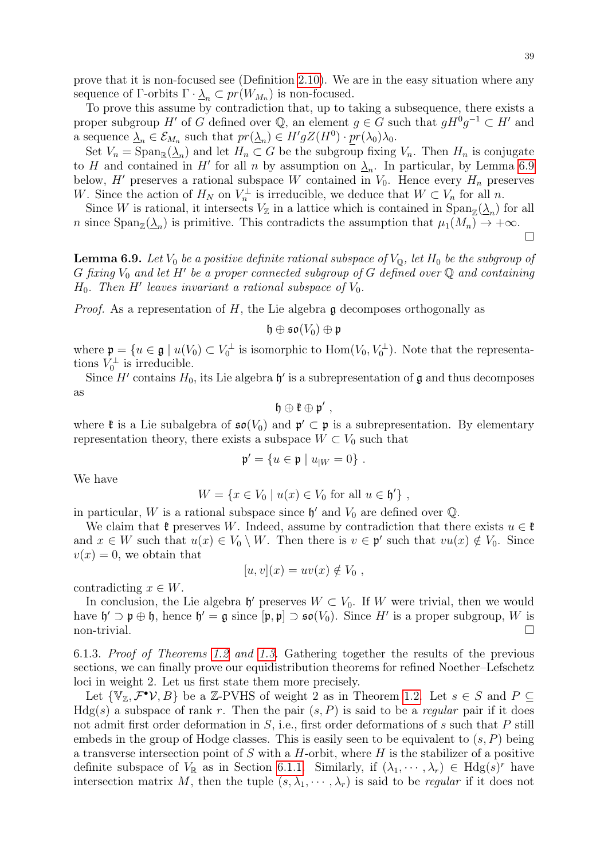39

prove that it is non-focused see (Definition [2.10\)](#page-10-1). We are in the easy situation where any sequence of  $\Gamma$ -orbits  $\Gamma \cdot \underline{\lambda}_n \subset pr(W_{M_n})$  is non-focused.

To prove this assume by contradiction that, up to taking a subsequence, there exists a proper subgroup H' of G defined over Q, an element  $g \in G$  such that  $gH^0g^{-1} \subset H'$  and a sequence  $\underline{\lambda}_n \in \mathcal{E}_{M_n}$  such that  $pr(\underline{\lambda}_n) \in H'gZ(H^0) \cdot pr(\lambda_0)\lambda_0$ .

Set  $V_n = \text{Span}_{\mathbb{R}}(\underline{\lambda}_n)$  and let  $H_n \subset G$  be the subgroup fixing  $V_n$ . Then  $H_n$  is conjugate to H and contained in H' for all n by assumption on  $\lambda_n$ . In particular, by Lemma [6.9](#page-38-1) below, H' preserves a rational subspace W contained in  $V_0$ . Hence every  $H_n$  preserves W. Since the action of  $H_N$  on  $V_n^{\perp}$  is irreducible, we deduce that  $W \subset V_n$  for all n.

Since W is rational, it intersects  $V_{\mathbb{Z}}$  in a lattice which is contained in  $\text{Span}_{\mathbb{Z}}(\underline{\lambda}_n)$  for all n since  $\text{Span}_{\mathbb{Z}}(\underline{\lambda}_n)$  is primitive. This contradicts the assumption that  $\mu_1(M_n) \to +\infty$ .

 $\Box$ 

<span id="page-38-1"></span>**Lemma 6.9.** Let  $V_0$  be a positive definite rational subspace of  $V_{\mathbb{Q}}$ , let  $H_0$  be the subgroup of  $G$  fixing  $V_0$  and let  $H'$  be a proper connected subgroup of  $G$  defined over  $\mathbb Q$  and containing  $H_0$ . Then H' leaves invariant a rational subspace of  $V_0$ .

*Proof.* As a representation of  $H$ , the Lie algebra g decomposes orthogonally as

$$
\mathfrak{h}\oplus\mathfrak{so}(V_0)\oplus\mathfrak{p}
$$

where  $\mathfrak{p} = \{u \in \mathfrak{g} \mid u(V_0) \subset V_0^{\perp} \text{ is isomorphic to } \text{Hom}(V_0, V_0^{\perp})\}.$  Note that the representations  $V_0^{\perp}$  is irreducible.

Since H' contains  $H_0$ , its Lie algebra  $\mathfrak{h}'$  is a subrepresentation of  $\mathfrak g$  and thus decomposes as

$$
\mathfrak{h}\oplus\mathfrak{k}\oplus\mathfrak{p}'\ ,
$$

where  $\mathfrak k$  is a Lie subalgebra of  $\mathfrak{so}(V_0)$  and  $\mathfrak p' \subset \mathfrak p$  is a subrepresentation. By elementary representation theory, there exists a subspace  $W \subset V_0$  such that

$$
\mathfrak{p}' = \{ u \in \mathfrak{p} \mid u_{|W} = 0 \}.
$$

We have

$$
W = \{ x \in V_0 \mid u(x) \in V_0 \text{ for all } u \in \mathfrak{h}' \},
$$

in particular, W is a rational subspace since  $\mathfrak{h}'$  and  $V_0$  are defined over  $\mathbb{Q}$ .

We claim that  $\mathfrak{k}$  preserves W. Indeed, assume by contradiction that there exists  $u \in \mathfrak{k}$ and  $x \in W$  such that  $u(x) \in V_0 \setminus W$ . Then there is  $v \in \mathfrak{p}'$  such that  $vu(x) \notin V_0$ . Since  $v(x) = 0$ , we obtain that

$$
[u, v](x) = uv(x) \notin V_0 ,
$$

contradicting  $x \in W$ .

In conclusion, the Lie algebra  $\mathfrak{h}'$  preserves  $W \subset V_0$ . If W were trivial, then we would have  $\mathfrak{h}' \supset \mathfrak{p} \oplus \mathfrak{h}$ , hence  $\mathfrak{h}' = \mathfrak{g}$  since  $[\mathfrak{p}, \mathfrak{p}] \supset \mathfrak{so}(V_0)$ . Since H' is a proper subgroup, W is  $\Box$  non-trivial.

<span id="page-38-0"></span>6.1.3. Proof of Theorems [1.2](#page-2-0) and [1.3.](#page-3-0) Gathering together the results of the previous sections, we can finally prove our equidistribution theorems for refined Noether–Lefschetz loci in weight 2. Let us first state them more precisely.

Let  $\{V_{\mathbb{Z}}, \mathcal{F}^{\bullet} \mathcal{V}, B\}$  be a Z-PVHS of weight 2 as in Theorem [1.2.](#page-2-0) Let  $s \in S$  and  $P \subseteq$  $Hdg(s)$  a subspace of rank r. Then the pair  $(s, P)$  is said to be a *regular* pair if it does not admit first order deformation in S, i.e., first order deformations of s such that P still embeds in the group of Hodge classes. This is easily seen to be equivalent to  $(s, P)$  being a transverse intersection point of  $S$  with a  $H$ -orbit, where  $H$  is the stabilizer of a positive definite subspace of  $V_{\mathbb{R}}$  as in Section [6.1.1.](#page-32-1) Similarly, if  $(\lambda_1, \dots, \lambda_r) \in Hdg(s)^r$  have intersection matrix M, then the tuple  $(s, \lambda_1, \dots, \lambda_r)$  is said to be *regular* if it does not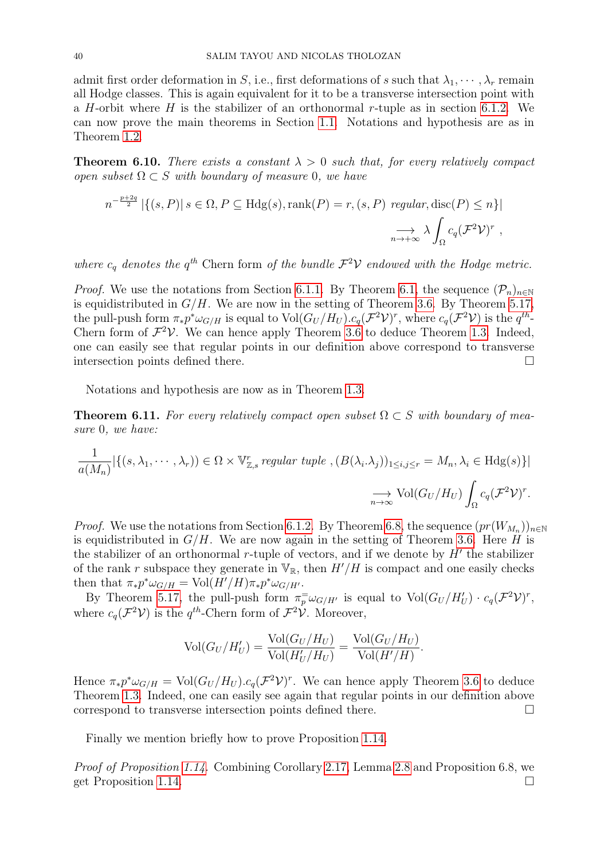admit first order deformation in S, i.e., first deformations of s such that  $\lambda_1, \dots, \lambda_r$  remain all Hodge classes. This is again equivalent for it to be a transverse intersection point with a H-orbit where H is the stabilizer of an orthonormal r-tuple as in section [6.1.2.](#page-36-1) We can now prove the main theorems in Section [1.1.](#page-2-1) Notations and hypothesis are as in Theorem [1.2.](#page-2-0)

**Theorem 6.10.** There exists a constant  $\lambda > 0$  such that, for every relatively compact open subset  $\Omega \subset S$  with boundary of measure 0, we have

$$
n^{-\frac{p+2q}{2}} |\{(s, P) | s \in \Omega, P \subseteq Hdg(s), \text{rank}(P) = r, (s, P) \text{ regular, disc}(P) \le n\}|
$$
  

$$
\implies \lambda \int_{\Omega} c_q (\mathcal{F}^2 \mathcal{V})^r,
$$

where  $c_q$  denotes the  $q^{th}$  Chern form of the bundle  $\mathcal{F}^2 \mathcal{V}$  endowed with the Hodge metric.

*Proof.* We use the notations from Section [6.1.1.](#page-32-1) By Theorem [6.1,](#page-32-2) the sequence  $(\mathcal{P}_n)_{n\in\mathbb{N}}$ is equidistributed in  $G/H$ . We are now in the setting of Theorem [3.6.](#page-15-0) By Theorem [5.17,](#page-29-0) the pull-push form  $\pi_* p^* \omega_{G/H}$  is equal to  $\text{Vol}(G_U/H_U). c_q(\mathcal{F}^2 \mathcal{V})^r$ , where  $c_q(\mathcal{F}^2 \mathcal{V})$  is the  $q^{th}$ -Chern form of  $\mathcal{F}^2 \mathcal{V}$ . We can hence apply Theorem [3.6](#page-15-0) to deduce Theorem [1.3.](#page-3-0) Indeed, one can easily see that regular points in our definition above correspond to transverse intersection points defined there.

Notations and hypothesis are now as in Theorem [1.3.](#page-3-0)

**Theorem 6.11.** For every relatively compact open subset  $\Omega \subset S$  with boundary of measure 0, we have:

$$
\frac{1}{a(M_n)} |\{(s, \lambda_1, \cdots, \lambda_r) \in \Omega \times \mathbb{V}_{\mathbb{Z},s}^r \text{ regular tuple }, (B(\lambda_i, \lambda_j))_{1 \le i,j \le r} = M_n, \lambda_i \in \text{Hdg}(s)\}|
$$

$$
\xrightarrow[n \to \infty]{} \text{Vol}(G_U/H_U) \int_{\Omega} c_q(\mathcal{F}^2 \mathcal{V})^r.
$$

*Proof.* We use the notations from Section [6.1.2.](#page-36-1) By Theorem [6.8,](#page-37-1) the sequence  $(pr(W_{M_n}))_{n\in\mathbb{N}}$ is equidistributed in  $G/H$ . We are now again in the setting of Theorem [3.6.](#page-15-0) Here H is the stabilizer of an orthonormal r-tuple of vectors, and if we denote by  $H'$  the stabilizer of the rank r subspace they generate in  $V_{\mathbb{R}}$ , then  $H'/H$  is compact and one easily checks then that  $\pi_* p^* \omega_{G/H} = Vol(H'/H) \pi_* p^* \omega_{G/H'}$ .

By Theorem [5.17,](#page-29-0) the pull-push form  $\pi_p^= \omega_{G/H'}$  is equal to  $Vol(G_U/H'_U) \cdot c_q(\mathcal{F}^2 \mathcal{V})^r$ , where  $c_q(\mathcal{F}^2 \mathcal{V})$  is the  $q^{th}$ -Chern form of  $\mathcal{F}^2 \mathcal{V}$ . Moreover,

$$
\text{Vol}(G_U/H'_U) = \frac{\text{Vol}(G_U/H_U)}{\text{Vol}(H'_U/H_U)} = \frac{\text{Vol}(G_U/H_U)}{\text{Vol}(H'/H)}.
$$

Hence  $\pi_* p^* \omega_{G/H} = \text{Vol}(G_U/H_U). c_q(\mathcal{F}^2 \mathcal{V})^r$ . We can hence apply Theorem [3.6](#page-15-0) to deduce Theorem [1.3.](#page-3-0) Indeed, one can easily see again that regular points in our definition above correspond to transverse intersection points defined there.

Finally we mention briefly how to prove Proposition [1.14.](#page-5-1)

Proof of Proposition [1.14.](#page-5-1) Combining Corollary [2.17,](#page-12-1) Lemma [2.8](#page-10-3) and Proposition 6.8, we get Proposition [1.14.](#page-5-1)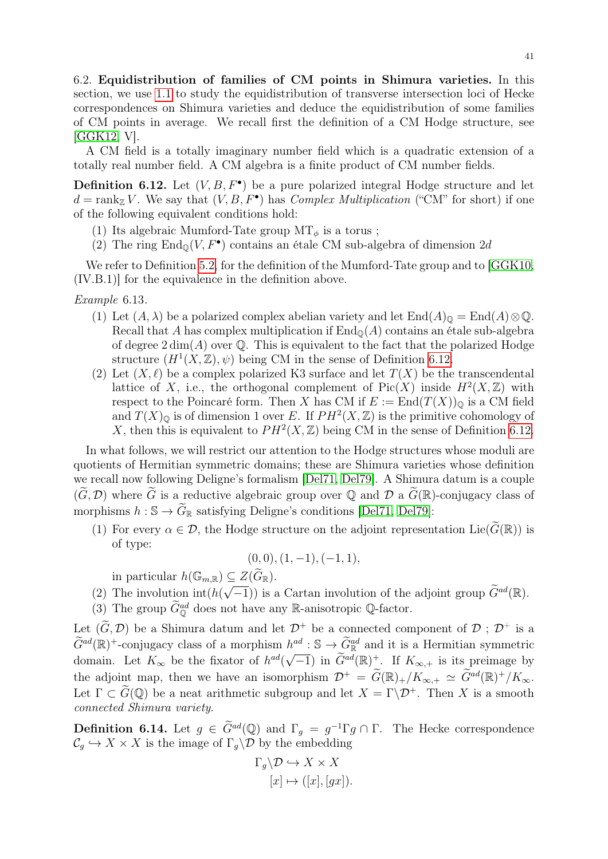6.2. Equidistribution of families of CM points in Shimura varieties. In this section, we use [1.1](#page-1-0) to study the equidistribution of transverse intersection loci of Hecke correspondences on Shimura varieties and deduce the equidistribution of some families of CM points in average. We recall first the definition of a CM Hodge structure, see [\[GGK12,](#page-45-20) V].

A CM field is a totally imaginary number field which is a quadratic extension of a totally real number field. A CM algebra is a finite product of CM number fields.

<span id="page-40-0"></span>**Definition 6.12.** Let  $(V, B, F^{\bullet})$  be a pure polarized integral Hodge structure and let  $d = \text{rank}_{\mathbb{Z}} V$ . We say that  $(V, B, F^{\bullet})$  has *Complex Multiplication* ("CM" for short) if one of the following equivalent conditions hold:

- (1) Its algebraic Mumford-Tate group  $MT_{\phi}$  is a torus ;
- (2) The ring  $\text{End}_{\mathbb{Q}}(V, F^{\bullet})$  contains an étale CM sub-algebra of dimension 2d

We refer to Definition [5.2,](#page-23-0) for the definition of the Mumford-Tate group and to [\[GGK10,](#page-45-19) (IV.B.1)] for the equivalence in the definition above.

Example 6.13.

- (1) Let  $(A, \lambda)$  be a polarized complex abelian variety and let  $\text{End}(A)_{\mathbb{Q}} = \text{End}(A) \otimes \mathbb{Q}$ . Recall that A has complex multiplication if  $\text{End}_{\mathbb{Q}}(A)$  contains an étale sub-algebra of degree  $2 \dim(A)$  over  $\mathbb Q$ . This is equivalent to the fact that the polarized Hodge structure  $(H^1(X,\mathbb{Z}),\psi)$  being CM in the sense of Definition [6.12.](#page-40-0)
- (2) Let  $(X, \ell)$  be a complex polarized K3 surface and let  $T(X)$  be the transcendental lattice of X, i.e., the orthogonal complement of  $Pic(X)$  inside  $H^2(X,\mathbb{Z})$  with respect to the Poincaré form. Then X has CM if  $E := \text{End}(T(X))_{\mathbb{Q}}$  is a CM field and  $T(X)_{\mathbb{Q}}$  is of dimension 1 over E. If  $PH^2(X,\mathbb{Z})$  is the primitive cohomology of X, then this is equivalent to  $PH^2(X,\mathbb{Z})$  being CM in the sense of Definition [6.12.](#page-40-0)

In what follows, we will restrict our attention to the Hodge structures whose moduli are quotients of Hermitian symmetric domains; these are Shimura varieties whose definition we recall now following Deligne's formalism [\[Del71,](#page-45-23) [Del79\]](#page-45-24). A Shimura datum is a couple  $(\widetilde{G}, \mathcal{D})$  where  $\widetilde{G}$  is a reductive algebraic group over Q and D a  $\widetilde{G}(\mathbb{R})$ -conjugacy class of morphisms  $h : \mathbb{S} \to \widetilde{G}_{\mathbb{R}}$  satisfying Deligne's conditions [\[Del71,](#page-45-23) [Del79\]](#page-45-24):

(1) For every  $\alpha \in \mathcal{D}$ , the Hodge structure on the adjoint representation Lie( $\widetilde{G}(\mathbb{R})$ ) is of type:

$$
(0,0), (1,-1), (-1,1),
$$

in particular  $h(\mathbb{G}_{m,\mathbb{R}}) \subset Z(\widetilde{G}_{\mathbb{R}})$ .

- (2) The involution  $int(h($  $\leq Z(\mathbf{G}|\mathbf{g})$ .<br> $\sqrt{-1}$ )) is a Cartan involution of the adjoint group  $\widetilde{G}^{ad}(\mathbb{R})$ .
- (3) The group  $\widetilde{G}_{\mathbb{Q}}^{ad}$  does not have any R-anisotropic Q-factor.

Let  $(\widetilde{G}, \mathcal{D})$  be a Shimura datum and let  $\mathcal{D}^+$  be a connected component of  $\mathcal{D}$ ;  $\mathcal{D}^+$  is a  $\widetilde{G}^{ad}(\mathbb{R})^+$ -conjugacy class of a morphism  $h^{ad}: \mathbb{S} \to \widetilde{G}_{\mathbb{R}}^{ad}$  and it is a Hermitian symmetric domain. Let  $K_{\infty}$  be the fixator of  $h^{ad}(\sqrt{-1})$  in  $\widetilde{G}^{ad}(\mathbb{R})^+$ . If  $K_{\infty,+}$  is its preimage by the adjoint map, then we have an isomorphism  $\mathcal{D}^+ = \widetilde{G}(\mathbb{R})_+/K_{\infty,+} \simeq \widetilde{G}^{ad}(\mathbb{R})^+/K_{\infty}$ . Let  $\Gamma \subset \widetilde{G}(\mathbb{Q})$  be a neat arithmetic subgroup and let  $X = \Gamma \backslash \mathcal{D}^+$ . Then X is a smooth connected Shimura variety.

**Definition 6.14.** Let  $g \in \widetilde{G}^{ad}(\mathbb{Q})$  and  $\Gamma_g = g^{-1} \Gamma g \cap \Gamma$ . The Hecke correspondence  $\mathcal{C}_g \hookrightarrow X \times X$  is the image of  $\Gamma_g \backslash \mathcal{D}$  by the embedding

$$
\Gamma_g \backslash \mathcal{D} \hookrightarrow X \times X
$$

$$
[x] \mapsto ([x], [gx]).
$$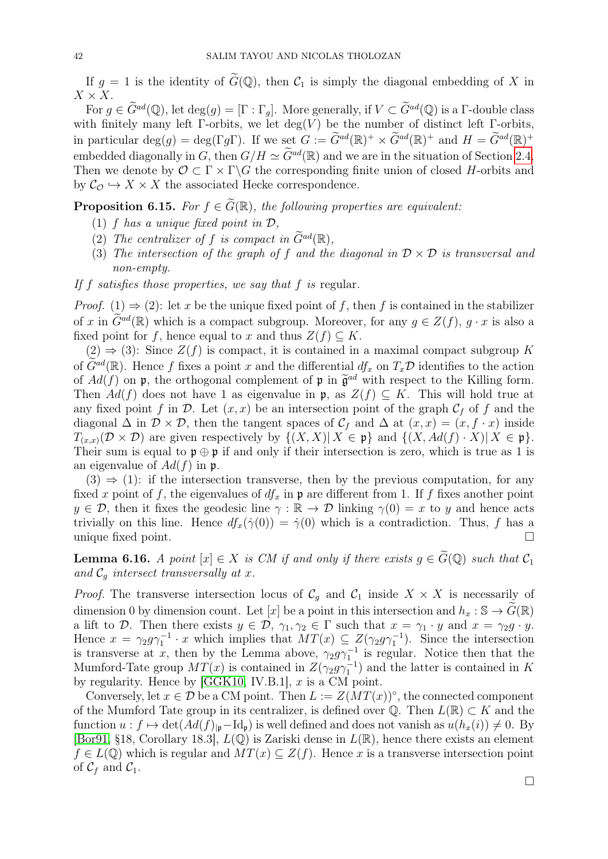If  $g = 1$  is the identity of  $\tilde{G}(\mathbb{Q})$ , then  $\mathcal{C}_1$  is simply the diagonal embedding of X in  $X \times X$ .

For  $g \in \widetilde{G}^{ad}(\mathbb{Q})$ , let  $\deg(g) = [\Gamma : \Gamma_g]$ . More generally, if  $V \subset \widetilde{G}^{ad}(\mathbb{Q})$  is a  $\Gamma$ -double class with finitely many left  $\Gamma$ -orbits, we let deg(V) be the number of distinct left  $\Gamma$ -orbits, in particular  $\deg(g) = \deg(\Gamma g \Gamma)$ . If we set  $G := \widetilde{G}^{ad}(\mathbb{R})^+ \times \widetilde{G}^{ad}(\mathbb{R})^+$  and  $H = \widetilde{G}^{ad}(\mathbb{R})^+$ embedded diagonally in G, then  $G/H \simeq \widetilde{G}^{ad}(\mathbb{R})$  and we are in the situation of Section [2.4.](#page-9-1) Then we denote by  $\mathcal{O} \subset \Gamma \times \Gamma \backslash G$  the corresponding finite union of closed H-orbits and by  $C_{\mathcal{O}} \hookrightarrow X \times X$  the associated Hecke correspondence.

**Proposition 6.15.** For  $f \in \tilde{G}(\mathbb{R})$ , the following properties are equivalent:

- (1) f has a unique fixed point in  $\mathcal{D}$ ,
- (2) The centralizer of f is compact in  $\widetilde{G}^{ad}(\mathbb{R})$ ,
- (3) The intersection of the graph of f and the diagonal in  $\mathcal{D} \times \mathcal{D}$  is transversal and non-empty.
- If f satisfies those properties, we say that f is regular.

*Proof.* (1)  $\Rightarrow$  (2): let x be the unique fixed point of f, then f is contained in the stabilizer of x in  $\tilde{G}^{ad}(\mathbb{R})$  which is a compact subgroup. Moreover, for any  $g \in Z(f)$ ,  $g \cdot x$  is also a fixed point for f, hence equal to x and thus  $Z(f) \subseteq K$ .

 $(2) \Rightarrow (3)$ : Since  $Z(f)$  is compact, it is contained in a maximal compact subgroup K of  $\tilde{G}^{ad}(\mathbb{R})$ . Hence f fixes a point x and the differential  $df_x$  on  $T_x\mathcal{D}$  identifies to the action of  $Ad(f)$  on p, the orthogonal complement of p in  $\tilde{\mathfrak{g}}^{ad}$  with respect to the Killing form.<br>Then  $Ad(f)$  does not have 1 as eigenvalue in p as  $Z(f) \subset K$ . This will hold true at Then  $Ad(f)$  does not have 1 as eigenvalue in p, as  $Z(f) \subseteq K$ . This will hold true at any fixed point f in D. Let  $(x, x)$  be an intersection point of the graph  $C_f$  of f and the diagonal  $\Delta$  in  $\mathcal{D} \times \mathcal{D}$ , then the tangent spaces of  $\mathcal{C}_f$  and  $\Delta$  at  $(x, x) = (x, f \cdot x)$  inside  $T_{(x,x)}(\mathcal{D}\times\mathcal{D})$  are given respectively by  $\{(X,X)|X\in\mathfrak{p}\}\$  and  $\{(X,Ad(f)\cdot X)|X\in\mathfrak{p}\}.$ Their sum is equal to  $\mathfrak{p} \oplus \mathfrak{p}$  if and only if their intersection is zero, which is true as 1 is an eigenvalue of  $Ad(f)$  in p.

 $(3) \Rightarrow (1)$ : if the intersection transverse, then by the previous computation, for any fixed x point of f, the eigenvalues of  $df_x$  in p are different from 1. If f fixes another point  $y \in \mathcal{D}$ , then it fixes the geodesic line  $\gamma : \mathbb{R} \to \mathcal{D}$  linking  $\gamma(0) = x$  to y and hence acts trivially on this line. Hence  $df_x(\dot{\gamma}(0)) = \dot{\gamma}(0)$  which is a contradiction. Thus, f has a unique fixed point.

<span id="page-41-1"></span>**Lemma 6.16.** A point  $[x] \in X$  is CM if and only if there exists  $g \in \widetilde{G}(\mathbb{Q})$  such that  $\mathcal{C}_1$ and  $\mathcal{C}_q$  intersect transversally at x.

*Proof.* The transverse intersection locus of  $\mathcal{C}_g$  and  $\mathcal{C}_1$  inside  $X \times X$  is necessarily of dimension 0 by dimension count. Let [x] be a point in this intersection and  $h_x : \mathbb{S} \to \widehat{G}(\mathbb{R})$ a lift to D. Then there exists  $y \in \mathcal{D}$ ,  $\gamma_1, \gamma_2 \in \Gamma$  such that  $x = \gamma_1 \cdot y$  and  $x = \gamma_2 g \cdot y$ . Hence  $x = \gamma_2 g \gamma_1^{-1} \cdot x$  which implies that  $MT(x) \subseteq Z(\gamma_2 g \gamma_1^{-1})$ . Since the intersection is transverse at x, then by the Lemma above,  $\gamma_2 g \gamma_1^{-1}$  is regular. Notice then that the Mumford-Tate group  $MT(x)$  is contained in  $Z(\gamma_2 g \gamma_1^{-1})$  and the latter is contained in K by regularity. Hence by  $[GGK10, IV.B.1], x$  $[GGK10, IV.B.1], x$  is a CM point.

<span id="page-41-0"></span>Conversely, let  $x \in \mathcal{D}$  be a CM point. Then  $L := Z(MT(x))^\circ$ , the connected component of the Mumford Tate group in its centralizer, is defined over  $\mathbb{Q}$ . Then  $L(\mathbb{R}) \subset K$  and the function  $u : f \mapsto \det(Ad(f)_{|p} - \mathrm{Id}_p)$  is well defined and does not vanish as  $u(h_x(i)) \neq 0$ . By [\[Bor91,](#page-44-9) §18, Corollary 18.3],  $L(\mathbb{Q})$  is Zariski dense in  $L(\mathbb{R})$ , hence there exists an element  $f \in L(\mathbb{Q})$  which is regular and  $MT(x) \subseteq Z(f)$ . Hence x is a transverse intersection point of  $C_f$  and  $C_1$ .

 $\Box$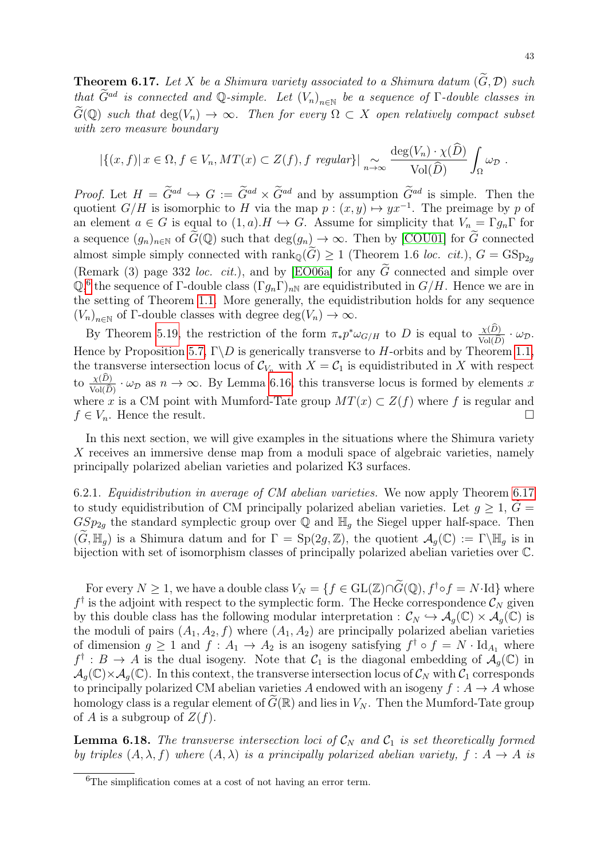**Theorem 6.17.** Let X be a Shimura variety associated to a Shimura datum  $(\widetilde{G}, \mathcal{D})$  such that  $\widetilde{G}^{ad}$  is connected and Q-simple. Let  $(V_n)_{n\in\mathbb{N}}$  be a sequence of  $\Gamma$ -double classes in  $G(\mathbb{Q})$  such that  $\deg(V_n) \to \infty$ . Then for every  $\Omega \subset X$  open relatively compact subset with zero measure boundary

$$
|\{(x,f)|\,x\in\Omega,f\in V_n, MT(x)\subset Z(f),\,f\,\,\text{regular}\}\,|\underset{n\to\infty}{\sim}\frac{\deg(V_n)\cdot\chi(D)}{\text{Vol}(\widehat{D})}\,\int_{\Omega}\omega_{\mathcal{D}}\,.
$$

*Proof.* Let  $H = \tilde{G}^{ad} \hookrightarrow G := \tilde{G}^{ad} \times \tilde{G}^{ad}$  and by assumption  $\tilde{G}^{ad}$  is simple. Then the quotient  $G/H$  is isomorphic to H via the map  $p:(x,y)\mapsto yx^{-1}$ . The preimage by p of an element  $a \in G$  is equal to  $(1, a)$ .  $H \hookrightarrow G$ . Assume for simplicity that  $V_n = \Gamma g_n \Gamma$  for a sequence  $(g_n)_{n\in\mathbb{N}}$  of  $\widetilde{G}(\mathbb{Q})$  such that  $\deg(g_n) \to \infty$ . Then by [\[COU01\]](#page-45-10) for  $\widetilde{G}$  connected almost simple simply connected with  $\text{rank}_{\mathbb{Q}}(\widetilde{G}) \geq 1$  (Theorem 1.6 *loc. cit.*),  $G = \text{GSp}_{2q}$ (Remark (3) page 332 loc. cit.), and by [\[EO06a\]](#page-45-11) for any  $\tilde{G}$  connected and simple over  $\mathbb{Q},^6$  $\mathbb{Q},^6$  the sequence of  $\Gamma$ -double class  $(\Gamma g_n \Gamma)_{n\mathbb{N}}$  are equidistributed in  $G/H$ . Hence we are in the setting of Theorem [1.1.](#page-1-0) More generally, the equidistribution holds for any sequence  $(V_n)_{n \in \mathbb{N}}$  of  $\Gamma$ -double classes with degree  $\deg(V_n) \to \infty$ .

By Theorem [5.19,](#page-31-2) the restriction of the form  $\pi_* p^* \omega_{G/H}$  to D is equal to  $\frac{\chi(D)}{\text{Vol}(\widehat{D})} \cdot \omega_{\mathcal{D}}$ . Hence by Proposition [5.7,](#page-24-0)  $\Gamma \backslash D$  is generically transverse to H-orbits and by Theorem [1.1,](#page-1-0) the transverse intersection locus of  $\mathcal{C}_{V_n}$  with  $X = \mathcal{C}_1$  is equidistributed in X with respect to  $\frac{\chi(D)}{\chi_{\text{ol}}(\widehat{D})} \cdot \omega_{\mathcal{D}}$  as  $n \to \infty$ . By Lemma [6.16,](#page-41-1) this transverse locus is formed by elements x  $Vol(D)$ where x is a CM point with Mumford-Tate group  $MT(x) \subset Z(f)$  where f is regular and  $f \in V_n$ . Hence the result.

In this next section, we will give examples in the situations where the Shimura variety X receives an immersive dense map from a moduli space of algebraic varieties, namely principally polarized abelian varieties and polarized K3 surfaces.

6.2.1. Equidistribution in average of CM abelian varieties. We now apply Theorem [6.17](#page-41-0) to study equidistribution of CM principally polarized abelian varieties. Let  $g \geq 1$ ,  $\widetilde{G} =$  $GSp_{2g}$  the standard symplectic group over  $\overline{Q}$  and  $\mathbb{H}_g$  the Siegel upper half-space. Then  $(\widetilde{G}, \mathbb{H}_q)$  is a Shimura datum and for  $\Gamma = \text{Sp}(2g, \mathbb{Z})$ , the quotient  $\mathcal{A}_g(\mathbb{C}) := \Gamma \backslash \mathbb{H}_g$  is in bijection with set of isomorphism classes of principally polarized abelian varieties over C.

For every  $N \geq 1$ , we have a double class  $V_N = \{f \in GL(\mathbb{Z}) \cap \widetilde{G}(\mathbb{Q}), f^{\dagger} \circ f = N \cdot \text{Id}\}\$  where  $f^{\dagger}$  is the adjoint with respect to the symplectic form. The Hecke correspondence  $\mathcal{C}_N$  given by this double class has the following modular interpretation :  $\mathcal{C}_N \hookrightarrow \mathcal{A}_q(\mathbb{C}) \times \mathcal{A}_q(\mathbb{C})$  is the moduli of pairs  $(A_1, A_2, f)$  where  $(A_1, A_2)$  are principally polarized abelian varieties of dimension  $g \geq 1$  and  $f : A_1 \to A_2$  is an isogeny satisfying  $f^{\dagger} \circ f = N \cdot \text{Id}_{A_1}$  where  $f^{\dagger}: B \to A$  is the dual isogeny. Note that  $C_1$  is the diagonal embedding of  $\mathcal{A}_g(\mathbb{C})$  in  $\mathcal{A}_q(\mathbb{C}) \times \mathcal{A}_q(\mathbb{C})$ . In this context, the transverse intersection locus of  $\mathcal{C}_N$  with  $\mathcal{C}_1$  corresponds to principally polarized CM abelian varieties A endowed with an isogeny  $f : A \to A$  whose homology class is a regular element of  $G(\mathbb{R})$  and lies in  $V_N$ . Then the Mumford-Tate group of A is a subgroup of  $Z(f)$ .

**Lemma 6.18.** The transverse intersection loci of  $\mathcal{C}_N$  and  $\mathcal{C}_1$  is set theoretically formed by triples  $(A, \lambda, f)$  where  $(A, \lambda)$  is a principally polarized abelian variety,  $f : A \rightarrow A$  is

<span id="page-42-0"></span><sup>&</sup>lt;sup>6</sup>The simplification comes at a cost of not having an error term.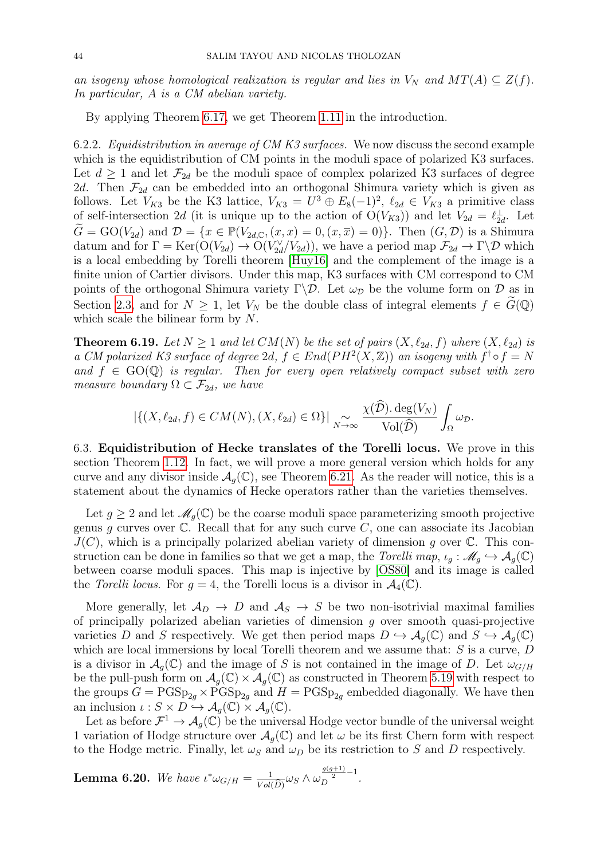an isogeny whose homological realization is regular and lies in  $V_N$  and  $MT(A) \subseteq Z(f)$ . In particular, A is a CM abelian variety.

By applying Theorem [6.17,](#page-41-0) we get Theorem [1.11](#page-4-2) in the introduction.

6.2.2. Equidistribution in average of CM K3 surfaces. We now discuss the second example which is the equidistribution of CM points in the moduli space of polarized K3 surfaces. Let  $d \geq 1$  and let  $\mathcal{F}_{2d}$  be the moduli space of complex polarized K3 surfaces of degree 2d. Then  $\mathcal{F}_{2d}$  can be embedded into an orthogonal Shimura variety which is given as follows. Let  $V_{K3}$  be the K3 lattice,  $V_{K3} = U^3 \oplus E_8(-1)^2$ ,  $\ell_{2d} \in V_{K3}$  a primitive class of self-intersection 2d (it is unique up to the action of  $O(V_{K3})$ ) and let  $V_{2d} = \ell_{2d}^{\perp}$ . Let  $G = GO(V_{2d})$  and  $\mathcal{D} = \{x \in \mathbb{P}(V_{2d}, \mathbb{C}, (x, x) = 0, (x, \overline{x}) = 0)\}.$  Then  $(G, \mathcal{D})$  is a Shimura datum and for  $\Gamma = \text{Ker}(\mathcal{O}(V_{2d}) \to \mathcal{O}(V_{2d}^{\vee}/V_{2d}))$ , we have a period map  $\mathcal{F}_{2d} \to \Gamma \backslash \mathcal{D}$  which is a local embedding by Torelli theorem [\[Huy16\]](#page-45-25) and the complement of the image is a finite union of Cartier divisors. Under this map, K3 surfaces with CM correspond to CM points of the orthogonal Shimura variety  $\Gamma \backslash \mathcal{D}$ . Let  $\omega_{\mathcal{D}}$  be the volume form on  $\mathcal D$  as in Section [2.3,](#page-8-0) and for  $N \geq 1$ , let  $V_N$  be the double class of integral elements  $f \in G(\mathbb{Q})$ which scale the bilinear form by N.

**Theorem 6.19.** Let  $N \geq 1$  and let  $CM(N)$  be the set of pairs  $(X, \ell_{2d}, f)$  where  $(X, \ell_{2d})$  is a CM polarized K3 surface of degree 2d,  $f \in End(PH^2(X,\mathbb{Z}))$  an isogeny with  $f^{\dagger} \circ f = N$ and  $f \in GO(\mathbb{Q})$  is regular. Then for every open relatively compact subset with zero measure boundary  $\Omega \subset \mathcal{F}_{2d}$ , we have

$$
|\{(X,\ell_{2d},f)\in CM(N), (X,\ell_{2d})\in\Omega\}|\underset{N\to\infty}{\sim}\frac{\chi(\widehat{\mathcal{D}}).\deg(V_N)}{\text{Vol}(\widehat{\mathcal{D}})}\int_{\Omega}\omega_{\mathcal{D}}.
$$

<span id="page-43-0"></span>6.3. Equidistribution of Hecke translates of the Torelli locus. We prove in this section Theorem [1.12.](#page-5-0) In fact, we will prove a more general version which holds for any curve and any divisor inside  $\mathcal{A}_{q}(\mathbb{C})$ , see Theorem [6.21.](#page-44-10) As the reader will notice, this is a statement about the dynamics of Hecke operators rather than the varieties themselves.

Let  $g \geq 2$  and let  $\mathcal{M}_g(\mathbb{C})$  be the coarse moduli space parameterizing smooth projective genus g curves over  $\mathbb C$ . Recall that for any such curve  $C$ , one can associate its Jacobian  $J(C)$ , which is a principally polarized abelian variety of dimension g over  $\mathbb C$ . This construction can be done in families so that we get a map, the Torelli map,  $\iota_q : \mathcal{M}_q \hookrightarrow \mathcal{A}_q(\mathbb{C})$ between coarse moduli spaces. This map is injective by [\[OS80\]](#page-46-19) and its image is called the Torelli locus. For  $q = 4$ , the Torelli locus is a divisor in  $\mathcal{A}_4(\mathbb{C})$ .

More generally, let  $\mathcal{A}_D \to D$  and  $\mathcal{A}_S \to S$  be two non-isotrivial maximal families of principally polarized abelian varieties of dimension  $q$  over smooth quasi-projective varieties D and S respectively. We get then period maps  $D \hookrightarrow \mathcal{A}_q(\mathbb{C})$  and  $S \hookrightarrow \mathcal{A}_q(\mathbb{C})$ which are local immersions by local Torelli theorem and we assume that:  $S$  is a curve,  $D$ is a divisor in  $\mathcal{A}_q(\mathbb{C})$  and the image of S is not contained in the image of D. Let  $\omega_{G/H}$ be the pull-push form on  $\mathcal{A}_g(\mathbb{C}) \times \mathcal{A}_g(\mathbb{C})$  as constructed in Theorem [5.19](#page-31-2) with respect to the groups  $G = PGSp_{2g} \times PGSp_{2g}$  and  $H = PGSp_{2g}$  embedded diagonally. We have then an inclusion  $\iota : S \times D \hookrightarrow \mathcal{A}_q(\mathbb{C}) \times \mathcal{A}_q(\mathbb{C})$ .

Let as before  $\mathcal{F}^1 \to \mathcal{A}_g(\mathbb{C})$  be the universal Hodge vector bundle of the universal weight 1 variation of Hodge structure over  $\mathcal{A}_q(\mathbb{C})$  and let  $\omega$  be its first Chern form with respect to the Hodge metric. Finally, let  $\omega_S$  and  $\omega_D$  be its restriction to S and D respectively.

**Lemma 6.20.** We have 
$$
\iota^* \omega_{G/H} = \frac{1}{Vol(\widehat{D})} \omega_S \wedge \omega_D^{\frac{g(g+1)}{2}-1}
$$
.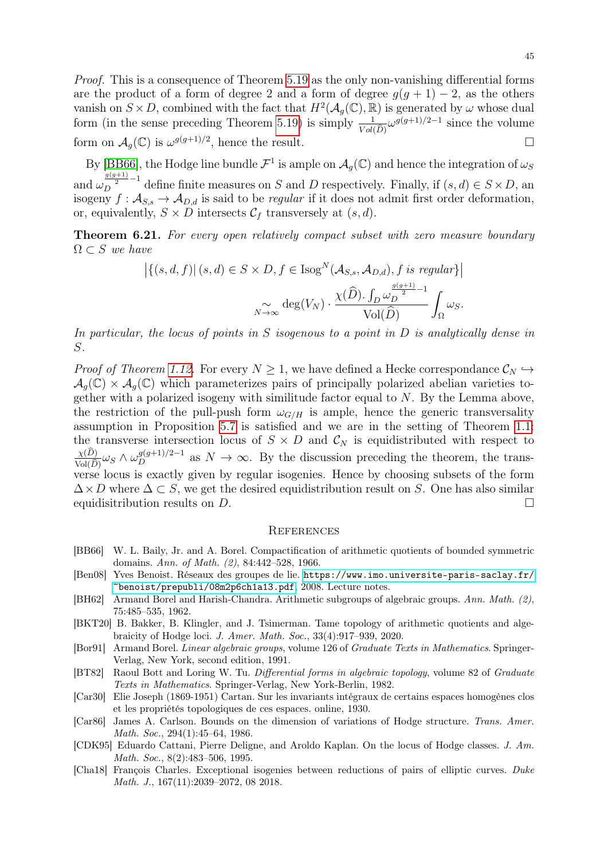Proof. This is a consequence of Theorem [5.19](#page-31-2) as the only non-vanishing differential forms are the product of a form of degree 2 and a form of degree  $g(g + 1) - 2$ , as the others vanish on  $S \times D$ , combined with the fact that  $H^2(\mathcal{A}_g(\mathbb{C}), \mathbb{R})$  is generated by  $\omega$  whose dual form (in the sense preceding Theorem [5.19\)](#page-31-2) is simply  $\frac{1}{|V_0|}$  $Vol(D)$  $\omega^{g(g+1)/2-1}$  since the volume form on  $\mathcal{A}_g(\mathbb{C})$  is  $\omega^{g(g+1)/2}$ , hence the result.

By [\[BB66\]](#page-44-11), the Hodge line bundle  $\mathcal{F}^1$  is ample on  $\mathcal{A}_g(\mathbb{C})$  and hence the integration of  $\omega_S$ and  $\omega_D^{\frac{g(g+1)}{2}-1}$  define finite measures on S and D respectively. Finally, if  $(s, d) \in S \times D$ , an isogeny  $f: \mathcal{A}_{S,s} \to \mathcal{A}_{D,d}$  is said to be *regular* if it does not admit first order deformation, or, equivalently,  $S \times D$  intersects  $\mathcal{C}_f$  transversely at  $(s, d)$ .

<span id="page-44-10"></span>**Theorem 6.21.** For every open relatively compact subset with zero measure boundary  $\Omega \subset S$  we have

$$
\left| \left\{ (s, d, f) \middle| \ (s, d) \in S \times D, f \in \text{Isog}^N(\mathcal{A}_{S, s}, \mathcal{A}_{D, d}), f \text{ is regular} \right\} \right|
$$

$$
\sim_{N \to \infty} \text{deg}(V_N) \cdot \frac{\chi(\widehat{D}) \cdot \int_D \omega_D^{\frac{g(g+1)}{2} - 1}}{\text{Vol}(\widehat{D})} \int_{\Omega} \omega_S.
$$

In particular, the locus of points in  $S$  isogenous to a point in  $D$  is analytically dense in S.

*Proof of Theorem [1.12.](#page-5-0)* For every  $N \geq 1$ , we have defined a Hecke correspondance  $\mathcal{C}_N \hookrightarrow$  $\mathcal{A}_q(\mathbb{C}) \times \mathcal{A}_q(\mathbb{C})$  which parameterizes pairs of principally polarized abelian varieties together with a polarized isogeny with similitude factor equal to N. By the Lemma above, the restriction of the pull-push form  $\omega_{G/H}$  is ample, hence the generic transversality assumption in Proposition [5.7](#page-24-0) is satisfied and we are in the setting of Theorem [1.1:](#page-1-0) the transverse intersection locus of  $S \times D$  and  $C_N$  is equidistributed with respect to  $\underline{\chi(D)}$  $\frac{\chi(D)}{\text{Vol}(\widehat{D})}\omega_S \wedge \omega_D^{g(g+1)/2-1}$  as  $N \to \infty$ . By the discussion preceding the theorem, the transverse locus is exactly given by regular isogenies. Hence by choosing subsets of the form  $\Delta \times D$  where  $\Delta \subset S$ , we get the desired equidistribution result on S. One has also similar equidisitribution results on  $D$ .

#### <span id="page-44-0"></span>**REFERENCES**

- <span id="page-44-11"></span>[BB66] W. L. Baily, Jr. and A. Borel. Compactification of arithmetic quotients of bounded symmetric domains. Ann. of Math. (2), 84:442–528, 1966.
- <span id="page-44-5"></span>[Ben08] Yves Benoist. Réseaux des groupes de lie. [https://www.imo.universite-paris-saclay.fr/](https://www.imo.universite-paris-saclay.fr/~benoist/prepubli/08m2p6ch1a13.pdf) [~benoist/prepubli/08m2p6ch1a13.pdf](https://www.imo.universite-paris-saclay.fr/~benoist/prepubli/08m2p6ch1a13.pdf), 2008. Lecture notes.
- <span id="page-44-8"></span>[BH62] Armand Borel and Harish-Chandra. Arithmetic subgroups of algebraic groups. Ann. Math. (2), 75:485–535, 1962.
- <span id="page-44-2"></span>[BKT20] B. Bakker, B. Klingler, and J. Tsimerman. Tame topology of arithmetic quotients and algebraicity of Hodge loci. J. Amer. Math. Soc., 33(4):917–939, 2020.
- <span id="page-44-9"></span>[Bor91] Armand Borel. Linear algebraic groups, volume 126 of Graduate Texts in Mathematics. Springer-Verlag, New York, second edition, 1991.
- <span id="page-44-6"></span>[BT82] Raoul Bott and Loring W. Tu. Differential forms in algebraic topology, volume 82 of Graduate Texts in Mathematics. Springer-Verlag, New York-Berlin, 1982.
- <span id="page-44-7"></span>[Car30] Elie Joseph (1869-1951) Cartan. Sur les invariants intégraux de certains espaces homogènes clos et les propriétés topologiques de ces espaces. online, 1930.
- <span id="page-44-3"></span>[Car86] James A. Carlson. Bounds on the dimension of variations of Hodge structure. Trans. Amer. Math. Soc., 294(1):45–64, 1986.
- <span id="page-44-1"></span>[CDK95] Eduardo Cattani, Pierre Deligne, and Aroldo Kaplan. On the locus of Hodge classes. J. Am. Math. Soc., 8(2):483-506, 1995.
- <span id="page-44-4"></span>[Cha18] François Charles. Exceptional isogenies between reductions of pairs of elliptic curves. Duke Math. J., 167(11):2039–2072, 08 2018.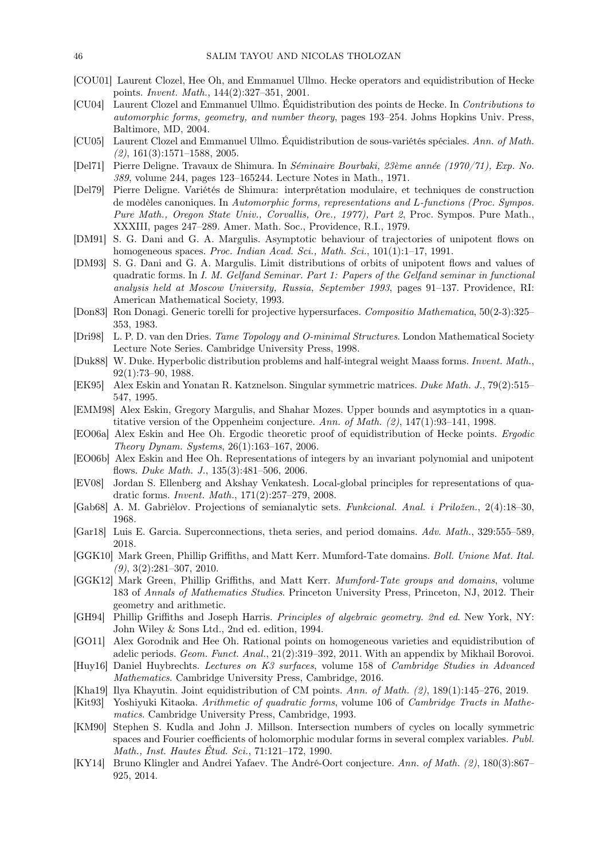- <span id="page-45-10"></span>[COU01] Laurent Clozel, Hee Oh, and Emmanuel Ullmo. Hecke operators and equidistribution of Hecke points. Invent. Math., 144(2):327–351, 2001.
- <span id="page-45-12"></span>[CU04] Laurent Clozel and Emmanuel Ullmo. Équidistribution des points de Hecke. In Contributions to automorphic forms, geometry, and number theory, pages 193–254. Johns Hopkins Univ. Press, Baltimore, MD, 2004.
- <span id="page-45-5"></span>[CU05] Laurent Clozel and Emmanuel Ullmo. Équidistribution de sous-variétés spéciales. Ann. of Math.  $(2), 161(3):1571-1588, 2005.$
- <span id="page-45-23"></span>[Del71] Pierre Deligne. Travaux de Shimura. In Séminaire Bourbaki, 23ème année (1970/71), Exp. No. 389, volume 244, pages 123–165244. Lecture Notes in Math., 1971.
- <span id="page-45-24"></span>[Del79] Pierre Deligne. Variétés de Shimura: interprétation modulaire, et techniques de construction de modèles canoniques. In Automorphic forms, representations and L-functions (Proc. Sympos. Pure Math., Oregon State Univ., Corvallis, Ore., 1977), Part 2, Proc. Sympos. Pure Math., XXXIII, pages 247–289. Amer. Math. Soc., Providence, R.I., 1979.
- <span id="page-45-0"></span>[DM91] S. G. Dani and G. A. Margulis. Asymptotic behaviour of trajectories of unipotent flows on homogeneous spaces. Proc. Indian Acad. Sci., Math. Sci., 101(1):1-17, 1991.
- <span id="page-45-16"></span>[DM93] S. G. Dani and G. A. Margulis. Limit distributions of orbits of unipotent flows and values of quadratic forms. In I. M. Gelfand Seminar. Part 1: Papers of the Gelfand seminar in functional analysis held at Moscow University, Russia, September 1993, pages 91–137. Providence, RI: American Mathematical Society, 1993.
- <span id="page-45-7"></span>[Don83] Ron Donagi. Generic torelli for projective hypersurfaces. Compositio Mathematica, 50(2-3):325– 353, 1983.
- <span id="page-45-17"></span>[Dri98] L. P. D. van den Dries. Tame Topology and O-minimal Structures. London Mathematical Society Lecture Note Series. Cambridge University Press, 1998.
- <span id="page-45-8"></span>[Duk88] W. Duke. Hyperbolic distribution problems and half-integral weight Maass forms. Invent. Math., 92(1):73–90, 1988.
- <span id="page-45-22"></span>[EK95] Alex Eskin and Yonatan R. Katznelson. Singular symmetric matrices. Duke Math. J., 79(2):515– 547, 1995.
- <span id="page-45-1"></span>[EMM98] Alex Eskin, Gregory Margulis, and Shahar Mozes. Upper bounds and asymptotics in a quantitative version of the Oppenheim conjecture. Ann. of Math. (2), 147(1):93–141, 1998.
- <span id="page-45-11"></span>[EO06a] Alex Eskin and Hee Oh. Ergodic theoretic proof of equidistribution of Hecke points. Ergodic Theory Dynam. Systems, 26(1):163–167, 2006.
- <span id="page-45-2"></span>[EO06b] Alex Eskin and Hee Oh. Representations of integers by an invariant polynomial and unipotent flows. Duke Math. J., 135(3):481–506, 2006.
- <span id="page-45-4"></span>[EV08] Jordan S. Ellenberg and Akshay Venkatesh. Local-global principles for representations of quadratic forms. Invent. Math., 171(2):257–279, 2008.
- <span id="page-45-18"></span>[Gab68] A. M. Gabrièlov. Projections of semianalytic sets. Funkcional. Anal. i Priložen., 2(4):18–30, 1968.
- <span id="page-45-14"></span>[Gar18] Luis E. Garcia. Superconnections, theta series, and period domains. Adv. Math., 329:555–589, 2018.
- <span id="page-45-19"></span>[GGK10] Mark Green, Phillip Griffiths, and Matt Kerr. Mumford-Tate domains. Boll. Unione Mat. Ital.  $(9)$ , 3 $(2)$ :281-307, 2010.
- <span id="page-45-20"></span>[GGK12] Mark Green, Phillip Griffiths, and Matt Kerr. Mumford-Tate groups and domains, volume 183 of Annals of Mathematics Studies. Princeton University Press, Princeton, NJ, 2012. Their geometry and arithmetic.
- <span id="page-45-15"></span>[GH94] Phillip Griffiths and Joseph Harris. Principles of algebraic geometry. 2nd ed. New York, NY: John Wiley & Sons Ltd., 2nd ed. edition, 1994.
- <span id="page-45-3"></span>[GO11] Alex Gorodnik and Hee Oh. Rational points on homogeneous varieties and equidistribution of adelic periods. Geom. Funct. Anal., 21(2):319–392, 2011. With an appendix by Mikhail Borovoi.
- <span id="page-45-25"></span>[Huy16] Daniel Huybrechts. Lectures on K3 surfaces, volume 158 of Cambridge Studies in Advanced Mathematics. Cambridge University Press, Cambridge, 2016.
- <span id="page-45-9"></span>[Kha19] Ilya Khayutin. Joint equidistribution of CM points. Ann. of Math. (2), 189(1):145–276, 2019.
- <span id="page-45-21"></span>[Kit93] Yoshiyuki Kitaoka. Arithmetic of quadratic forms, volume 106 of Cambridge Tracts in Mathematics. Cambridge University Press, Cambridge, 1993.
- <span id="page-45-13"></span>[KM90] Stephen S. Kudla and John J. Millson. Intersection numbers of cycles on locally symmetric spaces and Fourier coefficients of holomorphic modular forms in several complex variables. Publ. Math., Inst. Hautes Étud. Sci., 71:121–172, 1990.
- <span id="page-45-6"></span>[KY14] Bruno Klingler and Andrei Yafaev. The André-Oort conjecture. Ann. of Math. (2), 180(3):867– 925, 2014.